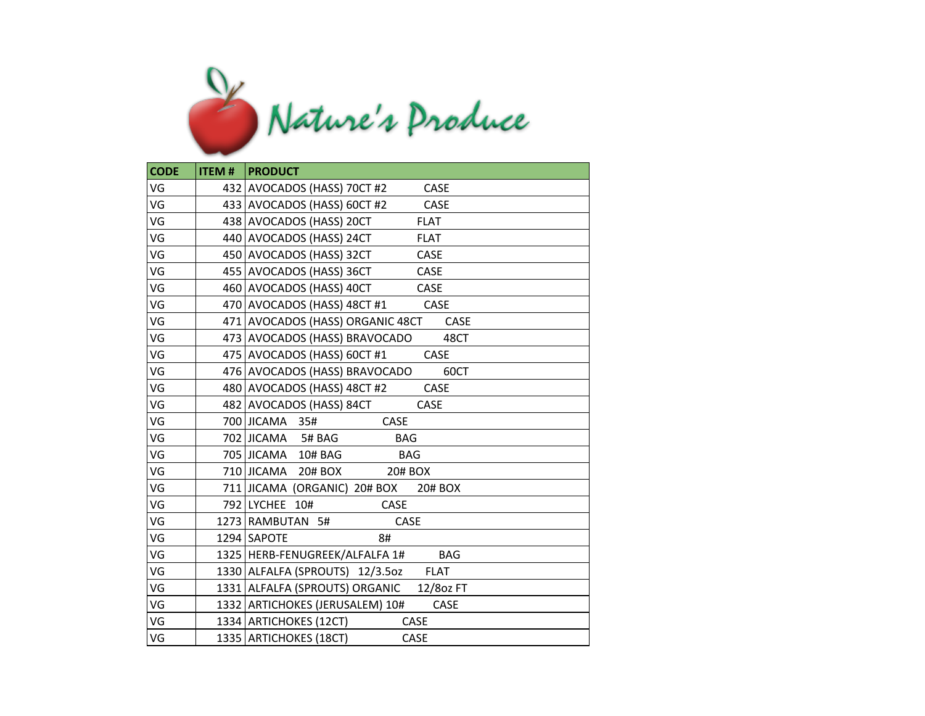

| <b>CODE</b> | <b>ITEM #   PRODUCT</b>                        |
|-------------|------------------------------------------------|
| VG          | 432 AVOCADOS (HASS) 70CT #2<br>CASE            |
| VG          | 433 AVOCADOS (HASS) 60CT #2<br>CASE            |
| VG          | 438 AVOCADOS (HASS) 20CT<br><b>FLAT</b>        |
| VG          | 440 AVOCADOS (HASS) 24CT<br><b>FLAT</b>        |
| VG          | 450 AVOCADOS (HASS) 32CT<br><b>CASE</b>        |
| VG          | 455 AVOCADOS (HASS) 36CT<br>CASE               |
| VG          | 460 AVOCADOS (HASS) 40CT<br>CASE               |
| VG          | 470   AVOCADOS (HASS) 48CT #1<br>CASE          |
| VG          | 471 AVOCADOS (HASS) ORGANIC 48CT<br>CASE       |
| VG          | 473 AVOCADOS (HASS) BRAVOCADO<br>48CT          |
| VG          | 475 AVOCADOS (HASS) 60CT #1<br>CASE            |
| VG          | 476 AVOCADOS (HASS) BRAVOCADO<br>60CT          |
| VG          | 480 AVOCADOS (HASS) 48CT #2<br>CASE            |
| VG          | 482 AVOCADOS (HASS) 84CT<br><b>CASE</b>        |
| VG          | 700 JICAMA 35#<br>CASE                         |
| VG          | 702 JICAMA 5# BAG<br><b>BAG</b>                |
| VG          | 705 JICAMA 10# BAG<br><b>BAG</b>               |
| VG          | 710 JICAMA 20# BOX<br>20# BOX                  |
| VG          | 711 JICAMA (ORGANIC) 20# BOX 20# BOX           |
| VG          | 792 LYCHEE 10#<br><b>CASE</b>                  |
| VG          | CASE<br>1273 RAMBUTAN 5#                       |
| VG          | 1294 SAPOTE<br>8#                              |
| VG          | 1325   HERB-FENUGREEK/ALFALFA 1#<br><b>BAG</b> |
| VG          | 1330 ALFALFA (SPROUTS) 12/3.5oz FLAT           |
| VG          | 1331 ALFALFA (SPROUTS) ORGANIC 12/80z FT       |
| VG          | 1332 ARTICHOKES (JERUSALEM) 10#<br>CASE        |
| VG          | 1334 ARTICHOKES (12CT)<br><b>CASE</b>          |
| VG          | 1335 ARTICHOKES (18CT)<br><b>CASE</b>          |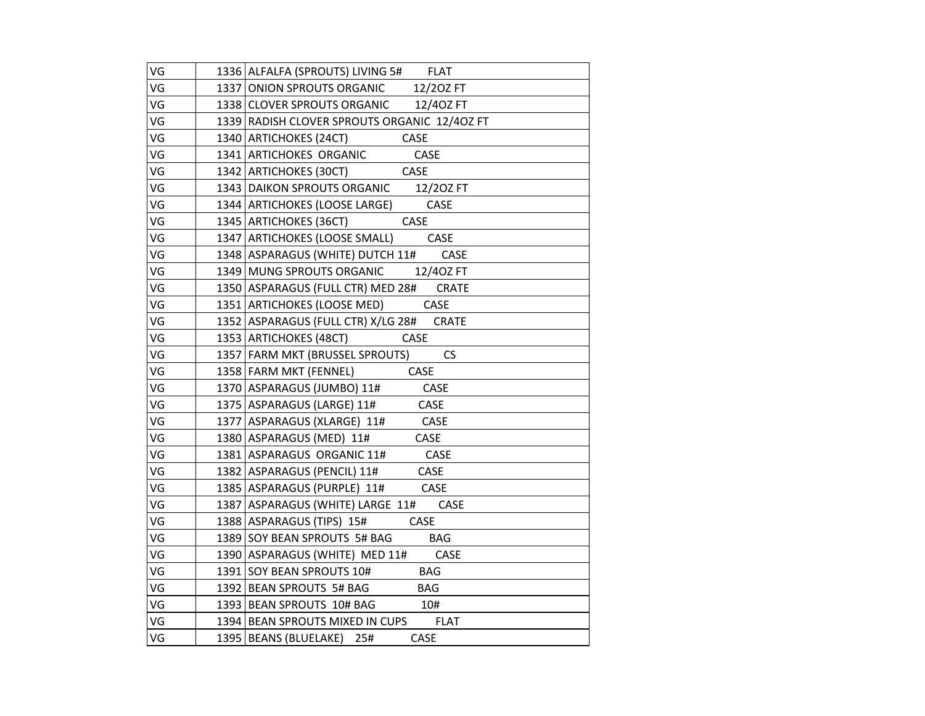| VG | 1336 ALFALFA (SPROUTS) LIVING 5# FLAT                              |
|----|--------------------------------------------------------------------|
| VG | 1337 ONION SPROUTS ORGANIC 12/20Z FT                               |
| VG | 1338 CLOVER SPROUTS ORGANIC 12/40Z FT                              |
| VG | 1339 RADISH CLOVER SPROUTS ORGANIC 12/40Z FT                       |
| VG | 1340 ARTICHOKES (24CT) CASE                                        |
| VG | 1341 ARTICHOKES ORGANIC CASE                                       |
| VG | 1342 ARTICHOKES (30CT) CASE                                        |
| VG | 1343 DAIKON SPROUTS ORGANIC 12/20Z FT                              |
| VG | 1344   ARTICHOKES (LOOSE LARGE) CASE                               |
| VG | 1345 ARTICHOKES (36CT)<br>CASE                                     |
| VG | 1347 ARTICHOKES (LOOSE SMALL) CASE                                 |
| VG | 1348 ASPARAGUS (WHITE) DUTCH 11# CASE                              |
| VG | 1349 MUNG SPROUTS ORGANIC 12/40Z FT                                |
| VG | 1350 ASPARAGUS (FULL CTR) MED 28# CRATE                            |
| VG | 1351   ARTICHOKES (LOOSE MED) CASE                                 |
| VG | 1352 ASPARAGUS (FULL CTR) X/LG 28# CRATE                           |
| VG | 1353 ARTICHOKES (48CT) CASE                                        |
| VG | 1357   FARM MKT (BRUSSEL SPROUTS) CS                               |
| VG | 1358 FARM MKT (FENNEL) CASE                                        |
| VG | 1370 ASPARAGUS (JUMBO) 11# CASE<br>1375 ASPARAGUS (LARGE) 11# CASE |
| VG |                                                                    |
| VG | 1377   ASPARAGUS (XLARGE) 11# CASE                                 |
| VG | CASE<br>1380   ASPARAGUS (MED) 11#                                 |
| VG | 1381 ASPARAGUS ORGANIC 11# CASE                                    |
| VG | 1382   ASPARAGUS (PENCIL) 11# CASE                                 |
| VG | 1385 ASPARAGUS (PURPLE) 11# CASE                                   |
| VG | 1387 ASPARAGUS (WHITE) LARGE 11# CASE                              |
| VG | 1388 ASPARAGUS (TIPS) 15# CASE                                     |
| VG | 1389 SOY BEAN SPROUTS 5# BAG BAG                                   |
| VG | 1390 ASPARAGUS (WHITE) MED 11# CASE                                |
| VG | 1391   SOY BEAN SPROUTS 10# BAG                                    |
| VG | 1392 BEAN SPROUTS 5# BAG<br><b>BAG</b>                             |
| VG | 1393 BEAN SPROUTS 10# BAG 10#                                      |
| VG | 1394 BEAN SPROUTS MIXED IN CUPS FLAT                               |
| VG | 1395   BEANS (BLUELAKE) 25#<br>CASE                                |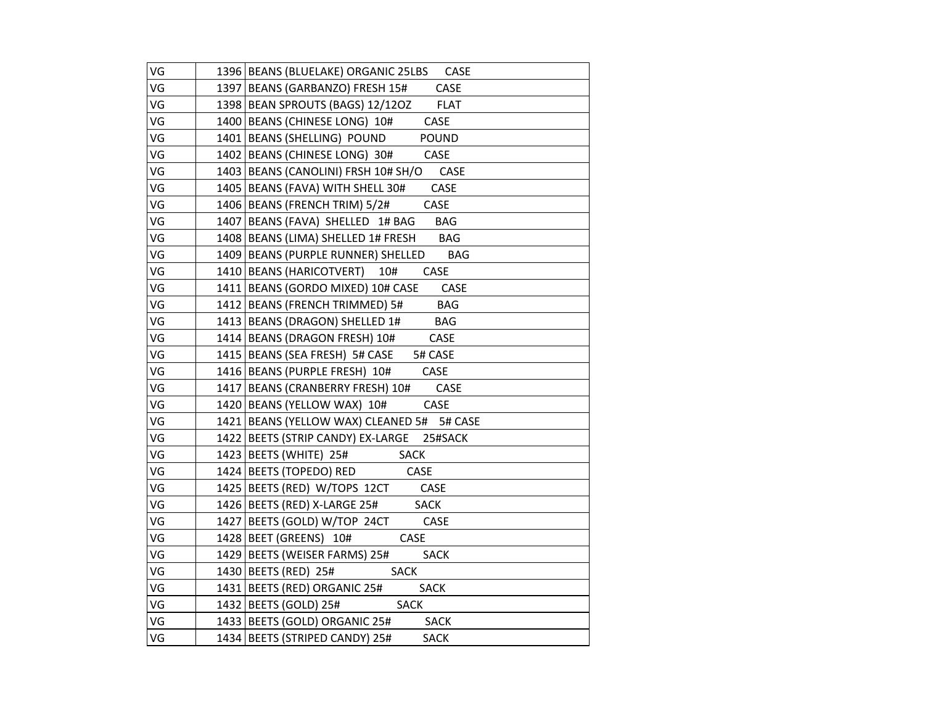| VG | 1396 BEANS (BLUELAKE) ORGANIC 25LBS CASE          |
|----|---------------------------------------------------|
| VG | 1397   BEANS (GARBANZO) FRESH 15#<br>CASE         |
| VG | 1398   BEAN SPROUTS (BAGS) 12/12OZ<br><b>FLAT</b> |
| VG | 1400 BEANS (CHINESE LONG) 10#<br><b>CASE</b>      |
| VG | 1401   BEANS (SHELLING) POUND<br><b>POUND</b>     |
| VG | 1402 BEANS (CHINESE LONG) 30# CASE                |
| VG | 1403 BEANS (CANOLINI) FRSH 10# SH/O CASE          |
| VG | 1405   BEANS (FAVA) WITH SHELL 30#<br>CASE        |
| VG | 1406   BEANS (FRENCH TRIM) 5/2#<br>CASE           |
| VG | 1407   BEANS (FAVA) SHELLED 1# BAG BAG            |
| VG | 1408 BEANS (LIMA) SHELLED 1# FRESH BAG            |
| VG | 1409 BEANS (PURPLE RUNNER) SHELLED BAG            |
| VG | 1410 BEANS (HARICOTVERT) 10#<br>CASE              |
| VG | 1411 BEANS (GORDO MIXED) 10# CASE<br><b>CASE</b>  |
| VG | <b>BAG</b><br>1412 BEANS (FRENCH TRIMMED) 5#      |
| VG | 1413 BEANS (DRAGON) SHELLED 1#<br><b>BAG</b>      |
| VG | 1414 BEANS (DRAGON FRESH) 10#<br>CASE             |
| VG | 1415   BEANS (SEA FRESH) 5# CASE 5# CASE          |
| VG | 1416 BEANS (PURPLE FRESH) 10# CASE                |
| VG | 1417 BEANS (CRANBERRY FRESH) 10# CASE             |
| VG | 1420 BEANS (YELLOW WAX) 10# CASE                  |
| VG | 1421 BEANS (YELLOW WAX) CLEANED 5# 5# CASE        |
| VG | 1422 BEETS (STRIP CANDY) EX-LARGE 25#SACK         |
| VG | 1423   BEETS (WHITE) 25# SACK                     |
| VG | 1424   BEETS (TOPEDO) RED<br><b>CASE</b>          |
| VG | 1425 BEETS (RED) W/TOPS 12CT CASE                 |
| VG | 1426   BEETS (RED) X-LARGE 25# SACK               |
| VG | 1427 BEETS (GOLD) W/TOP 24CT<br>CASE              |
| VG | 1428 BEET (GREENS) 10#<br>CASE                    |
| VG | 1429 BEETS (WEISER FARMS) 25#<br><b>SACK</b>      |
| VG | 1430   BEETS (RED) 25#<br><b>SACK</b>             |
| VG | 1431 BEETS (RED) ORGANIC 25#<br><b>SACK</b>       |
| VG | 1432 BEETS (GOLD) 25#<br><b>SACK</b>              |
| VG | 1433   BEETS (GOLD) ORGANIC 25#<br><b>SACK</b>    |
| VG | 1434 BEETS (STRIPED CANDY) 25#<br><b>SACK</b>     |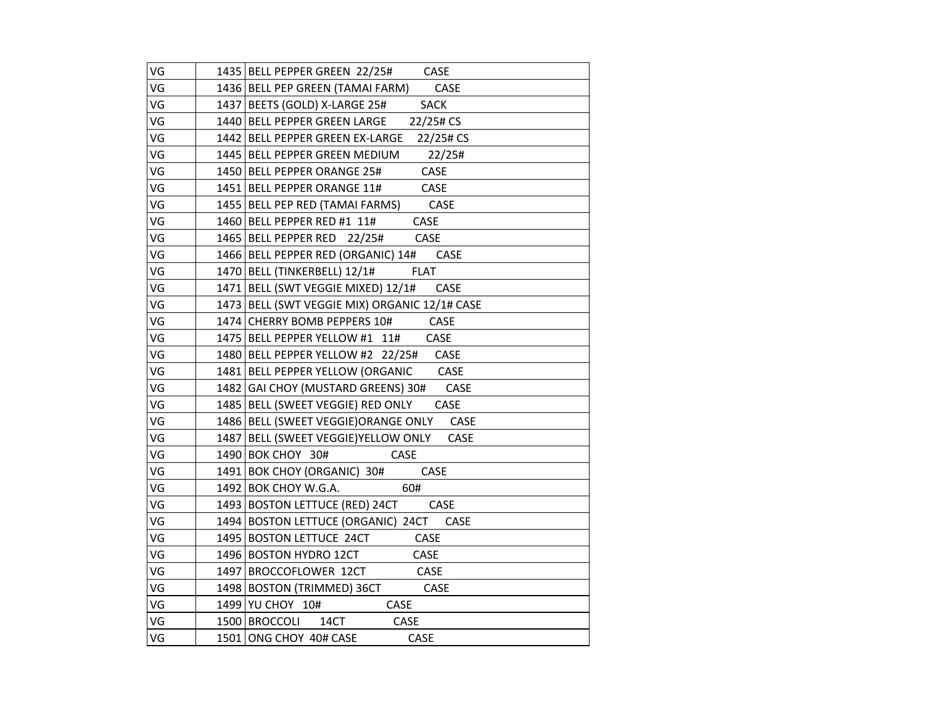| VG | 1435 BELL PEPPER GREEN 22/25# CASE            |
|----|-----------------------------------------------|
| VG | 1436 BELL PEP GREEN (TAMAI FARM) CASE         |
| VG | 1437 BEETS (GOLD) X-LARGE 25# SACK            |
| VG | 1440 BELL PEPPER GREEN LARGE 22/25# CS        |
| VG | 1442 BELL PEPPER GREEN EX-LARGE 22/25# CS     |
| VG | 1445 BELL PEPPER GREEN MEDIUM 22/25#          |
| VG | 1450 BELL PEPPER ORANGE 25#<br>CASE           |
| VG | 1451 BELL PEPPER ORANGE 11# CASE              |
| VG | 1455   BELL PEP RED (TAMAI FARMS) CASE        |
| VG | 1460 BELL PEPPER RED #1 11# CASE              |
| VG | 1465   BELL PEPPER RED 22/25#<br>CASE         |
| VG | 1466 BELL PEPPER RED (ORGANIC) 14# CASE       |
| VG | 1470 BELL (TINKERBELL) 12/1# FLAT             |
| VG | 1471   BELL (SWT VEGGIE MIXED) 12/1# CASE     |
| VG | 1473 BELL (SWT VEGGIE MIX) ORGANIC 12/1# CASE |
| VG | 1474 CHERRY BOMB PEPPERS 10# CASE             |
| VG | 1475 BELL PEPPER YELLOW #1 11#<br>CASE        |
| VG | 1480 BELL PEPPER YELLOW #2 22/25# CASE        |
| VG | 1481   BELL PEPPER YELLOW (ORGANIC CASE       |
| VG | 1482 GAI CHOY (MUSTARD GREENS) 30# CASE       |
| VG | 1485 BELL (SWEET VEGGIE) RED ONLY CASE        |
| VG | 1486 BELL (SWEET VEGGIE) ORANGE ONLY CASE     |
| VG | 1487 BELL (SWEET VEGGIE) YELLOW ONLY CASE     |
| VG | 1490 BOK CHOY 30#<br>CASE                     |
| VG | 1491 BOK CHOY (ORGANIC) 30#<br>CASE           |
| VG | 1492 BOK CHOY W.G.A.<br>60#                   |
| VG | 1493 BOSTON LETTUCE (RED) 24CT CASE           |
| VG | 1494 BOSTON LETTUCE (ORGANIC) 24CT CASE       |
| VG | 1495 BOSTON LETTUCE 24CT CASE                 |
| VG | 1496 BOSTON HYDRO 12CT<br>CASE                |
| VG | 1497 BROCCOFLOWER 12CT CASE                   |
| VG | 1498 BOSTON (TRIMMED) 36CT CASE               |
| VG | 1499 YU CHOY 10#<br><b>CASE</b>               |
| VG | 1500 BROCCOLI 14CT CASE                       |
| VG | 1501 ONG CHOY 40# CASE<br>CASE                |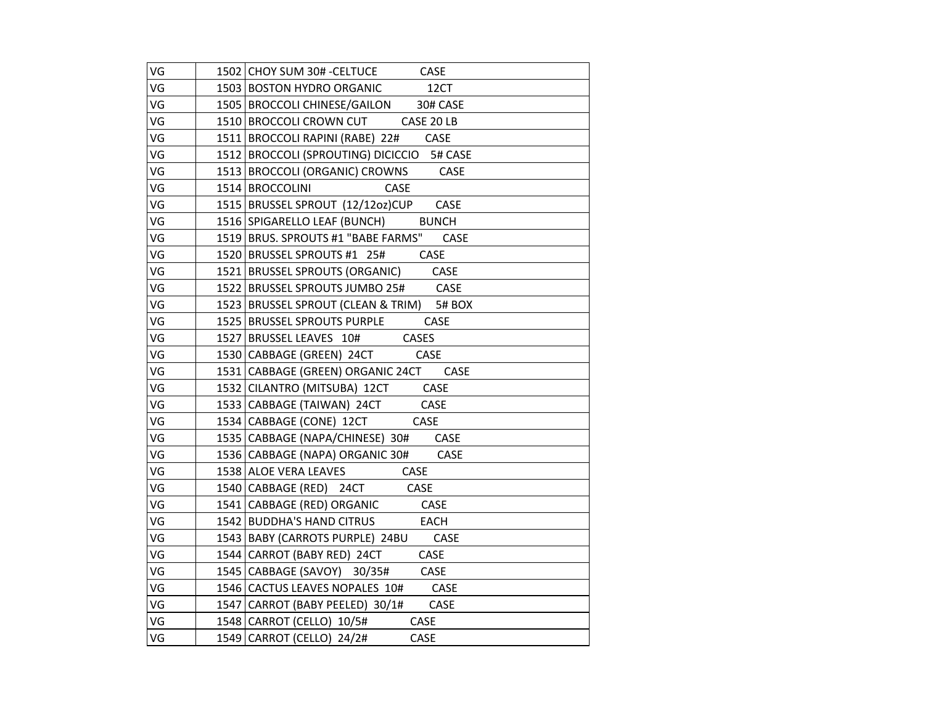| VG | 1502 CHOY SUM 30# - CELTUCE CASE           |
|----|--------------------------------------------|
| VG | 1503 BOSTON HYDRO ORGANIC 12CT             |
| VG | 1505 BROCCOLI CHINESE/GAILON 30# CASE      |
| VG | 1510 BROCCOLI CROWN CUT CASE 20 LB         |
| VG | 1511 BROCCOLI RAPINI (RABE) 22# CASE       |
| VG | 1512 BROCCOLI (SPROUTING) DICICCIO 5# CASE |
| VG | 1513 BROCCOLI (ORGANIC) CROWNS CASE        |
| VG | CASE<br>1514 BROCCOLINI                    |
| VG | 1515 BRUSSEL SPROUT (12/12oz)CUP CASE      |
| VG | 1516 SPIGARELLO LEAF (BUNCH) BUNCH         |
| VG | 1519 BRUS. SPROUTS #1 "BABE FARMS" CASE    |
| VG | 1520 BRUSSEL SPROUTS #1 25# CASE           |
| VG | 1521 BRUSSEL SPROUTS (ORGANIC) CASE        |
| VG | 1522 BRUSSEL SPROUTS JUMBO 25# CASE        |
| VG | 1523 BRUSSEL SPROUT (CLEAN & TRIM) 5# BOX  |
| VG | 1525 BRUSSEL SPROUTS PURPLE<br>CASE        |
| VG | 1527 BRUSSEL LEAVES 10# CASES              |
| VG | 1530 CABBAGE (GREEN) 24CT CASE             |
| VG | 1531 CABBAGE (GREEN) ORGANIC 24CT CASE     |
| VG | 1532 CILANTRO (MITSUBA) 12CT CASE          |
| VG | 1533 CABBAGE (TAIWAN) 24CT CASE            |
| VG | 1534   CABBAGE (CONE) 12CT CASE            |
| VG | 1535   CABBAGE (NAPA/CHINESE) 30# CASE     |
| VG | 1536 CABBAGE (NAPA) ORGANIC 30# CASE       |
| VG | 1538 ALOE VERA LEAVES CASE                 |
| VG | 1540 CABBAGE (RED) 24CT CASE               |
| VG | 1541 CABBAGE (RED) ORGANIC CASE            |
| VG | 1542 BUDDHA'S HAND CITRUS EACH             |
| VG | 1543 BABY (CARROTS PURPLE) 24BU CASE       |
| VG | 1544 CARROT (BABY RED) 24CT CASE           |
| VG | 1545 CABBAGE (SAVOY) 30/35# CASE           |
| VG | 1546 CACTUS LEAVES NOPALES 10# CASE        |
| VG | 1547 CARROT (BABY PEELED) 30/1# CASE       |
| VG | 1548 CARROT (CELLO) 10/5# CASE             |
| VG | 1549 CARROT (CELLO) 24/2#<br>CASE          |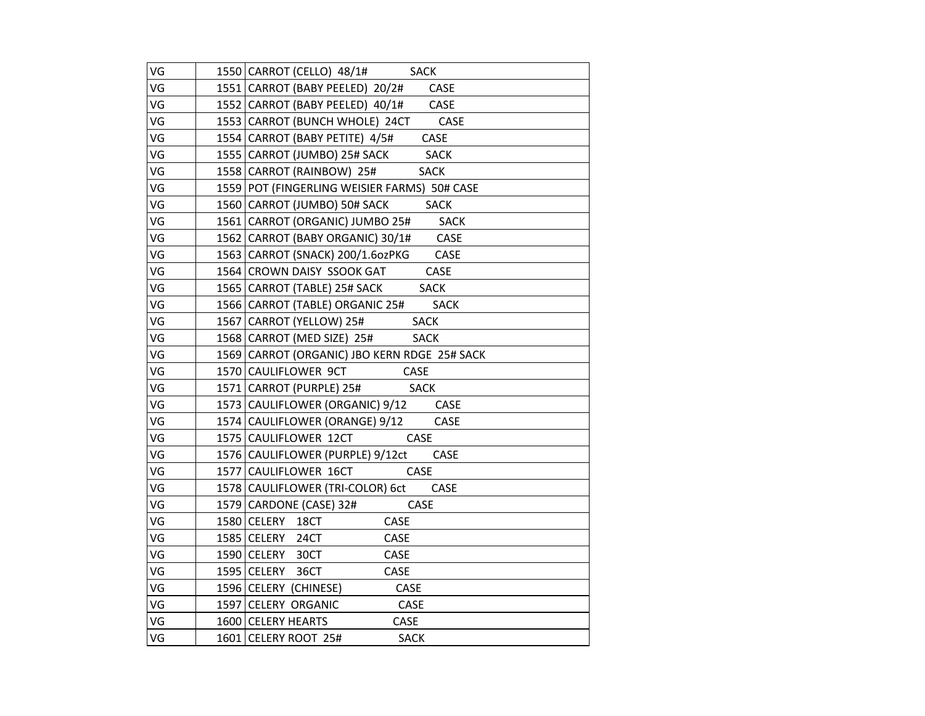| VG | 1550 CARROT (CELLO) 48/1# SACK               |
|----|----------------------------------------------|
| VG | 1551   CARROT (BABY PEELED) 20/2# CASE       |
| VG | 1552 CARROT (BABY PEELED) 40/1# CASE         |
| VG | 1553 CARROT (BUNCH WHOLE) 24CT CASE          |
| VG | 1554 CARROT (BABY PETITE) 4/5# CASE          |
| VG | 1555 CARROT (JUMBO) 25# SACK SACK            |
| VG | 1558 CARROT (RAINBOW) 25# SACK               |
| VG | 1559 POT (FINGERLING WEISIER FARMS) 50# CASE |
| VG | 1560 CARROT (JUMBO) 50# SACK SACK            |
| VG | 1561 CARROT (ORGANIC) JUMBO 25# SACK         |
| VG | 1562 CARROT (BABY ORGANIC) 30/1# CASE        |
| VG | 1563 CARROT (SNACK) 200/1.6ozPKG CASE        |
| VG | 1564 CROWN DAISY SSOOK GAT CASE              |
| VG | 1565 CARROT (TABLE) 25# SACK SACK            |
| VG | 1566 CARROT (TABLE) ORGANIC 25# SACK         |
| VG | 1567 CARROT (YELLOW) 25# SACK                |
| VG | 1568 CARROT (MED SIZE) 25# SACK              |
| VG | 1569 CARROT (ORGANIC) JBO KERN RDGE 25# SACK |
| VG | 1570 CAULIFLOWER 9CT CASE                    |
| VG | 1571 CARROT (PURPLE) 25# SACK                |
| VG | 1573 CAULIFLOWER (ORGANIC) 9/12 CASE         |
| VG | 1574 CAULIFLOWER (ORANGE) 9/12 CASE          |
| VG | CASE<br>1575 CAULIFLOWER 12CT                |
| VG | 1576 CAULIFLOWER (PURPLE) 9/12ct CASE        |
| VG | 1577 CAULIFLOWER 16CT<br>CASE                |
| VG | 1578 CAULIFLOWER (TRI-COLOR) 6ct CASE        |
| VG | 1579 CARDONE (CASE) 32#<br>CASE              |
| VG | CASE<br>1580 CELERY 18CT                     |
| VG | CASE<br>1585 CELERY 24CT                     |
| VG | 1590 CELERY 30CT<br>CASE                     |
| VG | 1595 CELERY 36CT<br>CASE                     |
| VG | 1596 CELERY (CHINESE)<br>CASE                |
| VG | 1597 CELERY ORGANIC<br><b>CASE</b>           |
| VG | 1600 CELERY HEARTS<br>CASE                   |
| VG | 1601 CELERY ROOT 25#<br><b>SACK</b>          |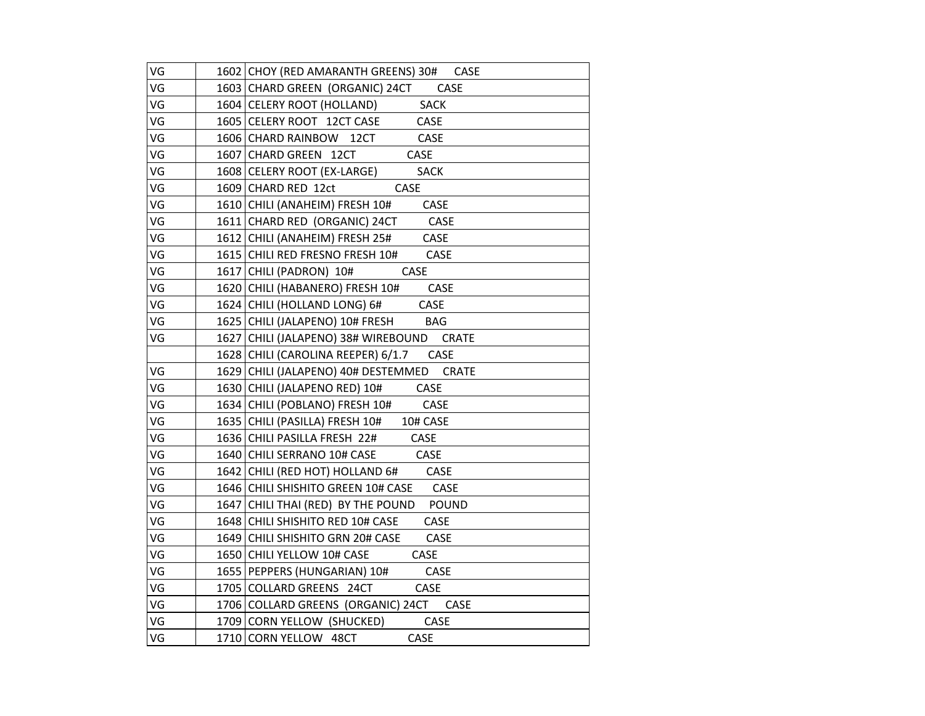| VG | 1602 CHOY (RED AMARANTH GREENS) 30# CASE   |
|----|--------------------------------------------|
| VG | 1603 CHARD GREEN (ORGANIC) 24CT CASE       |
| VG | 1604 CELERY ROOT (HOLLAND) SACK            |
| VG | 1605 CELERY ROOT 12CT CASE<br>CASE         |
| VG | 1606 CHARD RAINBOW 12CT<br><b>CASE</b>     |
| VG | 1607 CHARD GREEN 12CT<br>CASE              |
| VG | 1608 CELERY ROOT (EX-LARGE)<br><b>SACK</b> |
| VG | 1609 CHARD RED 12ct<br>CASE                |
| VG | 1610 CHILI (ANAHEIM) FRESH 10# CASE        |
| VG | 1611 CHARD RED (ORGANIC) 24CT CASE         |
| VG | 1612 CHILI (ANAHEIM) FRESH 25# CASE        |
| VG | 1615 CHILI RED FRESNO FRESH 10#<br>CASE    |
| VG | 1617 CHILI (PADRON) 10#<br>CASE            |
| VG | 1620 CHILI (HABANERO) FRESH 10# CASE       |
| VG | CASE<br>1624 CHILI (HOLLAND LONG) 6#       |
| VG | 1625 CHILI (JALAPENO) 10# FRESH BAG        |
| VG | 1627 CHILI (JALAPENO) 38# WIREBOUND CRATE  |
|    | 1628 CHILI (CAROLINA REEPER) 6/1.7 CASE    |
| VG | 1629 CHILI (JALAPENO) 40# DESTEMMED CRATE  |
| VG | 1630 CHILI (JALAPENO RED) 10# CASE         |
| VG | 1634 CHILI (POBLANO) FRESH 10# CASE        |
| VG | 1635 CHILI (PASILLA) FRESH 10# 10# CASE    |
| VG | 1636 CHILI PASILLA FRESH 22# CASE          |
| VG | 1640 CHILI SERRANO 10# CASE CASE           |
| VG | 1642 CHILI (RED HOT) HOLLAND 6# CASE       |
| VG | 1646 CHILI SHISHITO GREEN 10# CASE CASE    |
| VG | 1647 CHILI THAI (RED) BY THE POUND POUND   |
| VG | 1648 CHILI SHISHITO RED 10# CASE<br>CASE   |
| VG | 1649 CHILI SHISHITO GRN 20# CASE<br>CASE   |
| VG | CASE<br>1650 CHILI YELLOW 10# CASE         |
| VG | CASE<br>1655 PEPPERS (HUNGARIAN) 10#       |
| VG | 1705 COLLARD GREENS 24CT CASE              |
| VG | 1706 COLLARD GREENS (ORGANIC) 24CT CASE    |
| VG | 1709 CORN YELLOW (SHUCKED)<br>CASE         |
| VG | 1710 CORN YELLOW 48CT<br>CASE              |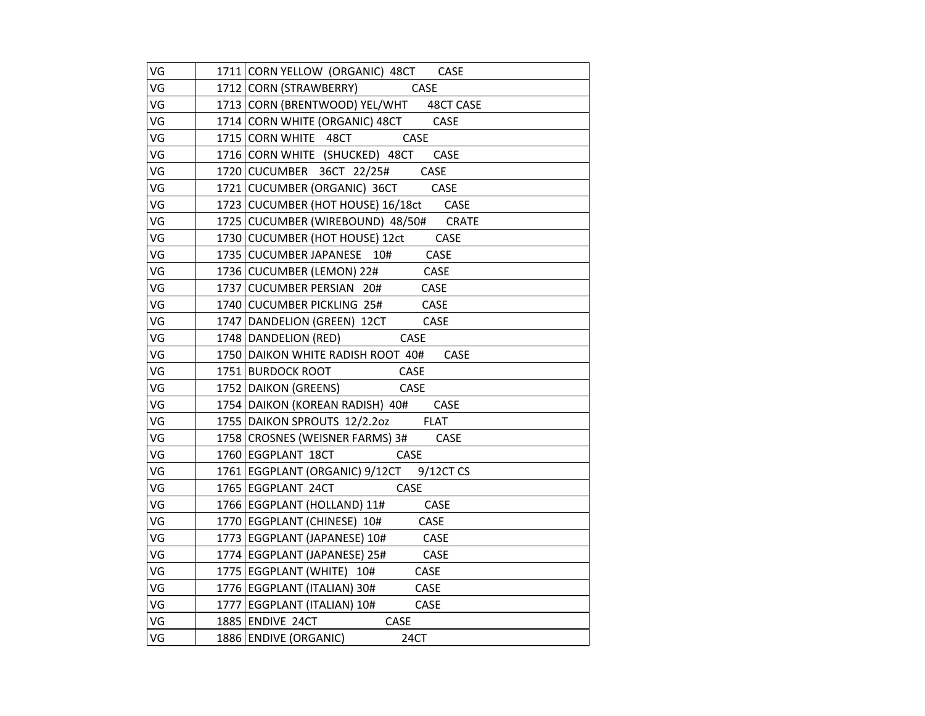| VG | 1711 CORN YELLOW (ORGANIC) 48CT CASE                |
|----|-----------------------------------------------------|
| VG | 1712 CORN (STRAWBERRY) CASE                         |
| VG | 1713 CORN (BRENTWOOD) YEL/WHT 48CT CASE             |
| VG | 1714 CORN WHITE (ORGANIC) 48CT CASE                 |
| VG | 1715 CORN WHITE 48CT CASE                           |
| VG | 1716 CORN WHITE (SHUCKED) 48CT CASE                 |
| VG | 1720 CUCUMBER 36CT 22/25# CASE                      |
| VG | 1721 CUCUMBER (ORGANIC) 36CT CASE                   |
| VG | 1723 CUCUMBER (HOT HOUSE) 16/18ct CASE              |
| VG | 1725 CUCUMBER (WIREBOUND) 48/50# CRATE              |
| VG | 1730 CUCUMBER (HOT HOUSE) 12ct CASE                 |
| VG | 1735 CUCUMBER JAPANESE 10# CASE                     |
| VG | 1736 CUCUMBER (LEMON) 22# CASE                      |
| VG | 1737 CUCUMBER PERSIAN 20#<br>CASE                   |
| VG | 1740 CUCUMBER PICKLING 25# CASE                     |
| VG | 1747 DANDELION (GREEN) 12CT CASE                    |
| VG | 1748 DANDELION (RED) CASE                           |
| VG | 1750 DAIKON WHITE RADISH ROOT 40# CASE              |
| VG |                                                     |
| VG | 1751 BURDOCK ROOT CASE<br>1752 DAIKON (GREENS) CASE |
| VG | 1754 DAIKON (KOREAN RADISH) 40# CASE                |
| VG | 1755 DAIKON SPROUTS 12/2.2oz FLAT                   |
| VG | 1758 CROSNES (WEISNER FARMS) 3# CASE                |
| VG | 1760 EGGPLANT 18CT<br>CASE                          |
| VG | 1761 EGGPLANT (ORGANIC) 9/12CT 9/12CT CS            |
| VG | 1765 EGGPLANT 24CT CASE                             |
| VG | 1766 EGGPLANT (HOLLAND) 11# CASE                    |
| VG | 1770 EGGPLANT (CHINESE) 10# CASE                    |
| VG | 1773 EGGPLANT (JAPANESE) 10# CASE                   |
| VG | 1774   EGGPLANT (JAPANESE) 25# CASE                 |
| VG | 1775   EGGPLANT (WHITE) 10#<br>CASE                 |
| VG | 1776   EGGPLANT (ITALIAN) 30# CASE                  |
| VG | 1777   EGGPLANT (ITALIAN) 10# CASE                  |
| VG | 1885 ENDIVE 24CT CASE                               |
| VG | 1886 ENDIVE (ORGANIC)<br>24CT                       |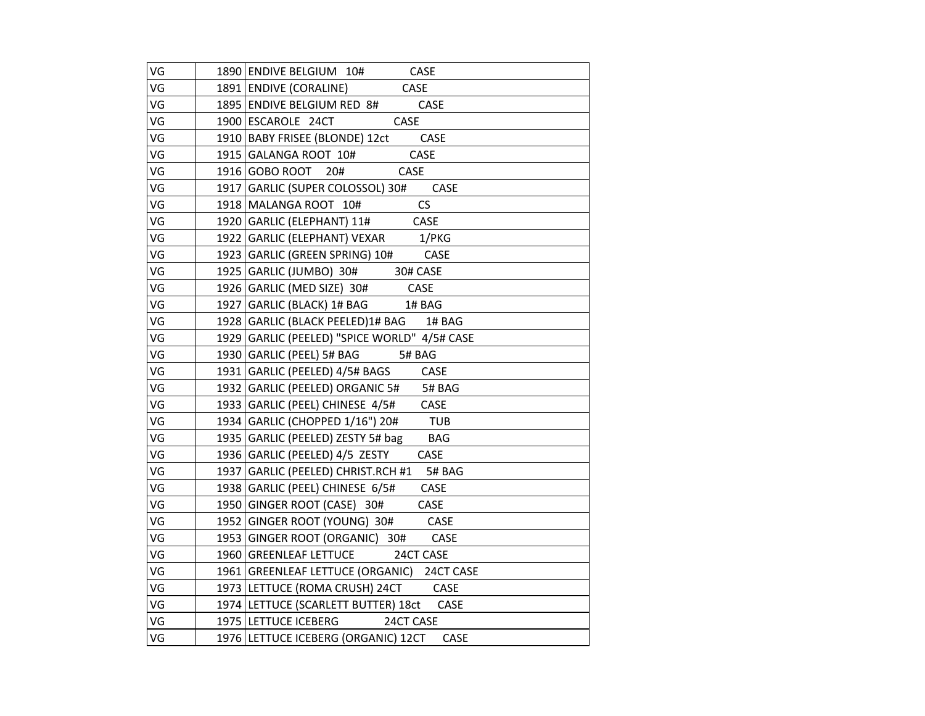| VG | 1890 ENDIVE BELGIUM 10# CASE                                                   |
|----|--------------------------------------------------------------------------------|
| VG | 1891 ENDIVE (CORALINE) CASE                                                    |
| VG | 1895 ENDIVE BELGIUM RED 8# CASE                                                |
| VG | 1900 ESCAROLE 24CT CASE                                                        |
| VG |                                                                                |
| VG | 1910 BABY FRISEE (BLONDE) 12ct CASE<br>1915 GALANGA ROOT 10# CASE              |
| VG | 1916 GOBO ROOT 20# CASE                                                        |
| VG | 1917 GARLIC (SUPER COLOSSOL) 30# CASE                                          |
| VG | 1918   MALANGA ROOT 10#<br>CS                                                  |
| VG | 1920 GARLIC (ELEPHANT) 11# CASE                                                |
| VG | 1922   GARLIC (ELEPHANT) VEXAR 1/PKG                                           |
| VG | 1923 GARLIC (GREEN SPRING) 10# CASE                                            |
| VG | 1925 GARLIC (JUMBO) 30# 30# CASE                                               |
| VG | 1926 GARLIC (MED SIZE) 30# CASE                                                |
| VG | 1927   GARLIC (BLACK) 1# BAG 1# BAG                                            |
| VG | 1928 GARLIC (BLACK PEELED) 1# BAG 1# BAG                                       |
| VG | 1929 GARLIC (PEELED) "SPICE WORLD" 4/5# CASE                                   |
| VG | 1930 GARLIC (PEEL) 5# BAG 5# BAG                                               |
| VG | 1931 GARLIC (PEELED) 4/5# BAGS CASE                                            |
| VG | 1932 GARLIC (PEELED) ORGANIC 5# 5# BAG<br>1933 GARLIC (PEEL) CHINESE 4/5# CASE |
| VG |                                                                                |
| VG | 1934   GARLIC (CHOPPED 1/16") 20# TUB                                          |
| VG | 1935 GARLIC (PEELED) ZESTY 5# bag BAG                                          |
| VG | 1936 GARLIC (PEELED) 4/5 ZESTY CASE                                            |
| VG | 1937 GARLIC (PEELED) CHRIST.RCH #1 5# BAG                                      |
| VG | 1938 GARLIC (PEEL) CHINESE 6/5# CASE                                           |
| VG | 1950 GINGER ROOT (CASE) 30# CASE                                               |
| VG | 1952 GINGER ROOT (YOUNG) 30# CASE                                              |
| VG | 1953 GINGER ROOT (ORGANIC) 30# CASE                                            |
| VG | 1960 GREENLEAF LETTUCE 24CT CASE                                               |
| VG | 1961   GREENLEAF LETTUCE (ORGANIC) 24CT CASE                                   |
| VG | 1973 LETTUCE (ROMA CRUSH) 24CT CASE                                            |
| VG | 1974   LETTUCE (SCARLETT BUTTER) 18ct CASE                                     |
| VG | 1975 LETTUCE ICEBERG 24CT CASE                                                 |
| VG | 1976 LETTUCE ICEBERG (ORGANIC) 12CT<br>CASE                                    |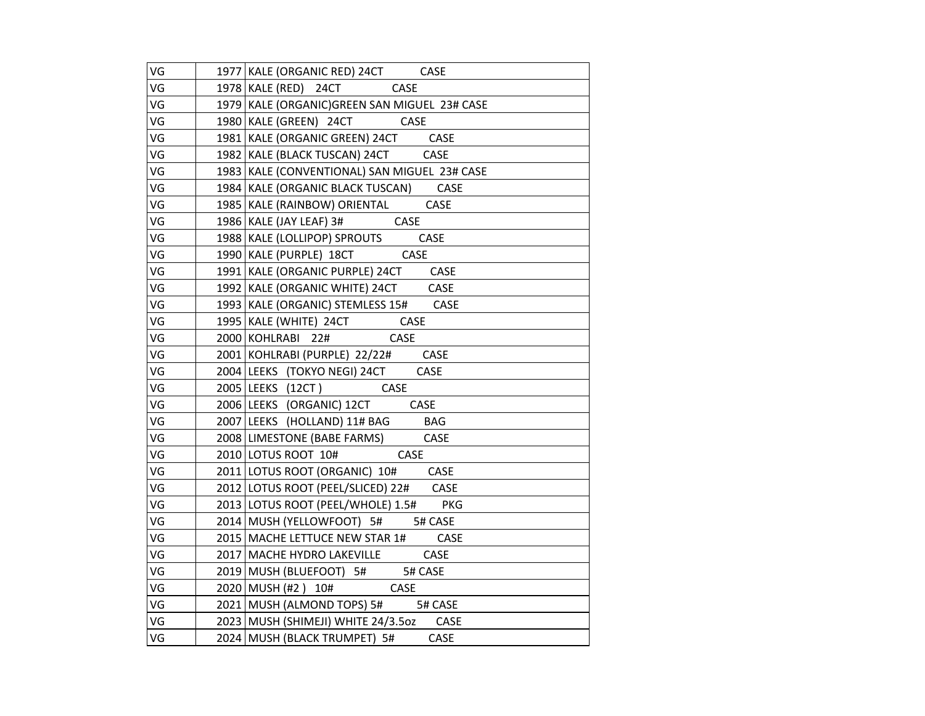| VG | 1977   KALE (ORGANIC RED) 24CT CASE           |
|----|-----------------------------------------------|
| VG | 1978 KALE (RED) 24CT<br>CASE                  |
| VG | 1979 KALE (ORGANIC) GREEN SAN MIGUEL 23# CASE |
| VG | 1980   KALE (GREEN) 24CT CASE                 |
| VG | 1981   KALE (ORGANIC GREEN) 24CT CASE         |
| VG | 1982 KALE (BLACK TUSCAN) 24CT CASE            |
| VG | 1983 KALE (CONVENTIONAL) SAN MIGUEL 23# CASE  |
| VG | 1984   KALE (ORGANIC BLACK TUSCAN) CASE       |
| VG | 1985   KALE (RAINBOW) ORIENTAL CASE           |
| VG | 1986 KALE (JAY LEAF) 3# CASE                  |
| VG | 1988   KALE (LOLLIPOP) SPROUTS CASE           |
| VG | 1990 KALE (PURPLE) 18CT CASE                  |
| VG | 1991 KALE (ORGANIC PURPLE) 24CT CASE          |
| VG | 1992 KALE (ORGANIC WHITE) 24CT CASE           |
| VG | 1993   KALE (ORGANIC) STEMLESS 15# CASE       |
| VG | 1995 KALE (WHITE) 24CT CASE                   |
| VG | 2000 KOHLRABI 22# CASE                        |
| VG | 2001 KOHLRABI (PURPLE) 22/22# CASE            |
| VG | 2004 LEEKS (TOKYO NEGI) 24CT CASE             |
| VG | 2005 LEEKS (12CT) CASE                        |
| VG | 2006 LEEKS (ORGANIC) 12CT CASE                |
| VG | 2007 LEEKS (HOLLAND) 11# BAG BAG              |
| VG | 2008 LIMESTONE (BABE FARMS) CASE              |
| VG | 2010 LOTUS ROOT 10#<br>CASE                   |
| VG | 2011 LOTUS ROOT (ORGANIC) 10# CASE            |
| VG | 2012 LOTUS ROOT (PEEL/SLICED) 22# CASE        |
| VG | 2013 LOTUS ROOT (PEEL/WHOLE) 1.5# PKG         |
| VG | 2014 MUSH (YELLOWFOOT) 5# 5# CASE             |
| VG | 2015 MACHE LETTUCE NEW STAR 1# CASE           |
| VG | 2017 MACHE HYDRO LAKEVILLE CASE               |
| VG | 2019   MUSH (BLUEFOOT) 5# 5# CASE             |
| VG | $2020$ MUSH (#2) $10#$ CASE                   |
| VG | 2021 MUSH (ALMOND TOPS) 5# 5# CASE            |
| VG | 2023 MUSH (SHIMEJI) WHITE 24/3.5oz CASE       |
| VG | 2024   MUSH (BLACK TRUMPET) 5# CASE           |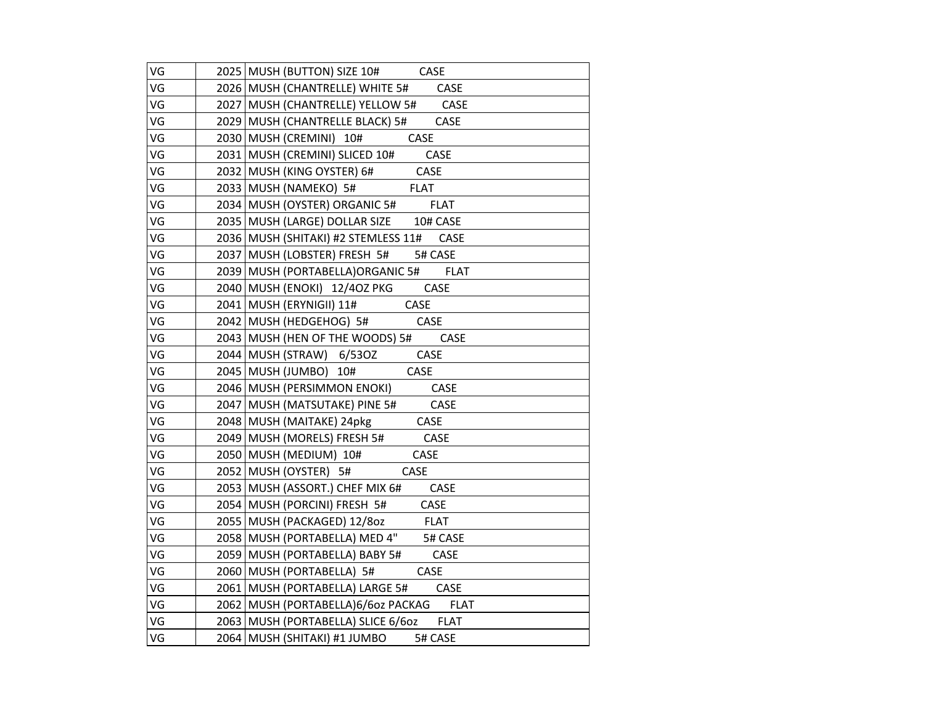| VG | 2025 MUSH (BUTTON) SIZE 10# CASE                    |
|----|-----------------------------------------------------|
| VG | 2026   MUSH (CHANTRELLE) WHITE 5# CASE              |
| VG | 2027 MUSH (CHANTRELLE) YELLOW 5# CASE               |
| VG | 2029 MUSH (CHANTRELLE BLACK) 5#<br><b>CASE</b>      |
| VG | CASE<br>2030 MUSH (CREMINI) 10#                     |
| VG | 2031 MUSH (CREMINI) SLICED 10# CASE                 |
| VG | <b>CASE</b><br>2032 MUSH (KING OYSTER) 6#           |
| VG | 2033 MUSH (NAMEKO) 5#<br><b>FLAT</b>                |
| VG | <b>FLAT</b><br>2034   MUSH (OYSTER) ORGANIC 5#      |
| VG | 2035 MUSH (LARGE) DOLLAR SIZE 10# CASE              |
| VG | 2036   MUSH (SHITAKI) #2 STEMLESS 11#<br>CASE       |
| VG | 2037 MUSH (LOBSTER) FRESH 5#<br>5# CASE             |
| VG | 2039 MUSH (PORTABELLA) ORGANIC 5# FLAT              |
| VG | 2040   MUSH (ENOKI) 12/4OZ PKG CASE                 |
| VG | CASE<br>2041 MUSH (ERYNIGII) 11#                    |
| VG | CASE<br>2042   MUSH (HEDGEHOG) 5#                   |
| VG | 2043 MUSH (HEN OF THE WOODS) 5#<br>CASE             |
| VG | 2044   MUSH (STRAW) 6/530Z CASE                     |
| VG | 2045   MUSH (JUMBO) 10#<br><b>CASE</b>              |
| VG | 2046 MUSH (PERSIMMON ENOKI) CASE                    |
| VG | 2047   MUSH (MATSUTAKE) PINE 5#<br><b>CASE</b>      |
| VG | CASE<br>2048 MUSH (MAITAKE) 24pkg                   |
| VG | CASE<br>2049   MUSH (MORELS) FRESH 5#               |
| VG | 2050   MUSH (MEDIUM) 10#<br><b>CASE</b>             |
| VG | 2052 MUSH (OYSTER) 5#<br>CASE                       |
| VG | 2053 MUSH (ASSORT.) CHEF MIX 6#<br>CASE             |
| VG | 2054 MUSH (PORCINI) FRESH 5#<br>CASE                |
| VG | <b>FLAT</b><br>2055   MUSH (PACKAGED) 12/80z        |
| VG | 2058 MUSH (PORTABELLA) MED 4"<br>5# CASE            |
| VG | 2059 MUSH (PORTABELLA) BABY 5#<br><b>CASE</b>       |
| VG | CASE<br>2060 MUSH (PORTABELLA) 5#                   |
| VG | 2061 MUSH (PORTABELLA) LARGE 5# CASE                |
| VG | <b>FLAT</b><br>2062   MUSH (PORTABELLA)6/6oz PACKAG |
| VG | 2063 MUSH (PORTABELLA) SLICE 6/6oz<br><b>FLAT</b>   |
| VG | 2064   MUSH (SHITAKI) #1 JUMBO<br>5# CASE           |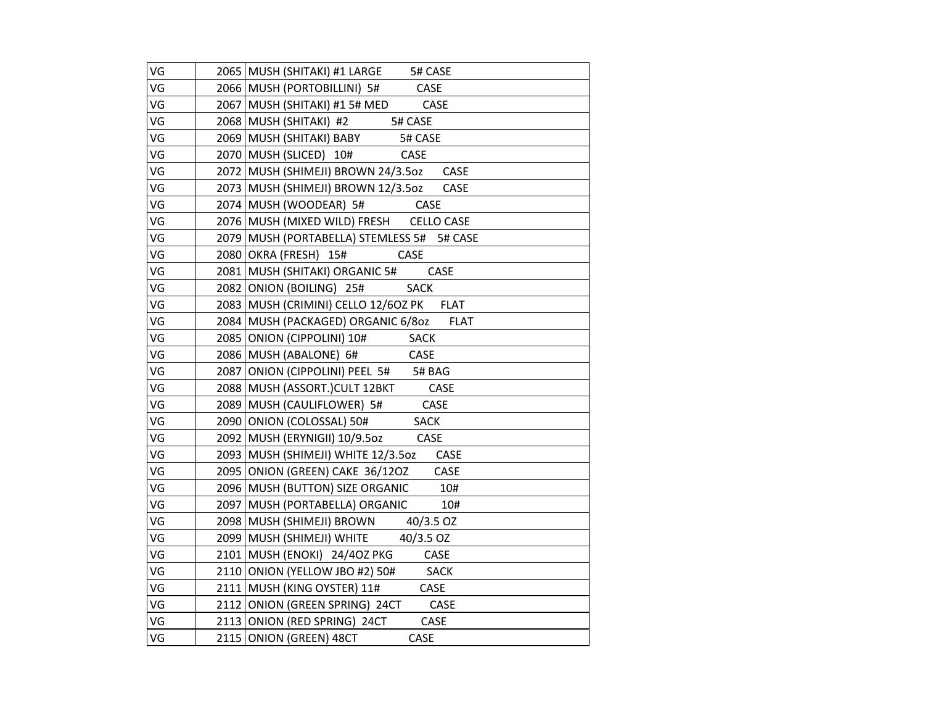| VG | 2065   MUSH (SHITAKI) #1 LARGE 5# CASE                                |
|----|-----------------------------------------------------------------------|
| VG | 2066 MUSH (PORTOBILLINI) 5# CASE                                      |
| VG | 2067 MUSH (SHITAKI) #1 5# MED CASE                                    |
| VG | 2068 MUSH (SHITAKI) #2 5# CASE                                        |
| VG | 2069 MUSH (SHITAKI) BABY<br>5# CASE                                   |
| VG | 2070 MUSH (SLICED) 10# CASE                                           |
| VG | 2072 MUSH (SHIMEJI) BROWN 24/3.50z CASE                               |
| VG | 2073   MUSH (SHIMEJI) BROWN 12/3.5oz<br>CASE                          |
| VG | <b>CASE</b><br>2074   MUSH (WOODEAR) 5#                               |
| VG | 2076 MUSH (MIXED WILD) FRESH CELLO CASE                               |
| VG | 2079 MUSH (PORTABELLA) STEMLESS 5# 5# CASE                            |
| VG | 2080 OKRA (FRESH) 15#<br>CASE                                         |
| VG | 2081   MUSH (SHITAKI) ORGANIC 5#<br>CASE                              |
| VG | 2082 ONION (BOILING) 25# SACK                                         |
| VG | 2083 MUSH (CRIMINI) CELLO 12/60Z PK FLAT                              |
| VG | 2084 MUSH (PACKAGED) ORGANIC 6/80Z FLAT                               |
| VG | 2085 ONION (CIPPOLINI) 10# SACK                                       |
| VG | 2086 MUSH (ABALONE) 6# CASE                                           |
| VG | 2087 ONION (CIPPOLINI) PEEL 5# 5# BAG                                 |
| VG | 2088 MUSH (ASSORT.)CULT 12BKT CASE<br>2089 MUSH (CAULIFLOWER) 5# CASE |
| VG |                                                                       |
| VG | 2090 ONION (COLOSSAL) 50# SACK                                        |
| VG | 2092   MUSH (ERYNIGII) 10/9.5oz<br>CASE                               |
| VG | 2093   MUSH (SHIMEJI) WHITE 12/3.5oz<br>CASE                          |
| VG | 2095 ONION (GREEN) CAKE 36/12OZ CASE                                  |
| VG | 2096 MUSH (BUTTON) SIZE ORGANIC 10#                                   |
| VG | 2097   MUSH (PORTABELLA) ORGANIC<br>10#                               |
| VG | 2098 MUSH (SHIMEJI) BROWN 40/3.5 OZ                                   |
| VG | 2099 MUSH (SHIMEJI) WHITE 40/3.5 OZ                                   |
| VG | 2101 MUSH (ENOKI) 24/40Z PKG CASE                                     |
| VG | 2110 ONION (YELLOW JBO #2) 50# SACK                                   |
| VG | 2111 MUSH (KING OYSTER) 11# CASE                                      |
| VG | 2112 ONION (GREEN SPRING) 24CT CASE                                   |
| VG | 2113 ONION (RED SPRING) 24CT CASE                                     |
| VG | 2115 ONION (GREEN) 48CT<br>CASE                                       |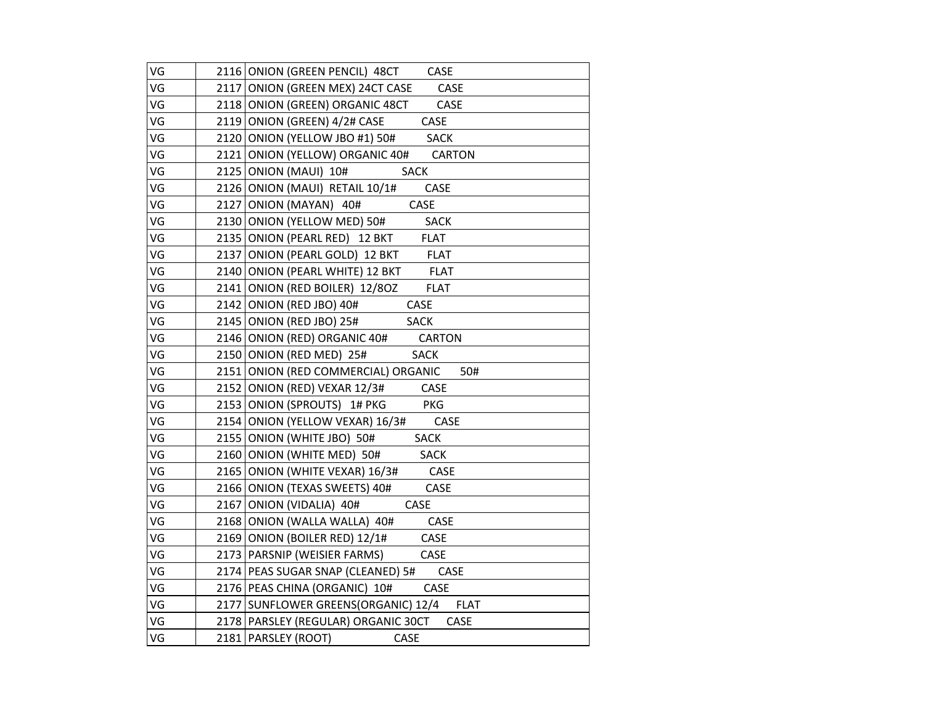| VG | 2116 ONION (GREEN PENCIL) 48CT CASE         |
|----|---------------------------------------------|
| VG | 2117 ONION (GREEN MEX) 24CT CASE CASE       |
| VG | 2118 ONION (GREEN) ORGANIC 48CT CASE        |
| VG | 2119 ONION (GREEN) 4/2# CASE<br><b>CASE</b> |
| VG | 2120 ONION (YELLOW JBO #1) 50# SACK         |
| VG | 2121 ONION (YELLOW) ORGANIC 40# CARTON      |
| VG | 2125 ONION (MAUI) 10#<br><b>SACK</b>        |
| VG | 2126 ONION (MAUI) RETAIL 10/1#<br>CASE      |
| VG | 2127 ONION (MAYAN) 40#<br>CASE              |
| VG | 2130 ONION (YELLOW MED) 50# SACK            |
| VG | 2135 ONION (PEARL RED) 12 BKT FLAT          |
| VG | 2137 ONION (PEARL GOLD) 12 BKT FLAT         |
| VG | 2140 ONION (PEARL WHITE) 12 BKT FLAT        |
| VG | 2141 ONION (RED BOILER) 12/80Z FLAT         |
| VG | CASE<br>2142 ONION (RED JBO) 40#            |
| VG | 2145 ONION (RED JBO) 25# SACK               |
| VG | 2146 ONION (RED) ORGANIC 40# CARTON         |
| VG | 2150 ONION (RED MED) 25# SACK               |
| VG | 2151 ONION (RED COMMERCIAL) ORGANIC<br>50#  |
| VG | 2152 ONION (RED) VEXAR 12/3# CASE           |
| VG | 2153 ONION (SPROUTS) 1# PKG PKG             |
| VG | 2154 ONION (YELLOW VEXAR) 16/3# CASE        |
| VG | 2155 ONION (WHITE JBO) 50# SACK             |
| VG | 2160 ONION (WHITE MED) 50# SACK             |
| VG | 2165 ONION (WHITE VEXAR) 16/3# CASE         |
| VG | 2166 ONION (TEXAS SWEETS) 40# CASE          |
| VG | 2167 ONION (VIDALIA) 40#<br>CASE            |
| VG | 2168 ONION (WALLA WALLA) 40# CASE           |
| VG | 2169 ONION (BOILER RED) 12/1#<br>CASE       |
| VG | 2173   PARSNIP (WEISIER FARMS) CASE         |
| VG | 2174 PEAS SUGAR SNAP (CLEANED) 5# CASE      |
| VG | 2176 PEAS CHINA (ORGANIC) 10# CASE          |
| VG | 2177 SUNFLOWER GREENS (ORGANIC) 12/4 FLAT   |
| VG | 2178 PARSLEY (REGULAR) ORGANIC 30CT<br>CASE |
| VG | 2181 PARSLEY (ROOT)<br>CASE                 |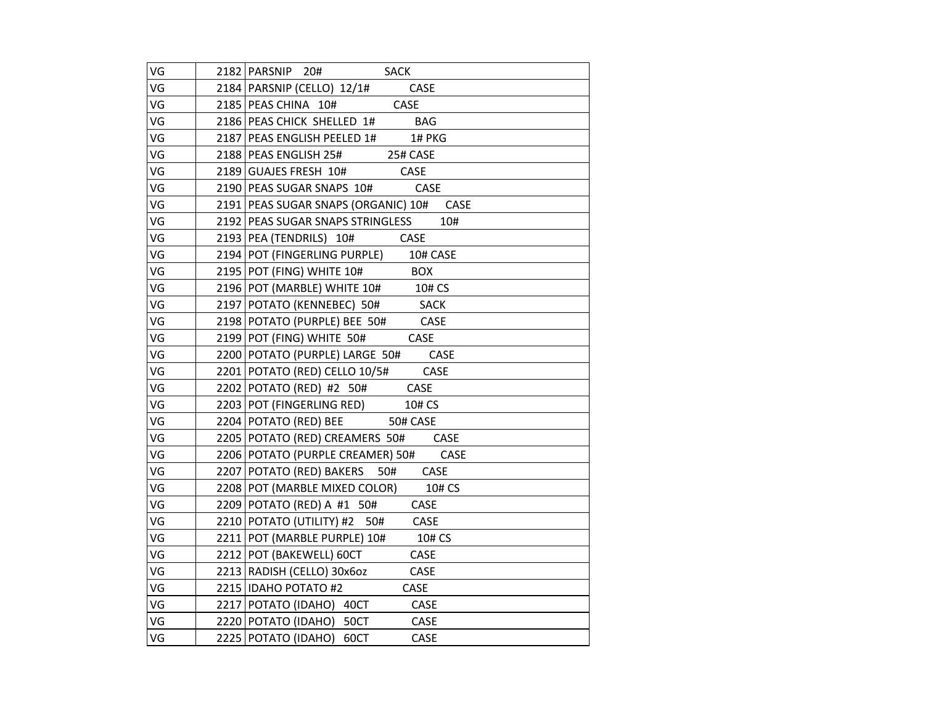| VG | 2182 PARSNIP 20# SACK                                             |
|----|-------------------------------------------------------------------|
| VG | 2184   PARSNIP (CELLO) 12/1#<br>CASE                              |
| VG | 2185 PEAS CHINA 10# CASE                                          |
| VG | 2186 PEAS CHICK SHELLED 1# BAG                                    |
| VG | 2187 PEAS ENGLISH PEELED 1# 1# PKG                                |
| VG | 2188 PEAS ENGLISH 25# 25# CASE                                    |
| VG | 2189 GUAJES FRESH 10# CASE                                        |
| VG | 2190 PEAS SUGAR SNAPS 10# CASE                                    |
| VG | 2191   PEAS SUGAR SNAPS (ORGANIC) 10# CASE                        |
| VG | 2192 PEAS SUGAR SNAPS STRINGLESS<br>10#                           |
| VG | 2193 PEA (TENDRILS) 10# CASE                                      |
| VG | 2194 POT (FINGERLING PURPLE) 10# CASE                             |
| VG | 2195 POT (FING) WHITE 10# BOX                                     |
| VG | 2196 POT (MARBLE) WHITE 10# 10# CS                                |
| VG | 2197 POTATO (KENNEBEC) 50# SACK                                   |
| VG | 2198 POTATO (PURPLE) BEE 50# CASE                                 |
| VG | 2199 POT (FING) WHITE 50# CASE                                    |
| VG | 2200 POTATO (PURPLE) LARGE 50# CASE                               |
| VG | 2201 POTATO (RED) CELLO 10/5# CASE                                |
| VG | 2202 POTATO (RED) #2 50# CASE<br>2203 POT (FINGERLING RED) 10# CS |
| VG |                                                                   |
| VG | 2204   POTATO (RED) BEE 50# CASE                                  |
| VG | 2205 POTATO (RED) CREAMERS 50# CASE                               |
| VG | 2206 POTATO (PURPLE CREAMER) 50# CASE                             |
| VG | 2207 POTATO (RED) BAKERS 50# CASE                                 |
| VG | 2208 POT (MARBLE MIXED COLOR) 10# CS                              |
| VG | $2209$ POTATO (RED) A #1 50# CASE                                 |
| VG | 2210 POTATO (UTILITY) #2 50# CASE                                 |
| VG | 2211 POT (MARBLE PURPLE) 10# 10# CS                               |
| VG | CASE<br>2212 POT (BAKEWELL) 60CT                                  |
| VG | 2213   RADISH (CELLO) 30x6oz<br>CASE                              |
| VG | 2215 IDAHO POTATO #2<br>CASE                                      |
| VG | 2217 POTATO (IDAHO) 40CT<br>CASE                                  |
| VG | 2220 POTATO (IDAHO) 50CT<br>CASE                                  |
| VG | 2225 POTATO (IDAHO) 60CT<br>CASE                                  |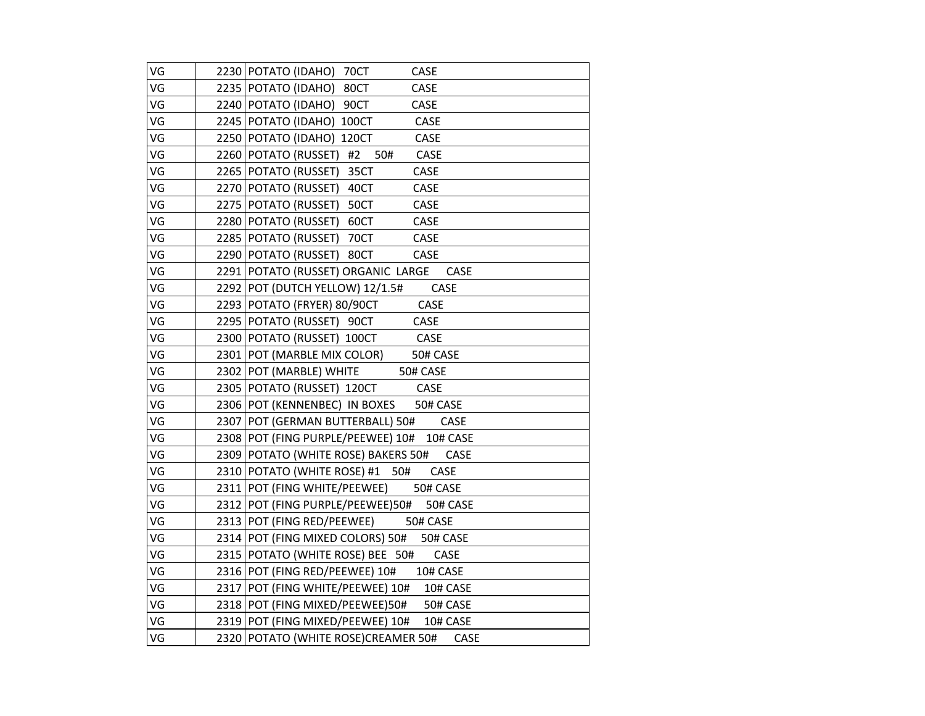| VG | 2230 POTATO (IDAHO) 70CT<br>CASE            |
|----|---------------------------------------------|
| VG | 2235 POTATO (IDAHO) 80CT<br>CASE            |
| VG | 2240 POTATO (IDAHO) 90CT<br>CASE            |
| VG | 2245 POTATO (IDAHO) 100CT<br>CASE           |
| VG | CASE<br>2250 POTATO (IDAHO) 120CT           |
| VG | 2260 POTATO (RUSSET) #2<br>50#<br>CASE      |
| VG | 2265   POTATO (RUSSET) 35CT<br>CASE         |
| VG | 2270 POTATO (RUSSET) 40CT<br>CASE           |
| VG | 2275   POTATO (RUSSET) 50CT<br>CASE         |
| VG | 2280 POTATO (RUSSET) 60CT<br>CASE           |
| VG | 2285 POTATO (RUSSET) 70CT<br>CASE           |
| VG | 2290 POTATO (RUSSET) 80CT<br>CASE           |
| VG | 2291 POTATO (RUSSET) ORGANIC LARGE<br>CASE  |
| VG | 2292 POT (DUTCH YELLOW) 12/1.5#<br>CASE     |
| VG | CASE<br>2293   POTATO (FRYER) 80/90CT       |
| VG | 2295 POTATO (RUSSET) 90CT<br>CASE           |
| VG | 2300 POTATO (RUSSET) 100CT CASE             |
| VG | 2301 POT (MARBLE MIX COLOR) 50# CASE        |
| VG | 50# CASE<br>2302 POT (MARBLE) WHITE         |
| VG | 2305 POTATO (RUSSET) 120CT CASE             |
| VG | 2306 POT (KENNENBEC) IN BOXES 50# CASE      |
| VG | 2307 POT (GERMAN BUTTERBALL) 50#<br>CASE    |
| VG | 2308 POT (FING PURPLE/PEEWEE) 10# 10# CASE  |
| VG | 2309 POTATO (WHITE ROSE) BAKERS 50# CASE    |
| VG | 2310 POTATO (WHITE ROSE) #1 50#<br>CASE     |
| VG | 2311 POT (FING WHITE/PEEWEE) 50# CASE       |
| VG | 2312 POT (FING PURPLE/PEEWEE)50# 50# CASE   |
| VG | 2313 POT (FING RED/PEEWEE) 50# CASE         |
| VG | 2314 POT (FING MIXED COLORS) 50# 50# CASE   |
| VG | 2315 POTATO (WHITE ROSE) BEE 50#<br>CASE    |
| VG | 2316 POT (FING RED/PEEWEE) 10# 10# CASE     |
| VG | 2317 POT (FING WHITE/PEEWEE) 10# 10# CASE   |
| VG | 2318 POT (FING MIXED/PEEWEE)50# 50# CASE    |
| VG | 2319 POT (FING MIXED/PEEWEE) 10# 10# CASE   |
| VG | 2320 POTATO (WHITE ROSE)CREAMER 50#<br>CASE |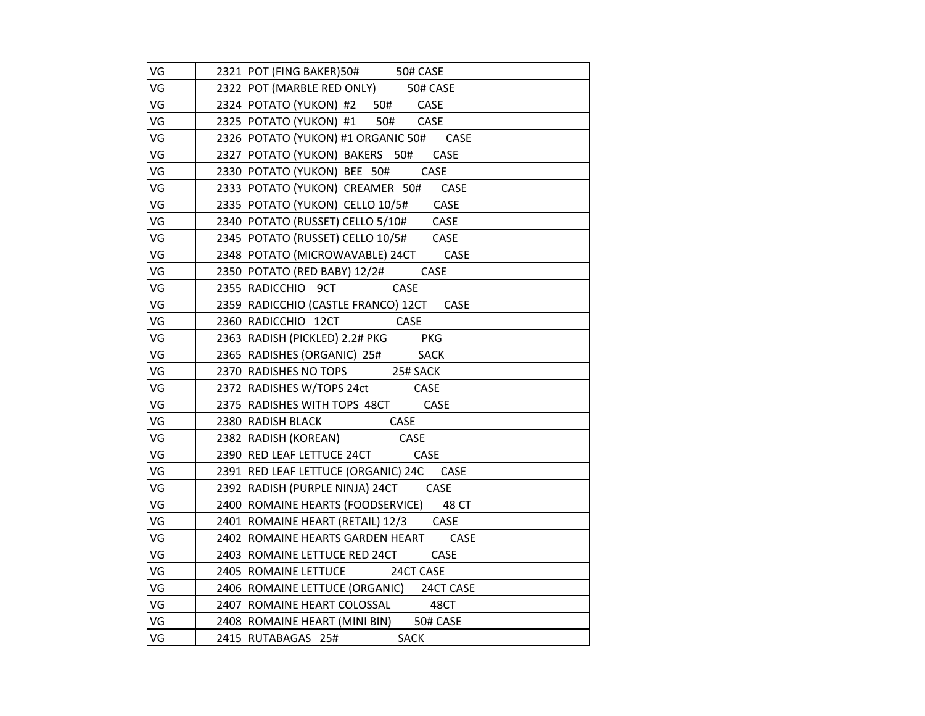| VG | 2321 POT (FING BAKER) 50# 50# CASE              |
|----|-------------------------------------------------|
| VG | 2322 POT (MARBLE RED ONLY) 50# CASE             |
| VG | 2324 POTATO (YUKON) #2 50# CASE                 |
| VG | 2325 POTATO (YUKON) #1 50# CASE                 |
| VG | 2326 POTATO (YUKON) #1 ORGANIC 50# CASE         |
| VG | 2327 POTATO (YUKON) BAKERS 50# CASE             |
| VG | 2330 POTATO (YUKON) BEE 50# CASE                |
| VG | 2333 POTATO (YUKON) CREAMER 50# CASE            |
| VG | 2335 POTATO (YUKON) CELLO 10/5# CASE            |
| VG | 2340 POTATO (RUSSET) CELLO 5/10# CASE           |
| VG | 2345   POTATO (RUSSET) CELLO 10/5# CASE         |
| VG | 2348 POTATO (MICROWAVABLE) 24CT CASE            |
| VG | 2350 POTATO (RED BABY) 12/2# CASE               |
| VG | 2355 RADICCHIO 9CT CASE                         |
| VG | 2359 RADICCHIO (CASTLE FRANCO) 12CT CASE        |
| VG | 2360 RADICCHIO 12CT CASE                        |
| VG | 2363 RADISH (PICKLED) 2.2# PKG PKG              |
| VG | 2365 RADISHES (ORGANIC) 25# SACK                |
| VG | 2370 RADISHES NO TOPS 25# SACK                  |
| VG | 2370 MUSIC ME<br>2372 RADISHES W/TOPS 24ct CASE |
| VG | 2375 RADISHES WITH TOPS 48CT CASE               |
| VG | 2380 RADISH BLACK CASE                          |
| VG | 2382 RADISH (KOREAN) CASE                       |
| VG | 2390 RED LEAF LETTUCE 24CT CASE                 |
| VG | 2391 RED LEAF LETTUCE (ORGANIC) 24C CASE        |
| VG | 2392 RADISH (PURPLE NINJA) 24CT CASE            |
| VG | 2400   ROMAINE HEARTS (FOODSERVICE) 48 CT       |
| VG | 2401 ROMAINE HEART (RETAIL) 12/3 CASE           |
| VG | 2402 ROMAINE HEARTS GARDEN HEART CASE           |
| VG | 2403   ROMAINE LETTUCE RED 24CT<br>CASE         |
| VG | 2405 ROMAINE LETTUCE 24CT CASE                  |
| VG | 2406 ROMAINE LETTUCE (ORGANIC) 24CT CASE        |
| VG | 2407   ROMAINE HEART COLOSSAL 48CT              |
| VG | 2408 ROMAINE HEART (MINI BIN) 50# CASE          |
| VG | 2415 RUTABAGAS 25#<br>SACK                      |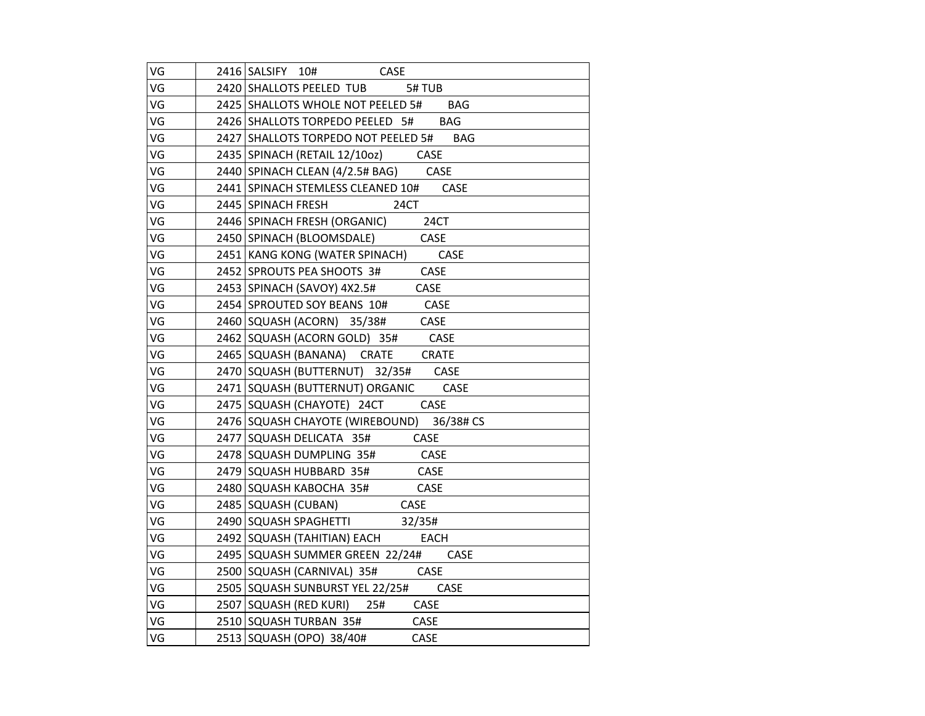| VG | 2416 SALSIFY 10# CASE                     |
|----|-------------------------------------------|
| VG | 2420 SHALLOTS PEELED TUB 5# TUB           |
| VG | 2425 SHALLOTS WHOLE NOT PEELED 5# BAG     |
| VG | 2426 SHALLOTS TORPEDO PEELED 5# BAG       |
| VG | 2427 SHALLOTS TORPEDO NOT PEELED 5# BAG   |
| VG | 2435 SPINACH (RETAIL 12/10oz) CASE        |
| VG | 2440 SPINACH CLEAN (4/2.5# BAG) CASE      |
| VG | 2441 SPINACH STEMLESS CLEANED 10# CASE    |
| VG | 2445 SPINACH FRESH<br>24CT                |
| VG | 2446 SPINACH FRESH (ORGANIC) 24CT         |
| VG | 2450 SPINACH (BLOOMSDALE) CASE            |
| VG | 2451 KANG KONG (WATER SPINACH) CASE       |
| VG | 2452 SPROUTS PEA SHOOTS 3# CASE           |
| VG | 2453 SPINACH (SAVOY) 4X2.5# CASE          |
| VG | 2454 SPROUTED SOY BEANS 10# CASE          |
| VG | 2460 SQUASH (ACORN) 35/38# CASE           |
| VG | 2462 SQUASH (ACORN GOLD) 35# CASE         |
| VG | 2465 SQUASH (BANANA) CRATE CRATE          |
| VG | 2470 SQUASH (BUTTERNUT) 32/35# CASE       |
| VG | 2471 SQUASH (BUTTERNUT) ORGANIC CASE      |
| VG | 2475 SQUASH (CHAYOTE) 24CT CASE           |
| VG | 2476 SQUASH CHAYOTE (WIREBOUND) 36/38# CS |
| VG | 2477 SQUASH DELICATA 35# CASE             |
| VG | 2478 SQUASH DUMPLING 35# CASE             |
| VG | 2479 SQUASH HUBBARD 35# CASE              |
| VG | 2480 SQUASH KABOCHA 35# CASE              |
| VG | 2485   SQUASH (CUBAN) CASE                |
| VG | 2485 SQUASH SPAGHETTI 32/35#              |
| VG | 2492 SQUASH (TAHITIAN) EACH EACH          |
| VG | 2495 SQUASH SUMMER GREEN 22/24# CASE      |
| VG | 2500   SQUASH (CARNIVAL) 35# CASE         |
| VG | 2505   SQUASH SUNBURST YEL 22/25# CASE    |
| VG | 2507 SQUASH (RED KURI) 25# CASE           |
| VG | 2510 SQUASH TURBAN 35# CASE               |
| VG | 2513   SQUASH (OPO) 38/40#<br>CASE        |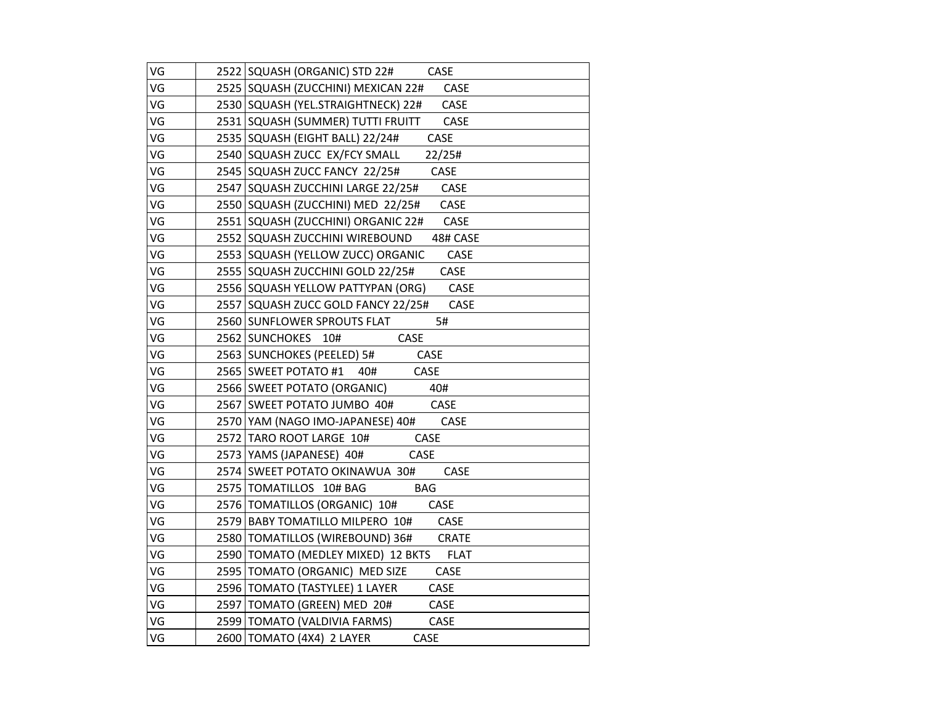| VG | 2522 SQUASH (ORGANIC) STD 22# CASE               |
|----|--------------------------------------------------|
| VG | 2525   SQUASH (ZUCCHINI) MEXICAN 22# CASE        |
| VG | 2530 SQUASH (YEL.STRAIGHTNECK) 22# CASE          |
| VG | 2531 SQUASH (SUMMER) TUTTI FRUITT CASE           |
| VG | 2535 SQUASH (EIGHT BALL) 22/24# CASE             |
| VG | 2540 SQUASH ZUCC EX/FCY SMALL 22/25#             |
| VG | 2545   SQUASH ZUCC FANCY 22/25# CASE             |
| VG | 2547 SQUASH ZUCCHINI LARGE 22/25# CASE           |
| VG | 2550 SQUASH (ZUCCHINI) MED 22/25# CASE           |
| VG | 2551 SQUASH (ZUCCHINI) ORGANIC 22# CASE          |
| VG | 2552 SQUASH ZUCCHINI WIREBOUND<br>48# CASE       |
| VG | 2553 SQUASH (YELLOW ZUCC) ORGANIC<br><b>CASE</b> |
| VG | 2555 SQUASH ZUCCHINI GOLD 22/25#<br>CASE         |
| VG | 2556 SQUASH YELLOW PATTYPAN (ORG) CASE           |
| VG | 2557 SQUASH ZUCC GOLD FANCY 22/25# CASE          |
| VG | 2560 SUNFLOWER SPROUTS FLAT<br>5#                |
| VG | 2562 SUNCHOKES 10# CASE                          |
| VG | 2563 SUNCHOKES (PEELED) 5# CASE                  |
| VG | 2565 SWEET POTATO #1 40# CASE                    |
| VG | 2566 SWEET POTATO (ORGANIC) 40#                  |
| VG | 2567 SWEET POTATO JUMBO 40# CASE                 |
| VG | CASE<br>2570   YAM (NAGO IMO-JAPANESE) 40#       |
| VG | 2572 TARO ROOT LARGE 10# CASE                    |
| VG | 2573 YAMS (JAPANESE) 40#<br><b>CASE</b>          |
| VG | 2574 SWEET POTATO OKINAWUA 30# CASE              |
| VG | 2575 TOMATILLOS 10# BAG<br><b>BAG</b>            |
| VG | 2576   TOMATILLOS (ORGANIC) 10# CASE             |
| VG | 2579 BABY TOMATILLO MILPERO 10# CASE             |
| VG | 2580 TOMATILLOS (WIREBOUND) 36# CRATE            |
| VG | 2590 TOMATO (MEDLEY MIXED) 12 BKTS FLAT          |
| VG | 2595   TOMATO (ORGANIC) MED SIZE CASE            |
| VG | 2596 TOMATO (TASTYLEE) 1 LAYER CASE              |
| VG | 2597 TOMATO (GREEN) MED 20# CASE                 |
| VG | 2599 TOMATO (VALDIVIA FARMS)<br>CASE             |
| VG | 2600 TOMATO (4X4) 2 LAYER<br>CASE                |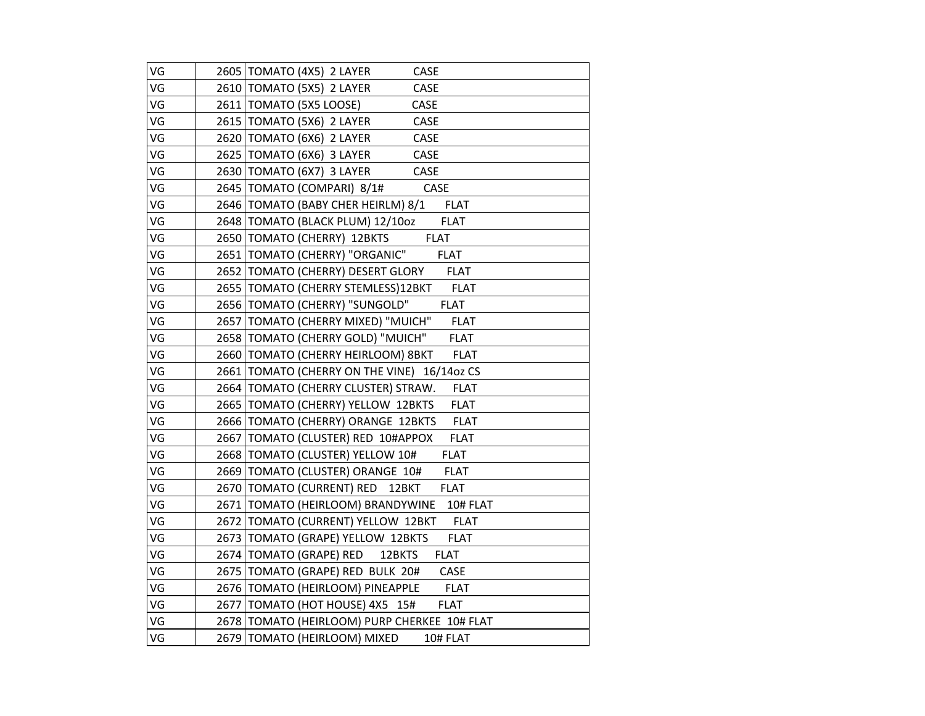| VG | 2605   TOMATO (4X5) 2 LAYER<br><b>CASE</b>          |
|----|-----------------------------------------------------|
| VG | 2610 TOMATO (5X5) 2 LAYER<br><b>CASE</b>            |
| VG | 2611   TOMATO (5X5 LOOSE)<br>CASE                   |
| VG | 2615   TOMATO (5X6) 2 LAYER<br>CASE                 |
| VG | 2620 TOMATO (6X6) 2 LAYER<br>CASE                   |
| VG | 2625   TOMATO (6X6) 3 LAYER<br>CASE                 |
| VG | 2630 TOMATO (6X7) 3 LAYER<br>CASE                   |
| VG | 2645   TOMATO (COMPARI) 8/1#<br>CASE                |
| VG | 2646   TOMATO (BABY CHER HEIRLM) 8/1 FLAT           |
| VG | 2648   TOMATO (BLACK PLUM) 12/10oz<br><b>FLAT</b>   |
| VG | 2650 TOMATO (CHERRY) 12BKTS<br><b>FLAT</b>          |
| VG | 2651   TOMATO (CHERRY) "ORGANIC"<br><b>FLAT</b>     |
| VG | 2652   TOMATO (CHERRY) DESERT GLORY FLAT            |
| VG | 2655   TOMATO (CHERRY STEMLESS)12BKT<br><b>FLAT</b> |
| VG | 2656 TOMATO (CHERRY) "SUNGOLD"<br><b>FLAT</b>       |
| VG | 2657 TOMATO (CHERRY MIXED) "MUICH" FLAT             |
| VG | 2658 TOMATO (CHERRY GOLD) "MUICH"<br><b>FLAT</b>    |
| VG | 2660 TOMATO (CHERRY HEIRLOOM) 8BKT FLAT             |
| VG | 2661 TOMATO (CHERRY ON THE VINE) 16/14oz CS         |
| VG | 2664   TOMATO (CHERRY CLUSTER) STRAW.<br>FLAT       |
| VG | 2665   TOMATO (CHERRY) YELLOW 12BKTS<br><b>FLAT</b> |
| VG | <b>FLAT</b><br>2666 TOMATO (CHERRY) ORANGE 12BKTS   |
| VG | 2667   TOMATO (CLUSTER) RED 10#APPOX<br><b>FLAT</b> |
| VG | 2668 TOMATO (CLUSTER) YELLOW 10#<br><b>FLAT</b>     |
| VG | 2669 TOMATO (CLUSTER) ORANGE 10#<br><b>FLAT</b>     |
| VG | 2670 TOMATO (CURRENT) RED 12BKT<br><b>FLAT</b>      |
| VG | 2671   TOMATO (HEIRLOOM) BRANDYWINE 10# FLAT        |
| VG | 2672 TOMATO (CURRENT) YELLOW 12BKT<br><b>FLAT</b>   |
| VG | <b>FLAT</b><br>2673 TOMATO (GRAPE) YELLOW 12BKTS    |
| VG | 2674 TOMATO (GRAPE) RED 12BKTS<br><b>FLAT</b>       |
| VG | 2675   TOMATO (GRAPE) RED BULK 20#<br>CASE          |
| VG | 2676 TOMATO (HEIRLOOM) PINEAPPLE FLAT               |
| VG | 2677 TOMATO (HOT HOUSE) 4X5 15#<br><b>FLAT</b>      |
| VG | 2678 TOMATO (HEIRLOOM) PURP CHERKEE 10# FLAT        |
| VG | 2679   TOMATO (HEIRLOOM) MIXED<br>10# FLAT          |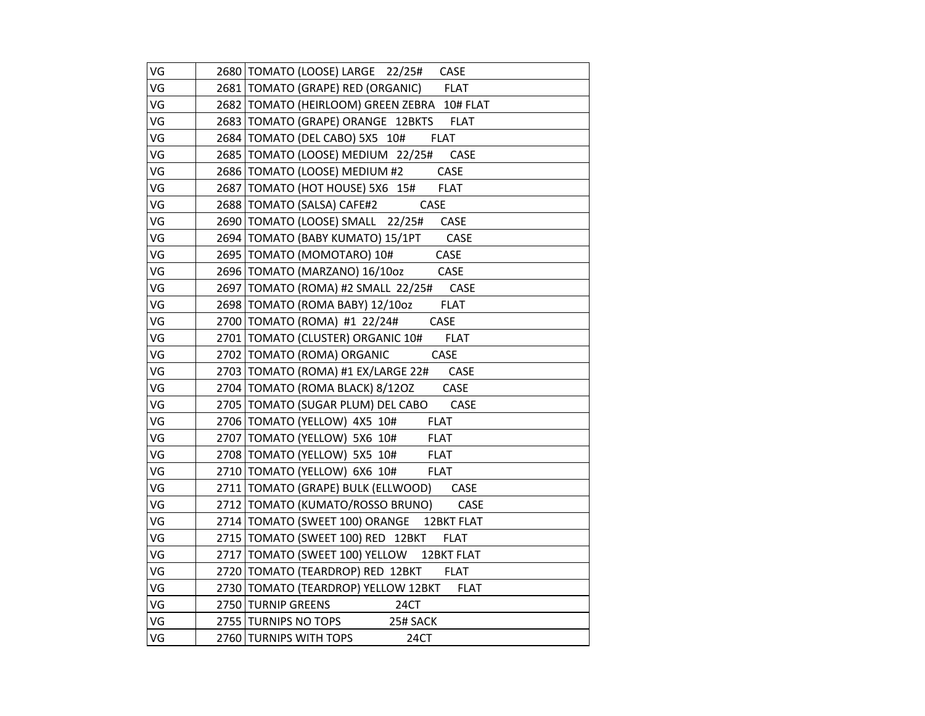| VG | 2680 TOMATO (LOOSE) LARGE 22/25# CASE                      |
|----|------------------------------------------------------------|
| VG | 2681   TOMATO (GRAPE) RED (ORGANIC) FLAT                   |
| VG | 2682 TOMATO (HEIRLOOM) GREEN ZEBRA 10# FLAT                |
| VG | 2683 TOMATO (GRAPE) ORANGE 12BKTS FLAT                     |
| VG | 2684 TOMATO (DEL CABO) 5X5 10#<br><b>FLAT</b>              |
| VG | 2685   TOMATO (LOOSE) MEDIUM 22/25#<br>CASE                |
| VG | 2686   ТОМАТО (LOOSE) <u>МЕDIUM #2            </u><br>CASE |
| VG | 2687   TOMATO (HOT HOUSE) 5X6 15# FLAT                     |
| VG | 2688   TOMATO (SALSA) CAFE#2<br>CASE                       |
| VG | 2690 TOMATO (LOOSE) SMALL 22/25# CASE                      |
| VG | 2694 TOMATO (BABY KUMATO) 15/1PT CASE                      |
| VG | 2695   TOMATO (MOMOTARO) 10# CASE                          |
| VG | 2696 TOMATO (MARZANO) 16/10oz CASE                         |
| VG | 2697   TOMATO (ROMA) #2 SMALL 22/25# CASE                  |
| VG | 2698   TOMATO (ROMA BABY) 12/10oz FLAT                     |
| VG | 2700 TOMATO (ROMA) #1 22/24#<br>CASE                       |
| VG | 2701   TOMATO (CLUSTER) ORGANIC 10# FLAT                   |
| VG | 2702 TOMATO (ROMA) ORGANIC<br><b>CASE</b>                  |
| VG | 2703 TOMATO (ROMA) #1 EX/LARGE 22# CASE                    |
| VG | 2704   TOMATO (ROMA BLACK) 8/120Z CASE                     |
| VG | 2705   TOMATO (SUGAR PLUM) DEL CABO CASE                   |
| VG | <b>FLAT</b><br>2706 TOMATO (YELLOW) 4X5 10#                |
| VG | 2707   TOMATO (YELLOW) 5X6 10#<br><b>FLAT</b>              |
| VG | 2708 TOMATO (YELLOW) 5X5 10#<br><b>FLAT</b>                |
| VG | 2710 TOMATO (YELLOW) 6X6 10#<br><b>FLAT</b>                |
| VG | 2711   TOMATO (GRAPE) BULK (ELLWOOD) CASE                  |
| VG | 2712 TOMATO (KUMATO/ROSSO BRUNO) CASE                      |
| VG | 2714 TOMATO (SWEET 100) ORANGE 12BKT FLAT                  |
| VG | 2715 TOMATO (SWEET 100) RED 12BKT<br><b>FLAT</b>           |
| VG | 2717 TOMATO (SWEET 100) YELLOW 12BKT FLAT                  |
| VG | 2720 TOMATO (TEARDROP) RED 12BKT FLAT                      |
| VG | 2730 TOMATO (TEARDROP) YELLOW 12BKT FLAT                   |
| VG | $\frac{1}{24CT}$<br>2750 TURNIP GREENS                     |
| VG | 2755 TURNIPS NO TOPS<br>25# SACK                           |
| VG | 2760 TURNIPS WITH TOPS<br>24CT                             |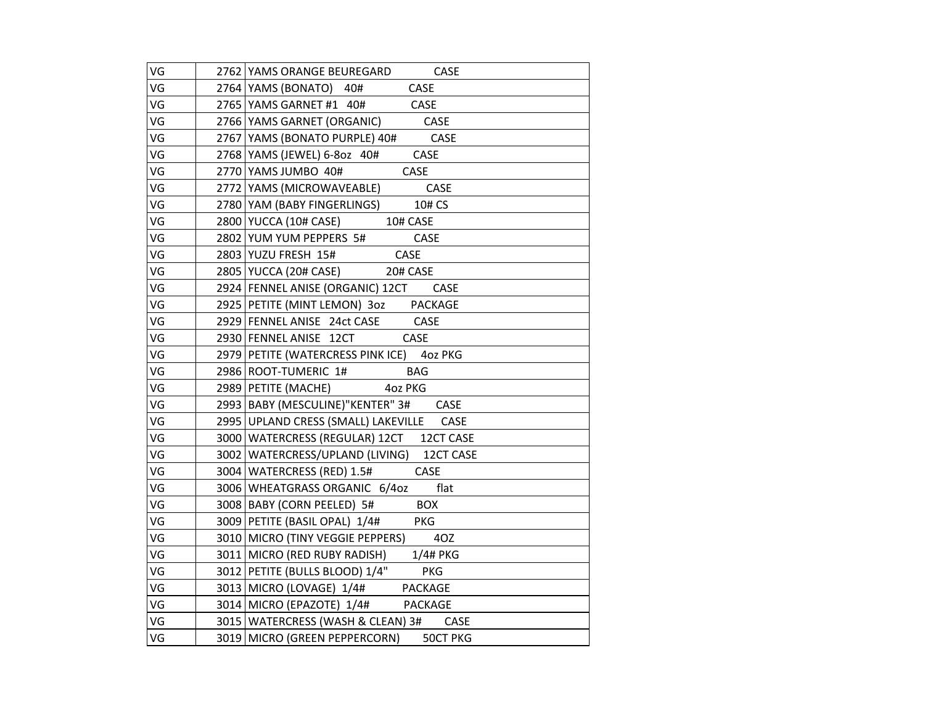| VG | 2762 YAMS ORANGE BEUREGARD CASE             |
|----|---------------------------------------------|
| VG | <b>CASE</b><br>2764 YAMS (BONATO) 40#       |
| VG | 2765 YAMS GARNET #1 40# CASE                |
| VG | 2766 YAMS GARNET (ORGANIC) CASE             |
| VG | 2767 YAMS (BONATO PURPLE) 40# CASE          |
| VG | 2768 YAMS (JEWEL) 6-802 40# CASE            |
| VG | 2770 YAMS JUMBO 40# CASE                    |
| VG | 2772 YAMS (MICROWAVEABLE) CASE              |
| VG | 2780 YAM (BABY FINGERLINGS) 10# CS          |
| VG | 2800 YUCCA (10# CASE) 10# CASE              |
| VG | 2802 YUM YUM PEPPERS 5# CASE                |
| VG | 2803 YUZU FRESH 15# CASE                    |
| VG | 2805 YUCCA (20# CASE) 20# CASE              |
| VG | 2924 FENNEL ANISE (ORGANIC) 12CT CASE       |
| VG | 2925 PETITE (MINT LEMON) 30z PACKAGE        |
| VG | 2929 FENNEL ANISE 24ct CASE CASE            |
| VG | 2930 FENNEL ANISE 12CT CASE                 |
| VG | 2979 PETITE (WATERCRESS PINK ICE) 402 PKG   |
| VG | 2986 ROOT-TUMERIC 1# BAG                    |
| VG | 2989 PETITE (MACHE) 402 PKG                 |
| VG | 2993 BABY (MESCULINE)"KENTER" 3# CASE       |
| VG | 2995 UPLAND CRESS (SMALL) LAKEVILLE CASE    |
| VG | 3000 WATERCRESS (REGULAR) 12CT 12CT CASE    |
| VG | 3002   WATERCRESS/UPLAND (LIVING) 12CT CASE |
| VG | 3004 WATERCRESS (RED) 1.5# CASE             |
| VG | 3006 WHEATGRASS ORGANIC 6/4oz flat          |
| VG | 3008 BABY (CORN PEELED) 5# BOX              |
| VG | 3009 PETITE (BASIL OPAL) 1/4# PKG           |
| VG | 3010   MICRO (TINY VEGGIE PEPPERS) 40Z      |
| VG | 3011 MICRO (RED RUBY RADISH) 1/4# PKG       |
| VG | 3012 PETITE (BULLS BLOOD) 1/4" PKG          |
| VG | 3013 MICRO (LOVAGE) 1/4# PACKAGE            |
| VG | 3014 MICRO (EPAZOTE) 1/4# PACKAGE           |
| VG | 3015   WATERCRESS (WASH & CLEAN) 3# CASE    |
| VG | 3019 MICRO (GREEN PEPPERCORN) 50CT PKG      |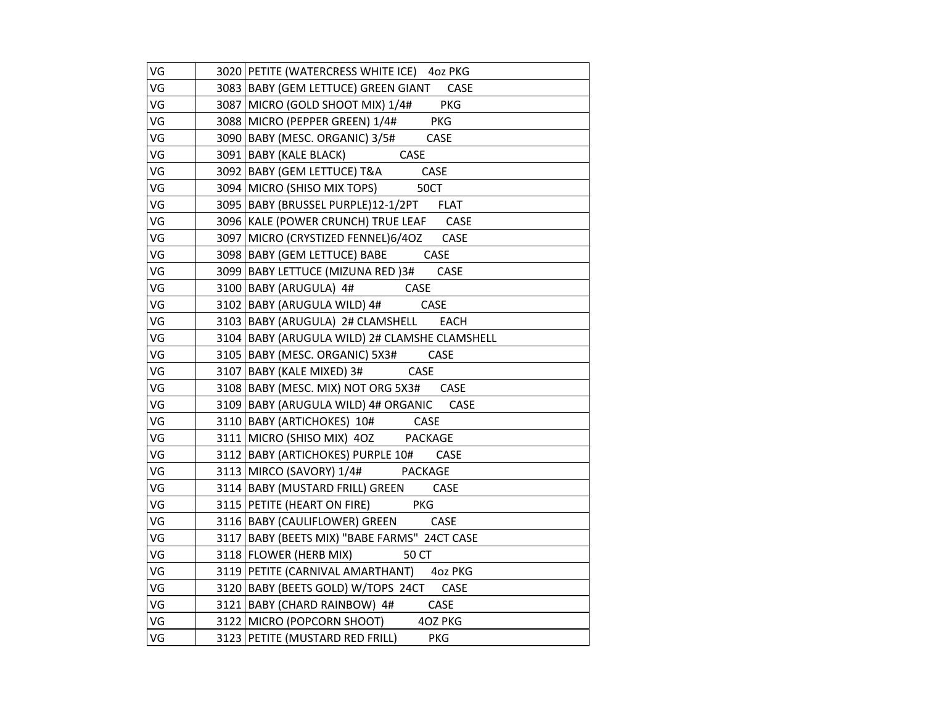| VG | 3020 PETITE (WATERCRESS WHITE ICE) 40Z PKG    |
|----|-----------------------------------------------|
| VG | 3083 BABY (GEM LETTUCE) GREEN GIANT CASE      |
| VG | 3087 MICRO (GOLD SHOOT MIX) 1/4# PKG          |
| VG | 3088 MICRO (PEPPER GREEN) 1/4# PKG            |
| VG | 3090 BABY (MESC. ORGANIC) 3/5# CASE           |
| VG | 3091 BABY (KALE BLACK) CASE                   |
| VG | 3092 BABY (GEM LETTUCE) T&A CASE              |
| VG | 3094 MICRO (SHISO MIX TOPS) 50CT              |
| VG | 3095 BABY (BRUSSEL PURPLE)12-1/2PT FLAT       |
| VG | 3096 KALE (POWER CRUNCH) TRUE LEAF CASE       |
| VG | 3097 MICRO (CRYSTIZED FENNEL)6/4OZ CASE       |
| VG | 3098 BABY (GEM LETTUCE) BABE CASE             |
| VG | 3099 BABY LETTUCE (MIZUNA RED) 3# CASE        |
| VG | 3100 BABY (ARUGULA) 4# CASE                   |
| VG | 3102 BABY (ARUGULA WILD) 4# CASE              |
| VG | 3103 BABY (ARUGULA) 2# CLAMSHELL EACH         |
| VG | 3104 BABY (ARUGULA WILD) 2# CLAMSHE CLAMSHELL |
| VG | 3105   BABY (MESC. ORGANIC) 5X3# CASE         |
| VG | 3107 BABY (KALE MIXED) 3# CASE                |
| VG | 3108 BABY (MESC. MIX) NOT ORG 5X3# CASE       |
| VG | 3109 BABY (ARUGULA WILD) 4# ORGANIC CASE      |
| VG | 3110 BABY (ARTICHOKES) 10# CASE               |
| VG | 3111 MICRO (SHISO MIX) 40Z PACKAGE            |
| VG | 3112 BABY (ARTICHOKES) PURPLE 10# CASE        |
| VG | 3113 MIRCO (SAVORY) 1/4# PACKAGE              |
| VG | 3114 BABY (MUSTARD FRILL) GREEN CASE          |
| VG | 3115 PETITE (HEART ON FIRE) PKG               |
| VG | 3116 BABY (CAULIFLOWER) GREEN CASE            |
| VG | 3117 BABY (BEETS MIX) "BABE FARMS" 24CT CASE  |
| VG | 3118 FLOWER (HERB MIX) 50 CT                  |
| VG | 3119 PETITE (CARNIVAL AMARTHANT) 402 PKG      |
| VG | 3120 BABY (BEETS GOLD) W/TOPS 24CT CASE       |
| VG | 3121 BABY (CHARD RAINBOW) 4# CASE             |
| VG | 3122 MICRO (POPCORN SHOOT) 40Z PKG            |
| VG | 3123 PETITE (MUSTARD RED FRILL) PKG           |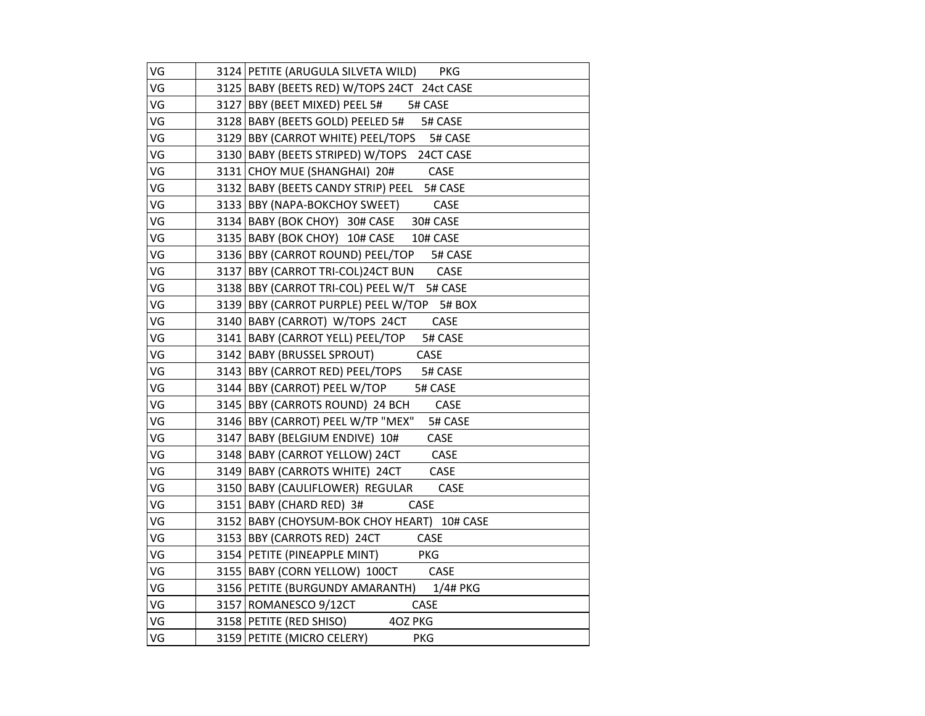| VG | 3124 PETITE (ARUGULA SILVETA WILD) PKG      |
|----|---------------------------------------------|
| VG | 3125 BABY (BEETS RED) W/TOPS 24CT 24ct CASE |
| VG | 3127 BBY (BEET MIXED) PEEL 5# 5# CASE       |
| VG | 3128 BABY (BEETS GOLD) PEELED 5# 5# CASE    |
| VG | 3129 BBY (CARROT WHITE) PEEL/TOPS 5# CASE   |
| VG | 3130 BABY (BEETS STRIPED) W/TOPS 24CT CASE  |
| VG | 3131 CHOY MUE (SHANGHAI) 20# CASE           |
| VG | 3132 BABY (BEETS CANDY STRIP) PEEL 5# CASE  |
| VG | 3133 BBY (NAPA-BOKCHOY SWEET) CASE          |
| VG | 3134 BABY (BOK CHOY) 30# CASE 30# CASE      |
| VG | 3135 BABY (BOK CHOY) 10# CASE 10# CASE      |
| VG | 3136 BBY (CARROT ROUND) PEEL/TOP 5# CASE    |
| VG | 3137 BBY (CARROT TRI-COL)24CT BUN CASE      |
| VG | 3138 BBY (CARROT TRI-COL) PEEL W/T 5# CASE  |
| VG | 3139 BBY (CARROT PURPLE) PEEL W/TOP 5# BOX  |
| VG | 3140 BABY (CARROT) W/TOPS 24CT CASE         |
| VG | 3141   BABY (CARROT YELL) PEEL/TOP 5# CASE  |
| VG | 3142 BABY (BRUSSEL SPROUT) CASE             |
| VG | 3143 BBY (CARROT RED) PEEL/TOPS 5# CASE     |
| VG | 3144 BBY (CARROT) PEEL W/TOP 5# CASE        |
| VG | 3145 BBY (CARROTS ROUND) 24 BCH CASE        |
| VG | 3146 BBY (CARROT) PEEL W/TP "MEX" 5# CASE   |
| VG | 3147 BABY (BELGIUM ENDIVE) 10# CASE         |
| VG | 3148 BABY (CARROT YELLOW) 24CT CASE         |
| VG | 3149 BABY (CARROTS WHITE) 24CT CASE         |
| VG | 3150 BABY (CAULIFLOWER) REGULAR CASE        |
| VG | 3151 BABY (CHARD RED) 3# CASE               |
| VG | 3152 BABY (CHOYSUM-BOK CHOY HEART) 10# CASE |
| VG | 3153 BBY (CARROTS RED) 24CT CASE            |
| VG | 3154 PETITE (PINEAPPLE MINT) PKG            |
| VG | 3155 BABY (CORN YELLOW) 100CT CASE          |
| VG | 3156 PETITE (BURGUNDY AMARANTH) 1/4# PKG    |
| VG | 3157 ROMANESCO 9/12CT CASE                  |
| VG | 3158 PETITE (RED SHISO) 40Z PKG             |
| VG | 3159 PETITE (MICRO CELERY) PKG              |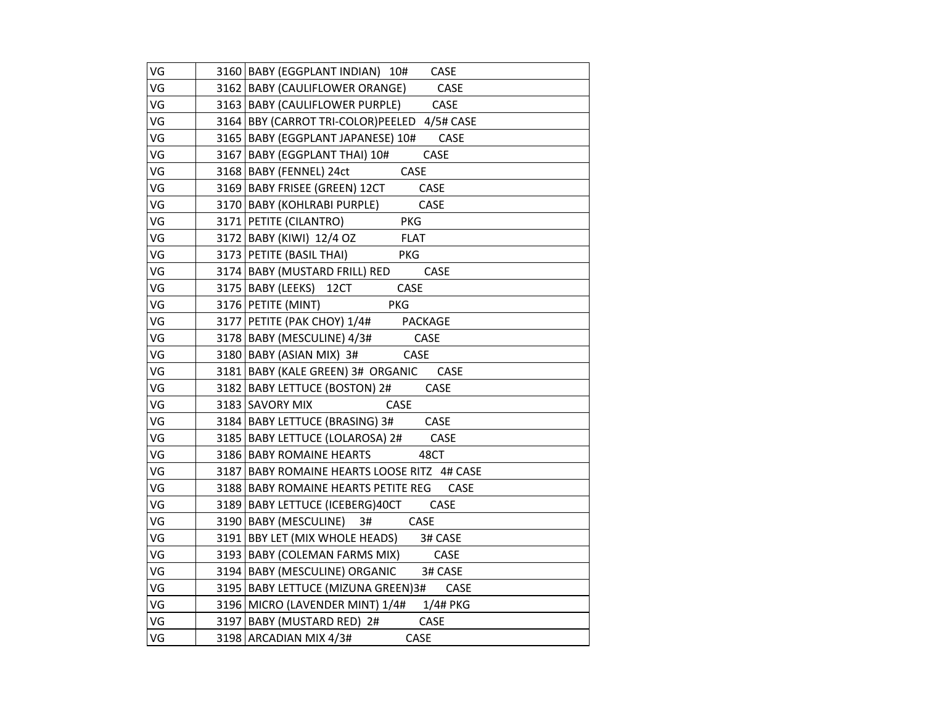| VG | 3160 BABY (EGGPLANT INDIAN) 10# CASE         |
|----|----------------------------------------------|
| VG | 3162   BABY (CAULIFLOWER ORANGE) CASE        |
| VG | 3163 BABY (CAULIFLOWER PURPLE) CASE          |
| VG | 3164 BBY (CARROT TRI-COLOR) PEELED 4/5# CASE |
| VG | 3165 BABY (EGGPLANT JAPANESE) 10# CASE       |
| VG | 3167 BABY (EGGPLANT THAI) 10# CASE           |
| VG | 3168 BABY (FENNEL) 24ct CASE                 |
| VG | 3169 BABY FRISEE (GREEN) 12CT CASE           |
| VG | CASE<br>3170 BABY (KOHLRABI PURPLE)          |
| VG | 3171 PETITE (CILANTRO)<br><b>PKG</b>         |
| VG | 3172 BABY (KIWI) 12/4 OZ FLAT                |
| VG | 3173 PETITE (BASIL THAI)<br><b>PKG</b>       |
| VG | 3174 BABY (MUSTARD FRILL) RED CASE           |
| VG | 3175 BABY (LEEKS) 12CT CASE                  |
| VG | PKG<br>3176   PETITE (MINT)                  |
| VG | 3177 PETITE (PAK CHOY) 1/4# PACKAGE          |
| VG | 3178 BABY (MESCULINE) 4/3# CASE              |
| VG | 3180 BABY (ASIAN MIX) 3# CASE                |
| VG | 3181 BABY (KALE GREEN) 3# ORGANIC CASE       |
| VG | 3182 BABY LETTUCE (BOSTON) 2# CASE           |
| VG | 3183 SAVORY MIX CASE                         |
| VG | 3184 BABY LETTUCE (BRASING) 3# CASE          |
| VG | 3185 BABY LETTUCE (LOLAROSA) 2# CASE         |
| VG | 3186 BABY ROMAINE HEARTS<br>48CT             |
| VG | 3187 BABY ROMAINE HEARTS LOOSE RITZ 4# CASE  |
| VG | 3188 BABY ROMAINE HEARTS PETITE REG CASE     |
| VG | 3189 BABY LETTUCE (ICEBERG) 40CT CASE        |
| VG | 3190 BABY (MESCULINE) 3# CASE                |
| VG | 3191 BBY LET (MIX WHOLE HEADS) 3# CASE       |
| VG | 3193 BABY (COLEMAN FARMS MIX) CASE           |
| VG | 3194 BABY (MESCULINE) ORGANIC 3# CASE        |
| VG | 3195 BABY LETTUCE (MIZUNA GREEN) 3# CASE     |
| VG | 3196 MICRO (LAVENDER MINT) 1/4# 1/4# PKG     |
| VG | 3197 BABY (MUSTARD RED) 2# CASE              |
| VG | 3198 ARCADIAN MIX 4/3#<br>CASE               |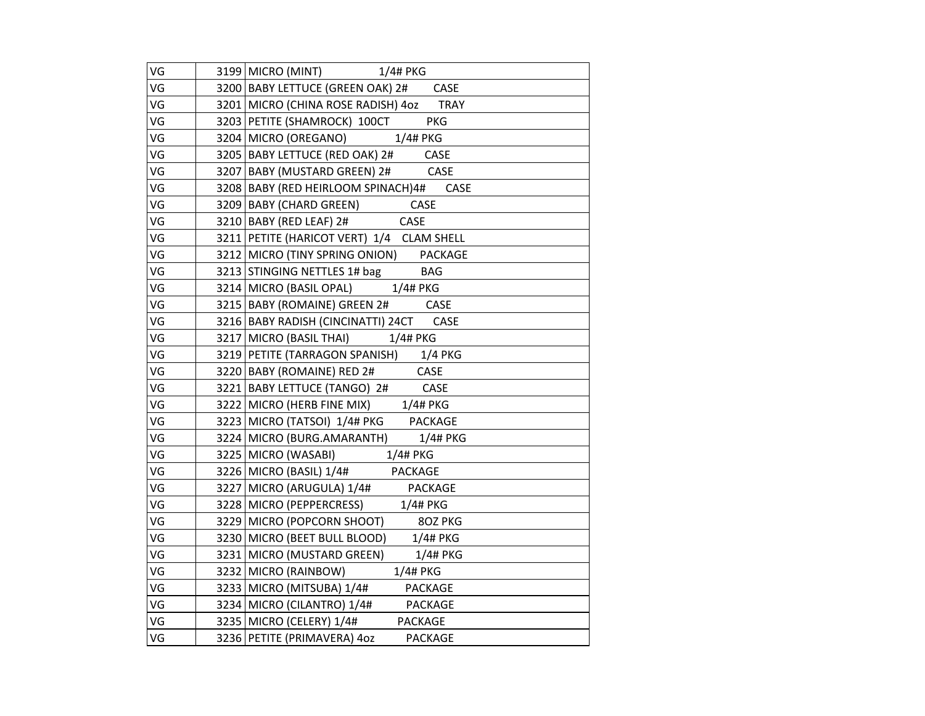| VG | 3199 MICRO (MINT) 1/4# PKG                                               |
|----|--------------------------------------------------------------------------|
| VG | 3200 BABY LETTUCE (GREEN OAK) 2# CASE                                    |
| VG | 3201 MICRO (CHINA ROSE RADISH) 4oz TRAY                                  |
| VG | 3203 PETITE (SHAMROCK) 100CT PKG                                         |
| VG | 3204 MICRO (OREGANO) 1/4# PKG                                            |
| VG |                                                                          |
| VG | 3205 BABY LETTUCE (RED OAK) 2# CASE<br>3207 BABY (MUSTARD GREEN) 2# CASE |
| VG | 3208   BABY (RED HEIRLOOM SPINACH) 4# CASE                               |
| VG | 3209 BABY (CHARD GREEN) CASE                                             |
| VG | 3210   BABY (RED LEAF) 2# CASE                                           |
| VG | 3211 PETITE (HARICOT VERT) 1/4 CLAM SHELL                                |
| VG | 3212 MICRO (TINY SPRING ONION) PACKAGE                                   |
| VG | 3213 STINGING NETTLES 1# bag BAG                                         |
| VG | 3214 MICRO (BASIL OPAL) 1/4# PKG                                         |
| VG | 3215 BABY (ROMAINE) GREEN 2# CASE                                        |
| VG | 3216   BABY RADISH (CINCINATTI) 24CT CASE                                |
| VG | 3217 MICRO (BASIL THAI) 1/4# PKG                                         |
| VG | 3219 PETITE (TARRAGON SPANISH) 1/4 PKG                                   |
| VG | 3220 BABY (ROMAINE) RED 2# CASE                                          |
| VG | 3221 BABY LETTUCE (TANGO) 2# CASE                                        |
| VG | 3222 MICRO (HERB FINE MIX) 1/4# PKG                                      |
| VG | 3223 MICRO (TATSOI) 1/4# PKG PACKAGE                                     |
| VG | 3224 MICRO (BURG.AMARANTH) 1/4# PKG                                      |
| VG | 3225 MICRO (WASABI) 1/4# PKG                                             |
| VG | 3226 MICRO (BASIL) 1/4# PACKAGE                                          |
| VG | 3227 MICRO (ARUGULA) 1/4# PACKAGE                                        |
| VG | 3228 MICRO (PEPPERCRESS) 1/4# PKG                                        |
| VG | 3229 MICRO (POPCORN SHOOT) 80Z PKG                                       |
| VG | 3230 MICRO (BEET BULL BLOOD) 1/4# PKG                                    |
| VG | 3231 MICRO (MUSTARD GREEN) 1/4# PKG                                      |
| VG | 3232 MICRO (RAINBOW) 1/4# PKG                                            |
| VG | 3233 MICRO (MITSUBA) 1/4# PACKAGE                                        |
| VG | 3234 MICRO (CILANTRO) 1/4# PACKAGE                                       |
| VG | 3235 MICRO (CELERY) 1/4# PACKAGE                                         |
| VG | 3236 PETITE (PRIMAVERA) 4oz PACKAGE                                      |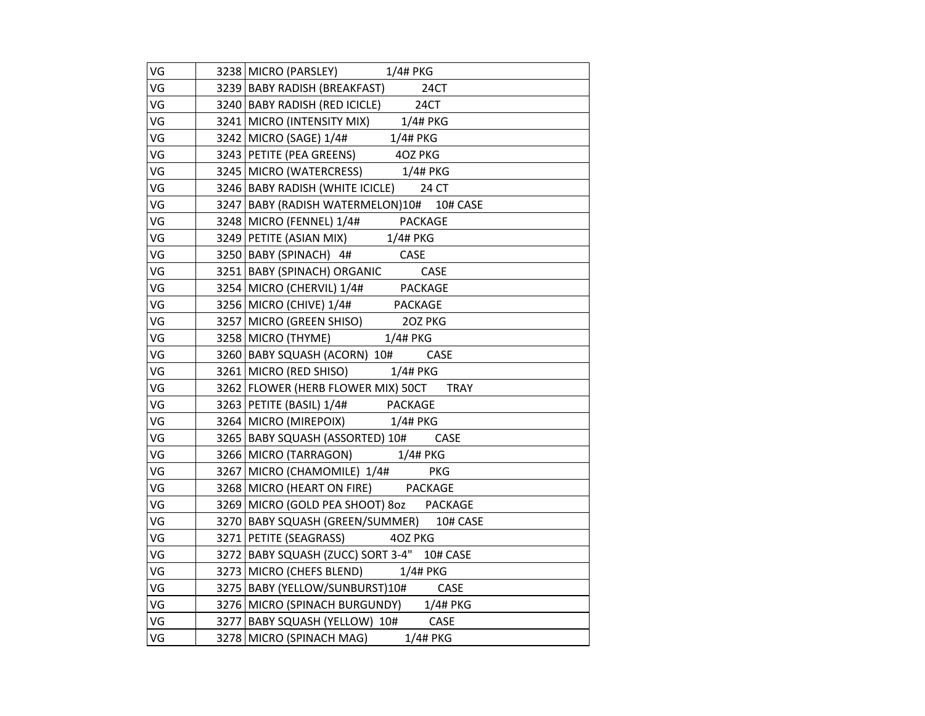| VG | 3238 MICRO (PARSLEY) 1/4# PKG                                                                        |
|----|------------------------------------------------------------------------------------------------------|
| VG | 3239 BABY RADISH (BREAKFAST) 24CT                                                                    |
| VG | 3240 BABY RADISH (RED ICICLE) 24CT                                                                   |
| VG | 3241 MICRO (INTENSITY MIX) 1/4# PKG                                                                  |
| VG |                                                                                                      |
| VG | 3242 MICRO (SAGE) 1/4# 1/4# PKG<br>3243 PETITE (PEA GREENS) 40Z PKG                                  |
| VG | 3245   MICRO (WATERCRESS) 1/4# PKG                                                                   |
| VG | 3246 BABY RADISH (WHITE ICICLE) 24 CT                                                                |
| VG | 3247 BABY (RADISH WATERMELON)10# 10# CASE                                                            |
| VG | 3248 MICRO (FENNEL) 1/4# PACKAGE                                                                     |
| VG | 3249 PETITE (ASIAN MIX) 1/4# PKG                                                                     |
| VG | 3250 BABY (SPINACH) 4# CASE<br>3251 BABY (SPINACH) ORGANIC CASE<br>3254 MICRO (CHERVIL) 1/4# PACKAGE |
| VG |                                                                                                      |
| VG |                                                                                                      |
| VG | 3256 MICRO (CHIVE) 1/4# PACKAGE                                                                      |
| VG | 3257 MICRO (GREEN SHISO) 202 PKG                                                                     |
| VG | 3258 MICRO (THYME) 1/4# PKG                                                                          |
| VG | 3260 BABY SQUASH (ACORN) 10# CASE                                                                    |
| VG | 3261 MICRO (RED SHISO) 1/4# PKG                                                                      |
| VG | 3262 FLOWER (HERB FLOWER MIX) 50CT TRAY                                                              |
| VG | 3263 PETITE (BASIL) 1/4# PACKAGE                                                                     |
| VG | 3264 MICRO (MIREPOIX) 1/4# PKG                                                                       |
| VG | 3265 BABY SQUASH (ASSORTED) 10# CASE                                                                 |
| VG | 3266 MICRO (TARRAGON) 1/4# PKG                                                                       |
| VG | 3267 MICRO (CHAMOMILE) 1/4# PKG                                                                      |
| VG | 3268 MICRO (HEART ON FIRE) PACKAGE                                                                   |
| VG | 3269 MICRO (GOLD PEA SHOOT) 80Z PACKAGE                                                              |
| VG | 3270 BABY SQUASH (GREEN/SUMMER) 10# CASE                                                             |
| VG | 3271 PETITE (SEAGRASS) 40Z PKG                                                                       |
| VG | 3272   BABY SQUASH (ZUCC) SORT 3-4" 10# CASE                                                         |
| VG | 3273 MICRO (CHEFS BLEND) 1/4# PKG                                                                    |
| VG | 3275   BABY (YELLOW/SUNBURST) 10# CASE                                                               |
| VG | 3276 MICRO (SPINACH BURGUNDY) 1/4# PKG                                                               |
| VG | 3277 BABY SQUASH (YELLOW) 10# CASE                                                                   |
| VG | 3278 MICRO (SPINACH MAG) 1/4# PKG                                                                    |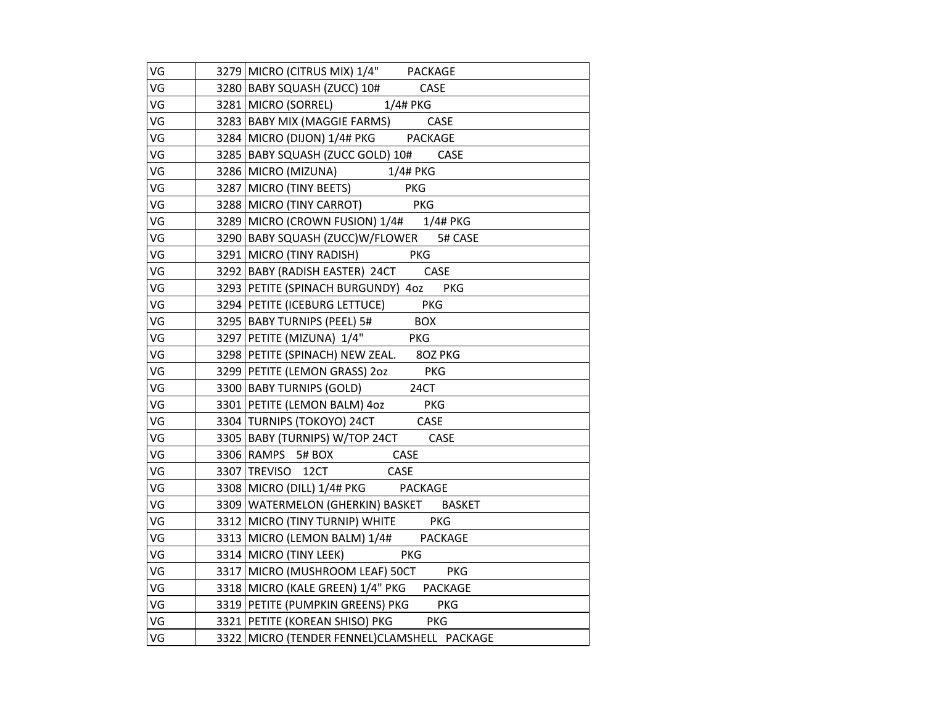| VG | 3279 MICRO (CITRUS MIX) 1/4" PACKAGE        |
|----|---------------------------------------------|
| VG | 3280 BABY SQUASH (ZUCC) 10# CASE            |
| VG | 3281 MICRO (SORREL) 1/4# PKG                |
| VG | 3283 BABY MIX (MAGGIE FARMS) CASE           |
| VG | 3284 MICRO (DIJON) 1/4# PKG PACKAGE         |
| VG | 3285   BABY SQUASH (ZUCC GOLD) 10# CASE     |
| VG | 3286 MICRO (MIZUNA) 1/4# PKG                |
| VG | 3287 MICRO (TINY BEETS) PKG                 |
| VG | 3288 MICRO (TINY CARROT) PKG                |
| VG | 3289 MICRO (CROWN FUSION) 1/4# 1/4# PKG     |
| VG | 3290 BABY SQUASH (ZUCC) W/FLOWER 5# CASE    |
| VG | 3291 MICRO (TINY RADISH) PKG                |
| VG | 3292 BABY (RADISH EASTER) 24CT CASE         |
| VG | 3293 PETITE (SPINACH BURGUNDY) 4oz PKG      |
| VG | 3294   PETITE (ICEBURG LETTUCE) PKG         |
| VG | 3295 BABY TURNIPS (PEEL) 5# BOX             |
| VG | 3297 PETITE (MIZUNA) 1/4" PKG               |
| VG | 3298 PETITE (SPINACH) NEW ZEAL. 80Z PKG     |
| VG | 3299 PETITE (LEMON GRASS) 202 PKG           |
| VG | 3300 BABY TURNIPS (GOLD) 24CT               |
| VG | 3301 PETITE (LEMON BALM) 4oz PKG            |
| VG | 3304 TURNIPS (TOKOYO) 24CT CASE             |
| VG | 3305   BABY (TURNIPS) W/TOP 24CT CASE       |
| VG | 3306 RAMPS 5# BOX CASE                      |
| VG | 3307 TREVISO 12CT CASE                      |
| VG | 3308 MICRO (DILL) 1/4# PKG PACKAGE          |
| VG | 3309 WATERMELON (GHERKIN) BASKET BASKET     |
| VG | 3312 MICRO (TINY TURNIP) WHITE PKG          |
| VG | 3313 MICRO (LEMON BALM) 1/4# PACKAGE        |
| VG | 3314 MICRO (TINY LEEK) PKG                  |
| VG | 3317 MICRO (MUSHROOM LEAF) 50CT PKG         |
| VG | 3318 MICRO (KALE GREEN) 1/4" PKG PACKAGE    |
| VG | 3319 PETITE (PUMPKIN GREENS) PKG PKG        |
| VG | 3321 PETITE (KOREAN SHISO) PKG PKG          |
| VG | 3322 MICRO (TENDER FENNEL)CLAMSHELL PACKAGE |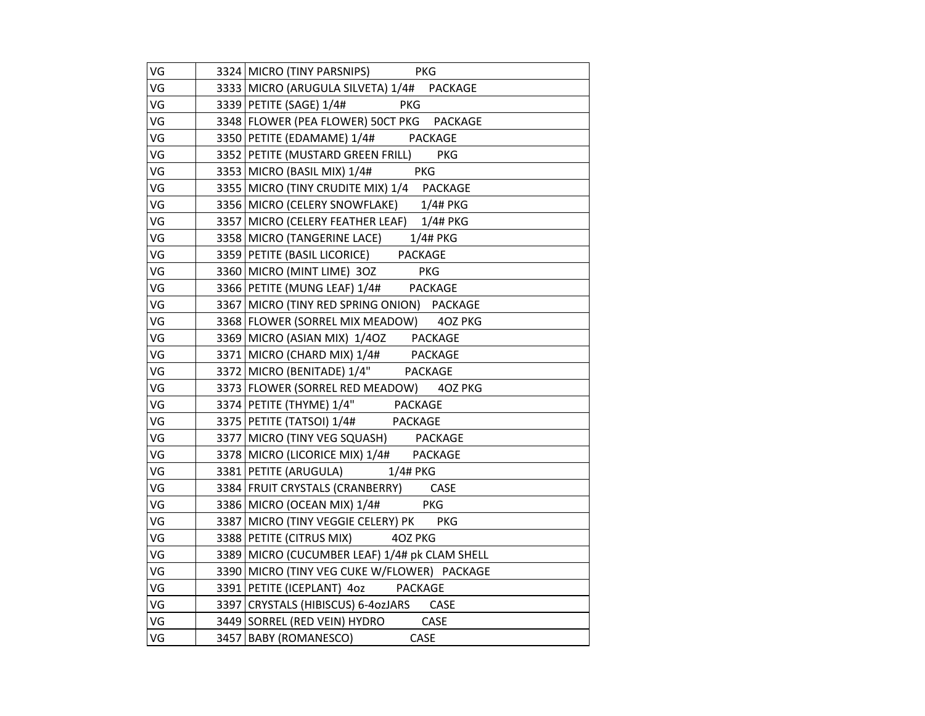| VG | 3324 MICRO (TINY PARSNIPS) PKG                |
|----|-----------------------------------------------|
| VG | 3333 MICRO (ARUGULA SILVETA) 1/4# PACKAGE     |
| VG | 3339 PETITE (SAGE) 1/4# PKG                   |
| VG | 3348 FLOWER (PEA FLOWER) 50CT PKG PACKAGE     |
| VG | 3350 PETITE (EDAMAME) 1/4# PACKAGE            |
| VG | 3352 PETITE (MUSTARD GREEN FRILL) PKG         |
| VG | 3353 MICRO (BASIL MIX) 1/4# PKG               |
| VG | 3355 MICRO (TINY CRUDITE MIX) 1/4 PACKAGE     |
| VG | 3356 MICRO (CELERY SNOWFLAKE) 1/4# PKG        |
| VG | 3357 MICRO (CELERY FEATHER LEAF) 1/4# PKG     |
| VG | 3358 MICRO (TANGERINE LACE) 1/4# PKG          |
| VG | 3359 PETITE (BASIL LICORICE) PACKAGE          |
| VG | 3360 MICRO (MINT LIME) 30Z PKG                |
| VG | 3366 PETITE (MUNG LEAF) 1/4# PACKAGE          |
| VG | 3367 MICRO (TINY RED SPRING ONION) PACKAGE    |
| VG | 3368 FLOWER (SORREL MIX MEADOW) 4OZ PKG       |
| VG | 3369 MICRO (ASIAN MIX) 1/4OZ PACKAGE          |
| VG | 3371 MICRO (CHARD MIX) 1/4# PACKAGE           |
| VG | 3372 MICRO (BENITADE) 1/4" PACKAGE            |
| VG | 3373 FLOWER (SORREL RED MEADOW) 4OZ PKG       |
| VG | 3374 PETITE (THYME) 1/4" PACKAGE              |
| VG | 3375 PETITE (TATSOI) 1/4# PACKAGE             |
| VG | 3377 MICRO (TINY VEG SQUASH) PACKAGE          |
| VG | 3378 MICRO (LICORICE MIX) 1/4# PACKAGE        |
| VG | 3381 PETITE (ARUGULA) 1/4# PKG                |
| VG | 3384 FRUIT CRYSTALS (CRANBERRY) CASE          |
| VG | 3386 MICRO (OCEAN MIX) 1/4# PKG               |
| VG | 3387   MICRO (TINY VEGGIE CELERY) PK PKG      |
| VG | 3388 PETITE (CITRUS MIX) 40Z PKG              |
| VG | 3389 MICRO (CUCUMBER LEAF) 1/4# pk CLAM SHELL |
| VG | 3390 MICRO (TINY VEG CUKE W/FLOWER) PACKAGE   |
| VG | 3391 PETITE (ICEPLANT) 40z PACKAGE            |
| VG | 3397 CRYSTALS (HIBISCUS) 6-4ozJARS CASE       |
| VG | 3449 SORREL (RED VEIN) HYDRO CASE             |
| VG | 3457 BABY (ROMANESCO) CASE                    |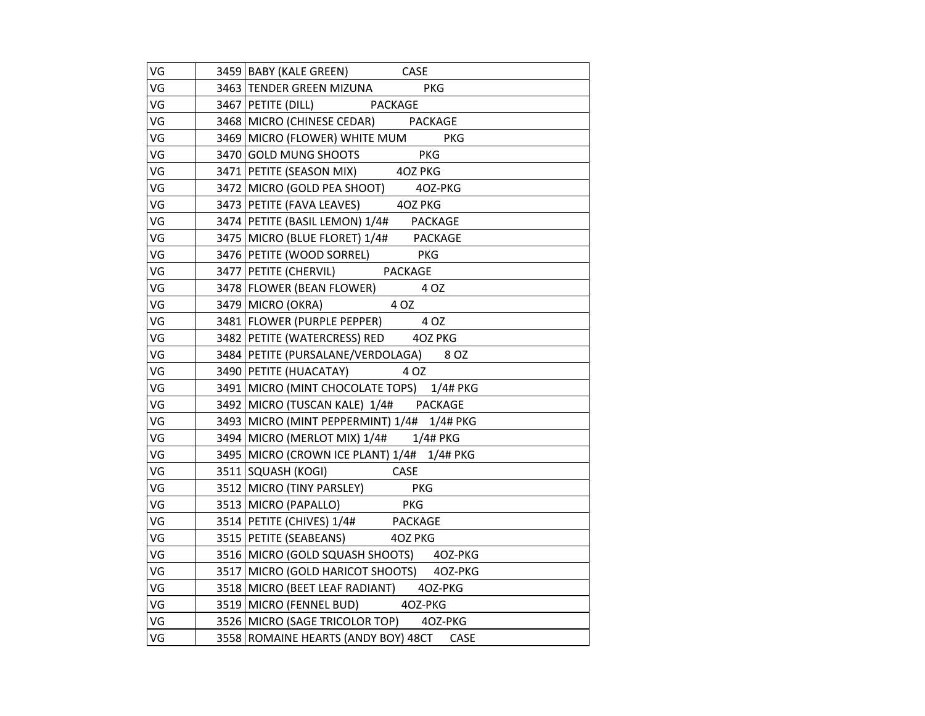| VG | 3459 BABY (KALE GREEN) CASE                                                                   |
|----|-----------------------------------------------------------------------------------------------|
| VG | 3463 TENDER GREEN MIZUNA PKG                                                                  |
| VG | 3467 PETITE (DILL) PACKAGE                                                                    |
| VG | 3468 MICRO (CHINESE CEDAR) PACKAGE                                                            |
| VG | 3469 MICRO (FLOWER) WHITE MUM PKG                                                             |
| VG |                                                                                               |
| VG | 3470 GOLD MUNG SHOOTS PKG<br>3471 PETITE (SEASON MIX) 40Z PKG                                 |
| VG | 3472 MICRO (GOLD PEA SHOOT) 40Z-PKG                                                           |
| VG | 3473   PETITE (FAVA LEAVES) 40Z PKG                                                           |
| VG | 3474 PETITE (BASIL LEMON) 1/4# PACKAGE                                                        |
| VG | 3475 MICRO (BLUE FLORET) 1/4# PACKAGE                                                         |
| VG | 3476 PETITE (WOOD SORREL) PKG                                                                 |
| VG | 3477 PETITE (CHERVIL) PACKAGE                                                                 |
| VG | 3478 FLOWER (BEAN FLOWER) 4 OZ                                                                |
| VG | $3479$ MICRO (OKRA) 4 OZ                                                                      |
| VG | 3481 FLOWER (PURPLE PEPPER) 4 OZ                                                              |
| VG | 3482   PETITE (WATERCRESS) RED 40Z PKG                                                        |
| VG | 3484   PETITE (PURSALANE/VERDOLAGA) 8 OZ                                                      |
| VG | 3490 PETITE (HUACATAY) 4 OZ                                                                   |
| VG | 3491   MICRO (MINT CHOCOLATE TOPS) 1/4# PKG                                                   |
| VG | 3492 MICRO (TUSCAN KALE) 1/4# PACKAGE                                                         |
| VG | 3493 MICRO (MINT PEPPERMINT) 1/4# 1/4# PKG                                                    |
| VG | 3494 MICRO (MERLOT MIX) 1/4# 1/4# PKG                                                         |
| VG | 3495 MICRO (CROWN ICE PLANT) 1/4# 1/4# PKG                                                    |
| VG | 3511 SQUASH (KOGI) CASE                                                                       |
| VG | 3512 MICRO (TINY PARSLEY) PKG                                                                 |
| VG | 1913 MICRO (PAPALLO)<br>19514 PETITE (CHIVES) 1/4# PACKAGE<br>19515 PETITE (SEABEANS) 402 PKG |
| VG |                                                                                               |
| VG |                                                                                               |
| VG | 3516 MICRO (GOLD SQUASH SHOOTS) 40Z-PKG                                                       |
| VG | 3517 MICRO (GOLD HARICOT SHOOTS) 4OZ-PKG                                                      |
| VG | 3518 MICRO (BEET LEAF RADIANT) 40Z-PKG                                                        |
| VG | 3519 MICRO (FENNEL BUD) 4OZ-PKG                                                               |
| VG | 3526 MICRO (SAGE TRICOLOR TOP) 40Z-PKG                                                        |
| VG | 3558 ROMAINE HEARTS (ANDY BOY) 48CT CASE                                                      |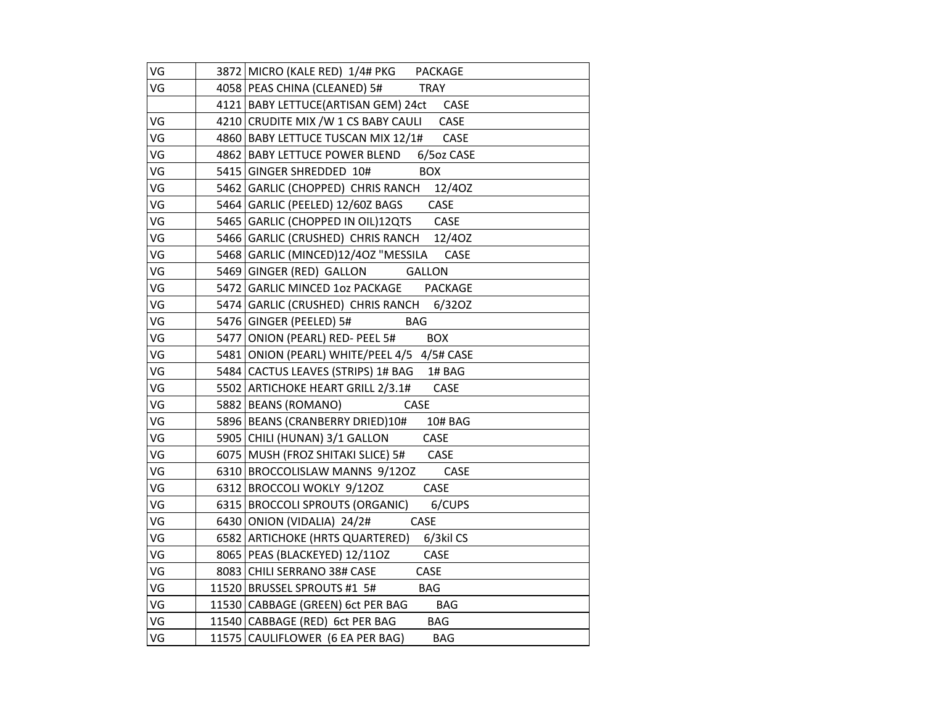| VG | 3872 MICRO (KALE RED) 1/4# PKG PACKAGE         |
|----|------------------------------------------------|
| VG | 4058   PEAS CHINA (CLEANED) 5# TRAY            |
|    | 4121 BABY LETTUCE (ARTISAN GEM) 24ct CASE      |
| VG | 4210 CRUDITE MIX /W 1 CS BABY CAULI CASE       |
| VG | 4860   BABY LETTUCE TUSCAN MIX 12/1# CASE      |
| VG | 4862 BABY LETTUCE POWER BLEND 6/50z CASE       |
| VG | 5415 GINGER SHREDDED 10# BOX                   |
| VG | 5462 GARLIC (CHOPPED) CHRIS RANCH 12/40Z       |
| VG | 5464   GARLIC (PEELED) 12/60Z BAGS CASE        |
| VG | 5465 GARLIC (CHOPPED IN OIL)12QTS CASE         |
| VG | 5466 GARLIC (CRUSHED) CHRIS RANCH 12/40Z       |
| VG | 5468 GARLIC (MINCED)12/40Z "MESSILA CASE       |
| VG | 5469 GINGER (RED) GALLON GALLON                |
| VG | 5472 GARLIC MINCED 10z PACKAGE PACKAGE         |
| VG | 5474 GARLIC (CRUSHED) CHRIS RANCH 6/320Z       |
| VG | 5476 GINGER (PEELED) 5# BAG                    |
| VG | 5477 ONION (PEARL) RED- PEEL 5# BOX            |
| VG | 5481 ONION (PEARL) WHITE/PEEL 4/5 4/5# CASE    |
| VG | 5484 CACTUS LEAVES (STRIPS) 1# BAG 1# BAG      |
| VG | 5502 ARTICHOKE HEART GRILL 2/3.1# CASE         |
| VG | 5882 BEANS (ROMANO) CASE                       |
| VG | 5896 BEANS (CRANBERRY DRIED)10# 10# BAG        |
| VG | 5905 CHILI (HUNAN) 3/1 GALLON CASE             |
| VG | 6075   MUSH (FROZ SHITAKI SLICE) 5# CASE       |
| VG | 6310 BROCCOLISLAW MANNS 9/120Z CASE            |
| VG | 6312 BROCCOLI WOKLY 9/120Z CASE                |
| VG | 6315 BROCCOLI SPROUTS (ORGANIC) 6/CUPS         |
| VG | $6430$ ONION (VIDALIA) $24/2\#$ CASE           |
| VG | 6582 ARTICHOKE (HRTS QUARTERED) 6/3kil CS      |
| VG | 8065   PEAS (BLACKEYED) 12/11OZ CASE           |
| VG | 8083 CHILI SERRANO 38# CASE<br>CASE            |
| VG | 11520 BRUSSEL SPROUTS #1 5# BAG                |
| VG | 11530 CABBAGE (GREEN) 6ct PER BAG BAG          |
| VG | 11540 CABBAGE (RED) 6ct PER BAG BAG            |
| VG | 11575 CAULIFLOWER (6 EA PER BAG)<br><b>BAG</b> |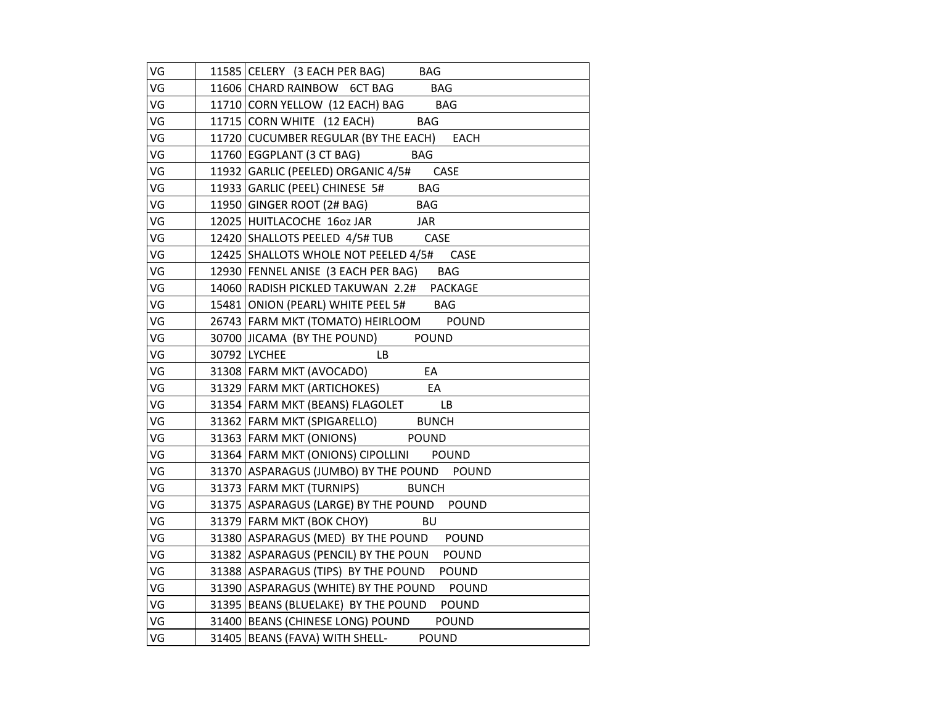| VG | 11585 CELERY (3 EACH PER BAG) BAG                    |
|----|------------------------------------------------------|
| VG | 11606 CHARD RAINBOW 6CT BAG<br><b>BAG</b>            |
| VG | 11710 CORN YELLOW (12 EACH) BAG BAG                  |
| VG | 11715 CORN WHITE (12 EACH)<br><b>BAG</b>             |
| VG | 11720 CUCUMBER REGULAR (BY THE EACH) EACH            |
| VG | 11760   EGGPLANT (3 CT BAG)<br><b>BAG</b>            |
| VG | 11932 GARLIC (PEELED) ORGANIC 4/5# CASE              |
| VG | <b>BAG</b><br>11933 GARLIC (PEEL) CHINESE 5#         |
| VG | 11950 GINGER ROOT (2# BAG)<br><b>BAG</b>             |
| VG | 12025 HUITLACOCHE 16oz JAR<br>JAR                    |
| VG | 12420 SHALLOTS PEELED 4/5# TUB<br>CASE               |
| VG | 12425 SHALLOTS WHOLE NOT PEELED 4/5#<br>CASE         |
| VG | 12930 FENNEL ANISE (3 EACH PER BAG)<br><b>BAG</b>    |
| VG | 14060 RADISH PICKLED TAKUWAN 2.2#<br><b>PACKAGE</b>  |
| VG | 15481 ONION (PEARL) WHITE PEEL 5# BAG                |
| VG | 26743   FARM MKT (TOMATO) HEIRLOOM POUND             |
| VG | POUND<br>30700 JICAMA (BY THE POUND)                 |
| VG | 30792 LYCHEE<br>LB                                   |
| VG | 31308 FARM MKT (AVOCADO)<br>EA                       |
| VG | 31329 FARM MKT (ARTICHOKES)<br>EA                    |
| VG | 31354 FARM MKT (BEANS) FLAGOLET LB                   |
| VG | 31362 FARM MKT (SPIGARELLO) BUNCH                    |
| VG | 31363 FARM MKT (ONIONS)<br><b>POUND</b>              |
| VG | 31364 FARM MKT (ONIONS) CIPOLLINI POUND              |
| VG | 31370 ASPARAGUS (JUMBO) BY THE POUND<br><b>POUND</b> |
| VG | 31373 FARM MKT (TURNIPS)<br><b>BUNCH</b>             |
| VG | 31375 ASPARAGUS (LARGE) BY THE POUND POUND           |
| VG | 31379 FARM MKT (BOK CHOY)<br><b>BU</b>               |
| VG | 31380 ASPARAGUS (MED) BY THE POUND POUND             |
| VG | 31382 ASPARAGUS (PENCIL) BY THE POUN<br><b>POUND</b> |
| VG | 31388 ASPARAGUS (TIPS) BY THE POUND<br><b>POUND</b>  |
| VG | 31390 ASPARAGUS (WHITE) BY THE POUND POUND           |
| VG | 31395 BEANS (BLUELAKE) BY THE POUND<br><b>POUND</b>  |
| VG | 31400 BEANS (CHINESE LONG) POUND POUND               |
| VG | 31405 BEANS (FAVA) WITH SHELL-<br><b>POUND</b>       |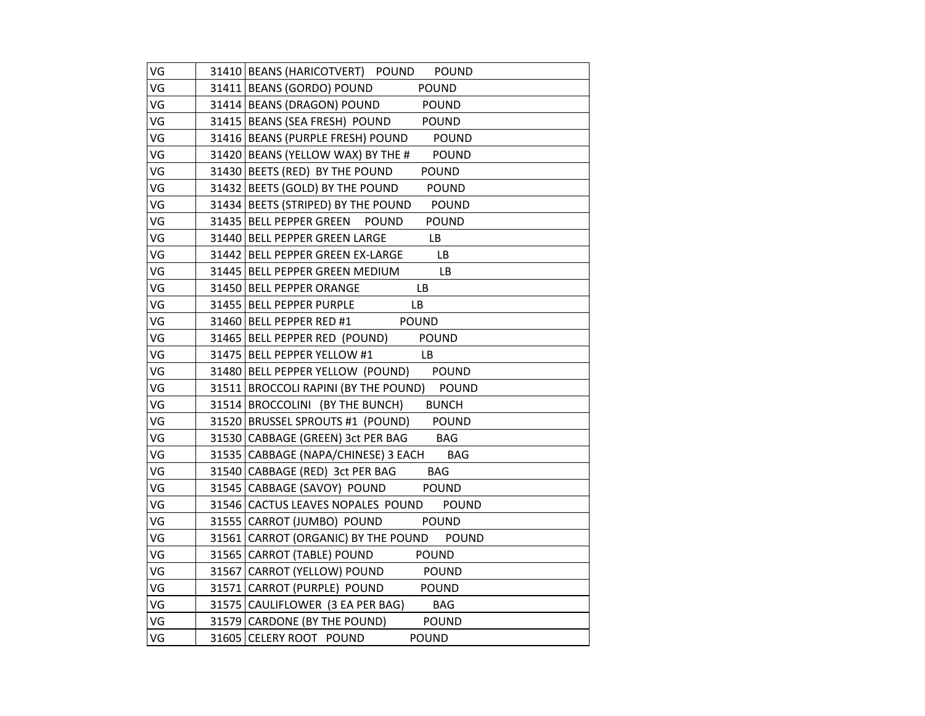| VG | 31410 BEANS (HARICOTVERT) POUND POUND                   |
|----|---------------------------------------------------------|
| VG | 31411   BEANS (GORDO) POUND<br><b>POUND</b>             |
| VG | 31414 BEANS (DRAGON) POUND POUND                        |
| VG | 31415 BEANS (SEA FRESH) POUND POUND                     |
| VG | 31416 BEANS (PURPLE FRESH) POUND<br><b>POUND</b>        |
| VG | 31420 BEANS (YELLOW WAX) BY THE # POUND                 |
| VG | 31430 BEETS (RED) BY THE POUND<br><b>POUND</b>          |
| VG | 31432 BEETS (GOLD) BY THE POUND POUND                   |
| VG | 31434 BEETS (STRIPED) BY THE POUND POUND                |
| VG | 31435 BELL PEPPER GREEN<br><b>POUND</b><br><b>POUND</b> |
| VG | 31440 BELL PEPPER GREEN LARGE<br><b>LB</b>              |
| VG | 31442 BELL PEPPER GREEN EX-LARGE<br>LB                  |
| VG | 31445 BELL PEPPER GREEN MEDIUM<br>LB.                   |
| VG | 31450 BELL PEPPER ORANGE<br><b>LB</b>                   |
| VG | 31455   BELL PEPPER PURPLE<br><b>LB</b>                 |
| VG | 31460 BELL PEPPER RED #1 POUND                          |
| VG | 31465   BELL PEPPER RED (POUND)<br><b>POUND</b>         |
| VG | 31475 BELL PEPPER YELLOW #1<br><b>Example 18</b>        |
| VG | 31480 BELL PEPPER YELLOW (POUND) POUND                  |
| VG | 31511   BROCCOLI RAPINI (BY THE POUND) POUND            |
| VG | 31514 BROCCOLINI (BY THE BUNCH) BUNCH                   |
| VG | 31520 BRUSSEL SPROUTS #1 (POUND)                        |
| VG | 31530 CABBAGE (GREEN) 3ct PER BAG BAG                   |
| VG | 31535   CABBAGE (NAPA/CHINESE) 3 EACH BAG               |
| VG | 31540 CABBAGE (RED) 3ct PER BAG<br><b>BAG</b>           |
| VG | 31545 CABBAGE (SAVOY) POUND<br><b>POUND</b>             |
| VG | 31546 CACTUS LEAVES NOPALES POUND POUND                 |
| VG | 31555 CARROT (JUMBO) POUND POUND                        |
| VG | 31561 CARROT (ORGANIC) BY THE POUND POUND               |
| VG | 31565 CARROT (TABLE) POUND<br>POUND                     |
| VG | 31567 CARROT (YELLOW) POUND POUND                       |
| VG | 31571 CARROT (PURPLE) POUND POUND                       |
| VG | 31575 CAULIFLOWER (3 EA PER BAG) BAG                    |
| VG | 31579 CARDONE (BY THE POUND)<br><b>POUND</b>            |
| VG | 31605 CELERY ROOT POUND<br><b>POUND</b>                 |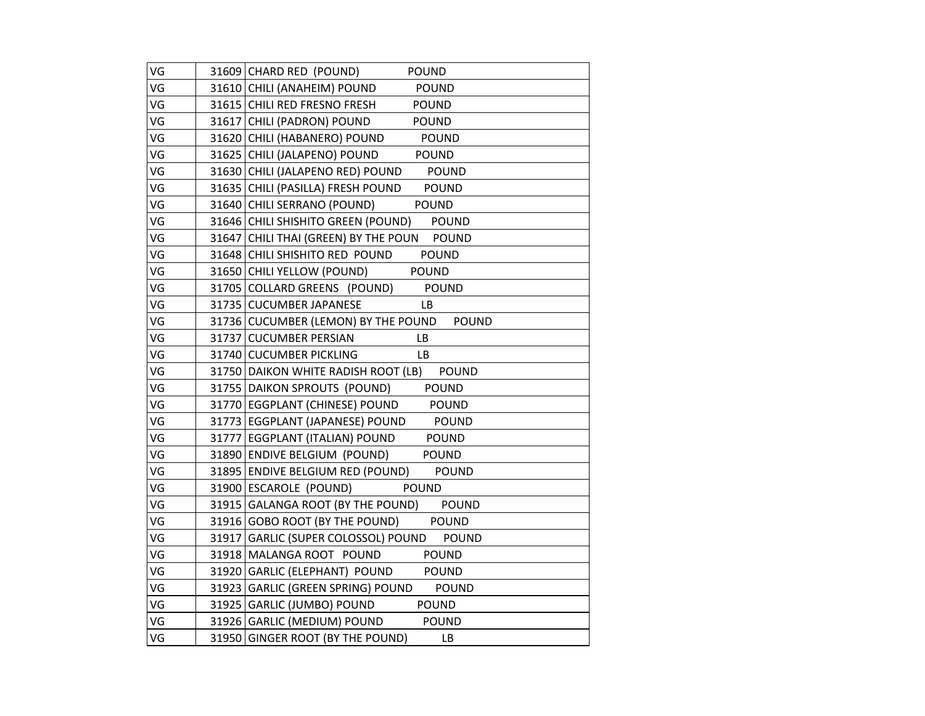| VG | 31609 CHARD RED (POUND)<br><b>POUND</b>             |
|----|-----------------------------------------------------|
| VG | 31610 CHILI (ANAHEIM) POUND<br><b>POUND</b>         |
| VG | 31615 CHILI RED FRESNO FRESH<br>POUND               |
| VG | 31617 CHILI (PADRON) POUND<br><b>POUND</b>          |
| VG | 31620 CHILI (HABANERO) POUND<br>POUND               |
| VG | 31625 CHILI (JALAPENO) POUND<br><b>POUND</b>        |
| VG | 31630 CHILI (JALAPENO RED) POUND<br><b>POUND</b>    |
| VG | 31635 CHILI (PASILLA) FRESH POUND<br>POUND          |
| VG | 31640 CHILI SERRANO (POUND)<br><b>POUND</b>         |
| VG | 31646 CHILI SHISHITO GREEN (POUND)<br><b>POUND</b>  |
| VG | 31647 CHILI THAI (GREEN) BY THE POUN POUND          |
| VG | 31648 CHILI SHISHITO RED POUND<br><b>POUND</b>      |
| VG | 31650 CHILI YELLOW (POUND)<br><b>POUND</b>          |
| VG | 31705 COLLARD GREENS (POUND)<br><b>POUND</b>        |
| VG | 31735 CUCUMBER JAPANESE<br>LB.                      |
| VG | 31736 CUCUMBER (LEMON) BY THE POUND<br><b>POUND</b> |
| VG | 31737 CUCUMBER PERSIAN<br>LB.                       |
| VG | 31740 CUCUMBER PICKLING<br><b>LB</b>                |
| VG | 31750 DAIKON WHITE RADISH ROOT (LB)<br><b>POUND</b> |
| VG | 31755 DAIKON SPROUTS (POUND) POUND                  |
| VG | 31770 EGGPLANT (CHINESE) POUND POUND                |
| VG | 31773   EGGPLANT (JAPANESE) POUND<br>POUND          |
| VG | 31777   EGGPLANT (ITALIAN) POUND<br>POUND           |
| VG | 31890 ENDIVE BELGIUM (POUND)<br><b>POUND</b>        |
| VG | 31895 ENDIVE BELGIUM RED (POUND) POUND              |
| VG | 31900 ESCAROLE (POUND)<br><b>POUND</b>              |
| VG | 31915 GALANGA ROOT (BY THE POUND) POUND             |
| VG | 31916 GOBO ROOT (BY THE POUND) POUND                |
| VG | 31917 GARLIC (SUPER COLOSSOL) POUND<br><b>POUND</b> |
| VG | 31918 MALANGA ROOT POUND<br><b>POUND</b>            |
| VG | 31920 GARLIC (ELEPHANT) POUND POUND                 |
| VG | 31923 GARLIC (GREEN SPRING) POUND<br><b>POUND</b>   |
| VG | 31925 GARLIC (JUMBO) POUND POUND                    |
| VG | 31926 GARLIC (MEDIUM) POUND<br>POUND                |
| VG | 31950 GINGER ROOT (BY THE POUND)<br><b>LB</b>       |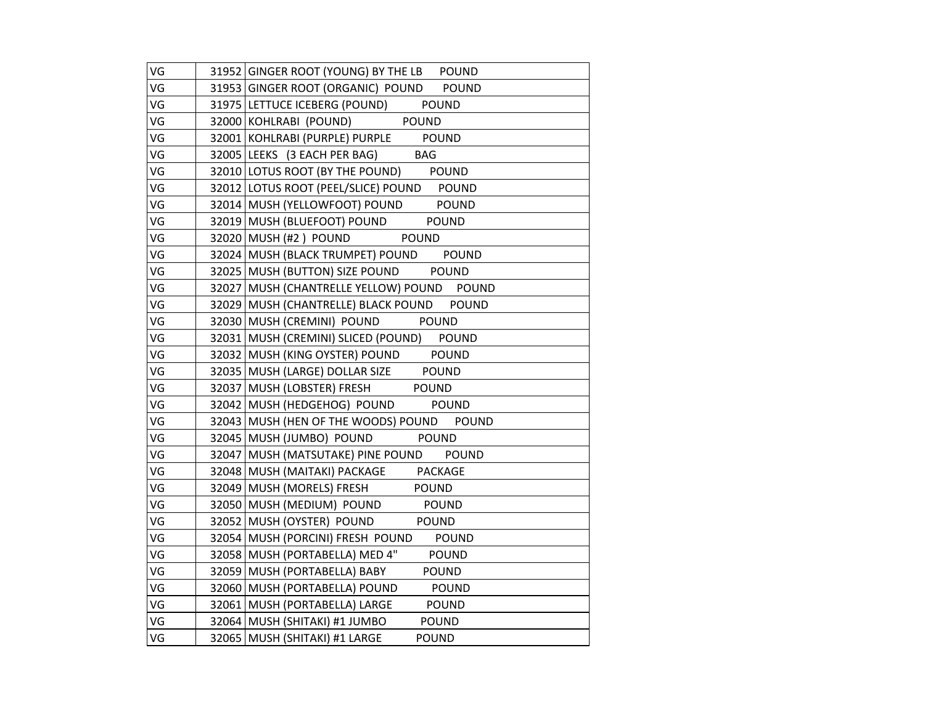| VG | 31952 GINGER ROOT (YOUNG) BY THE LB POUND       |
|----|-------------------------------------------------|
| VG | 31953 GINGER ROOT (ORGANIC) POUND POUND         |
| VG | 31975 LETTUCE ICEBERG (POUND)<br><b>POUND</b>   |
| VG | POUND<br>32000 KOHLRABI (POUND)                 |
| VG | 32001 KOHLRABI (PURPLE) PURPLE POUND            |
| VG | 32005 LEEKS (3 EACH PER BAG) BAG                |
| VG | 32010 LOTUS ROOT (BY THE POUND) POUND           |
| VG | 32012 LOTUS ROOT (PEEL/SLICE) POUND POUND       |
| VG | 32014   MUSH (YELLOWFOOT) POUND<br><b>POUND</b> |
| VG | 32019 MUSH (BLUEFOOT) POUND<br><b>POUND</b>     |
| VG | 32020 MUSH (#2) POUND<br><b>POUND</b>           |
| VG | 32024 MUSH (BLACK TRUMPET) POUND POUND          |
| VG | 32025 MUSH (BUTTON) SIZE POUND POUND            |
| VG | 32027 MUSH (CHANTRELLE YELLOW) POUND POUND      |
| VG | 32029 MUSH (CHANTRELLE) BLACK POUND POUND       |
| VG | 32030 MUSH (CREMINI) POUND POUND                |
| VG | 32031   MUSH (CREMINI) SLICED (POUND) POUND     |
| VG | 32032 MUSH (KING OYSTER) POUND POUND            |
| VG | 32035 MUSH (LARGE) DOLLAR SIZE POUND            |
| VG | POUND<br>32037 MUSH (LOBSTER) FRESH             |
| VG | 32042 MUSH (HEDGEHOG) POUND POUND               |
| VG | 32043 MUSH (HEN OF THE WOODS) POUND POUND       |
| VG | 32045   MUSH (JUMBO) POUND POUND                |
| VG | 32047 MUSH (MATSUTAKE) PINE POUND POUND         |
| VG | 32048 MUSH (MAITAKI) PACKAGE PACKAGE            |
| VG | 32049 MUSH (MORELS) FRESH<br><b>POUND</b>       |
| VG | 32050 MUSH (MEDIUM) POUND POUND                 |
| VG | 32052 MUSH (OYSTER) POUND POUND                 |
| VG | 32054 MUSH (PORCINI) FRESH POUND POUND          |
| VG | 32058   MUSH (PORTABELLA) MED 4"<br>POUND       |
| VG | 32059 MUSH (PORTABELLA) BABY<br><b>POUND</b>    |
| VG | 32060 MUSH (PORTABELLA) POUND<br>POUND          |
| VG | 32061 MUSH (PORTABELLA) LARGE POUND             |
| VG | 32064   MUSH (SHITAKI) #1 JUMBO<br><b>POUND</b> |
| VG | 32065   MUSH (SHITAKI) #1 LARGE<br><b>POUND</b> |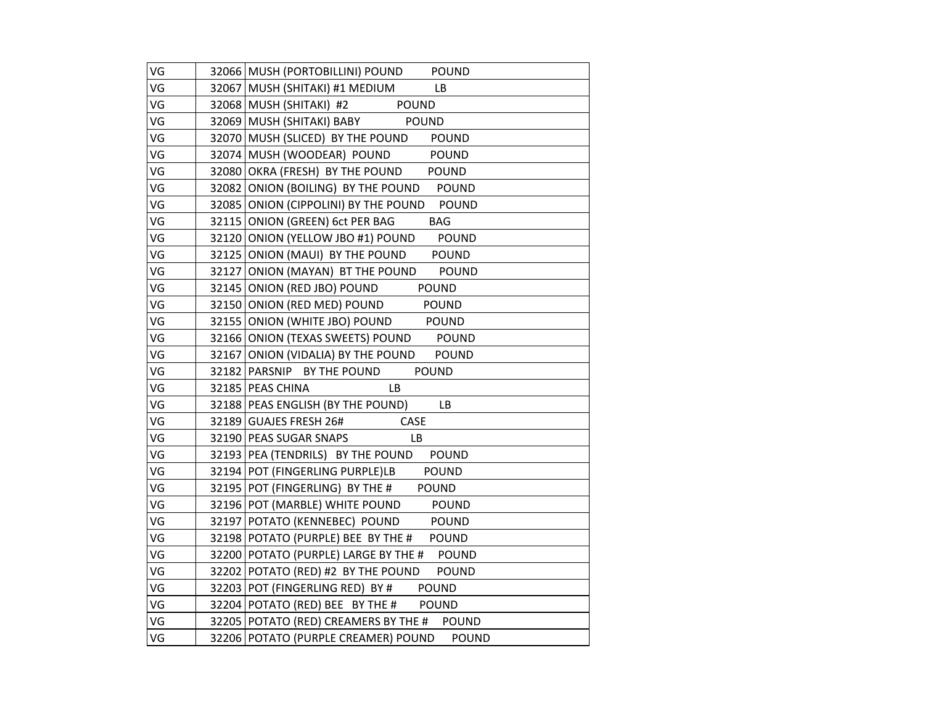| VG | 32066 MUSH (PORTOBILLINI) POUND POUND                |
|----|------------------------------------------------------|
| VG | 32067 MUSH (SHITAKI) #1 MEDIUM<br>LB                 |
| VG | 32068 MUSH (SHITAKI) #2 POUND                        |
| VG | 32069 MUSH (SHITAKI) BABY POUND                      |
| VG | 32070 MUSH (SLICED) BY THE POUND POUND               |
| VG | 32074 MUSH (WOODEAR) POUND POUND                     |
| VG | 32080 OKRA (FRESH) BY THE POUND POUND                |
| VG | 32082 ONION (BOILING) BY THE POUND POUND             |
| VG | 32085 ONION (CIPPOLINI) BY THE POUND<br><b>POUND</b> |
| VG | 32115 ONION (GREEN) 6ct PER BAG<br><b>BAG</b>        |
| VG | 32120 ONION (YELLOW JBO #1) POUND<br><b>POUND</b>    |
| VG | 32125 ONION (MAUI) BY THE POUND POUND                |
| VG | 32127 ONION (MAYAN) BT THE POUND<br><b>POUND</b>     |
| VG | 32145 ONION (RED JBO) POUND POUND                    |
| VG | 32150 ONION (RED MED) POUND POUND                    |
| VG | 32155 ONION (WHITE JBO) POUND POUND                  |
| VG | 32166 ONION (TEXAS SWEETS) POUND POUND               |
| VG | 32167 ONION (VIDALIA) BY THE POUND POUND             |
| VG | <b>POUND</b><br>32182 PARSNIP BY THE POUND           |
| VG | 32185 PEAS CHINA<br><b>LB</b>                        |
| VG | 32188 PEAS ENGLISH (BY THE POUND)<br>LB.             |
| VG | CASE<br>32189 GUAJES FRESH 26#                       |
| VG | 32190 PEAS SUGAR SNAPS<br>LB.                        |
| VG | 32193 PEA (TENDRILS) BY THE POUND POUND              |
| VG | 32194 POT (FINGERLING PURPLE)LB POUND                |
| VG | 32195 POT (FINGERLING) BY THE # POUND                |
| VG | 32196 POT (MARBLE) WHITE POUND POUND                 |
| VG | 32197 POTATO (KENNEBEC) POUND<br><b>POUND</b>        |
| VG | 32198 POTATO (PURPLE) BEE BY THE # POUND             |
| VG | 32200 POTATO (PURPLE) LARGE BY THE # POUND           |
| VG | 32202 POTATO (RED) #2 BY THE POUND POUND             |
| VG | 32203 POT (FINGERLING RED) BY # POUND                |
| VG | 32204 POTATO (RED) BEE BY THE # POUND                |
| VG | 32205 POTATO (RED) CREAMERS BY THE # POUND           |
| VG | 32206 POTATO (PURPLE CREAMER) POUND<br><b>POUND</b>  |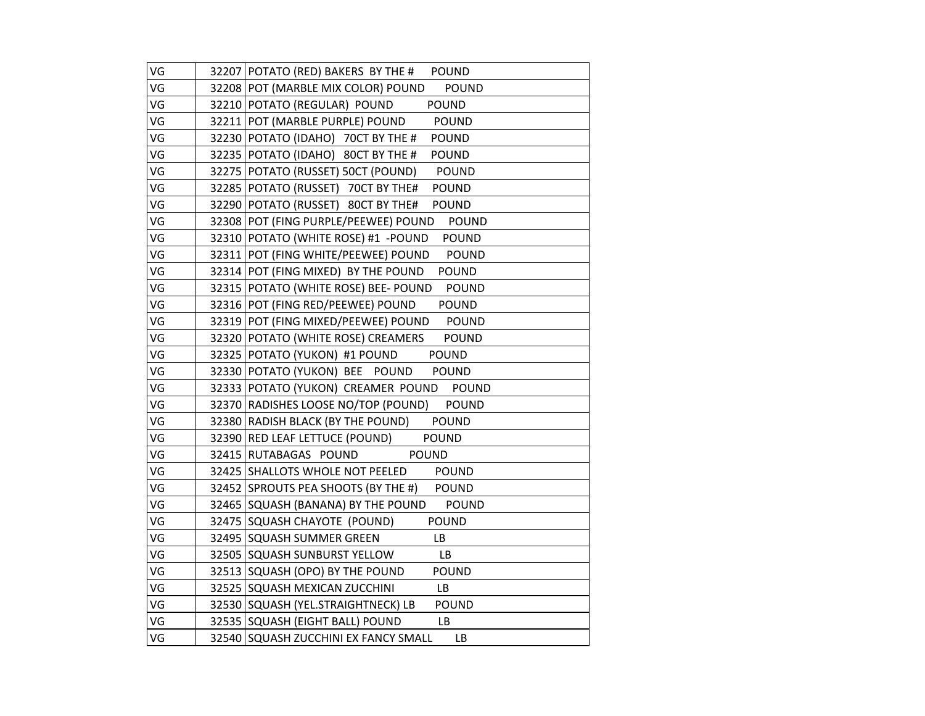| VG | 32207 POTATO (RED) BAKERS BY THE # POUND             |
|----|------------------------------------------------------|
| VG | 32208 POT (MARBLE MIX COLOR) POUND<br><b>POUND</b>   |
| VG | 32210 POTATO (REGULAR) POUND<br><b>POUND</b>         |
| VG | 32211 POT (MARBLE PURPLE) POUND<br><b>POUND</b>      |
| VG | 32230 POTATO (IDAHO) 70CT BY THE #<br>POUND          |
| VG | 32235 POTATO (IDAHO) 80CT BY THE # POUND             |
| VG | 32275 POTATO (RUSSET) 50CT (POUND)<br>POUND          |
| VG | 32285 POTATO (RUSSET) 70CT BY THE#<br><b>POUND</b>   |
| VG | 32290 POTATO (RUSSET) 80CT BY THE#<br><b>POUND</b>   |
| VG | 32308 POT (FING PURPLE/PEEWEE) POUND<br><b>POUND</b> |
| VG | 32310 POTATO (WHITE ROSE) #1 - POUND<br><b>POUND</b> |
| VG | 32311 POT (FING WHITE/PEEWEE) POUND<br><b>POUND</b>  |
| VG | 32314 POT (FING MIXED) BY THE POUND<br><b>POUND</b>  |
| VG | 32315 POTATO (WHITE ROSE) BEE- POUND<br><b>POUND</b> |
| VG | 32316 POT (FING RED/PEEWEE) POUND<br><b>POUND</b>    |
| VG | 32319 POT (FING MIXED/PEEWEE) POUND<br><b>POUND</b>  |
| VG | 32320 POTATO (WHITE ROSE) CREAMERS<br>POUND          |
| VG | 32325 POTATO (YUKON) #1 POUND<br><b>POUND</b>        |
| VG | 32330 POTATO (YUKON) BEE POUND<br><b>POUND</b>       |
| VG | 32333 POTATO (YUKON) CREAMER POUND POUND             |
| VG | 32370 RADISHES LOOSE NO/TOP (POUND) POUND            |
| VG | 32380 RADISH BLACK (BY THE POUND)<br><b>POUND</b>    |
| VG | 32390 RED LEAF LETTUCE (POUND)<br><b>POUND</b>       |
| VG | 32415 RUTABAGAS POUND<br><b>POUND</b>                |
| VG | 32425 SHALLOTS WHOLE NOT PEELED POUND                |
| VG | 32452 SPROUTS PEA SHOOTS (BY THE #) POUND            |
| VG | 32465 SQUASH (BANANA) BY THE POUND<br><b>POUND</b>   |
| VG | 32475 SQUASH CHAYOTE (POUND)<br><b>POUND</b>         |
| VG | 32495 SQUASH SUMMER GREEN<br>LB                      |
| VG | 32505 SQUASH SUNBURST YELLOW<br>LB                   |
| VG | 32513 SQUASH (OPO) BY THE POUND<br><b>POUND</b>      |
| VG | 32525 SQUASH MEXICAN ZUCCHINI<br>LB.                 |
| VG | 32530 SQUASH (YEL.STRAIGHTNECK) LB<br><b>POUND</b>   |
| VG | 32535 SQUASH (EIGHT BALL) POUND<br>LB.               |
| VG | 32540 SQUASH ZUCCHINI EX FANCY SMALL<br>LB           |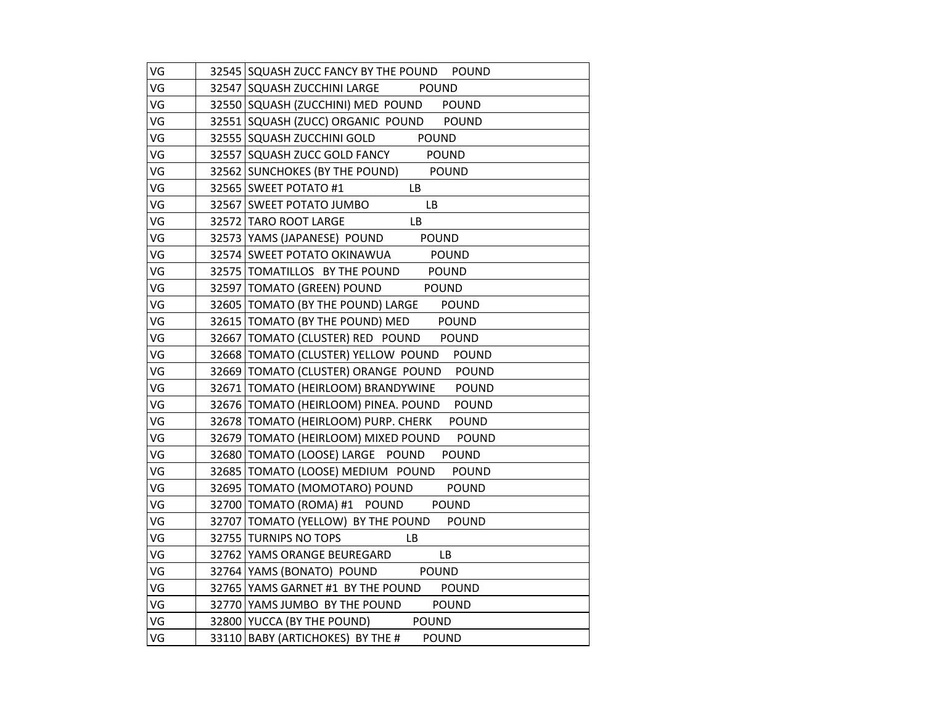| VG | 32545 SQUASH ZUCC FANCY BY THE POUND POUND                   |
|----|--------------------------------------------------------------|
| VG | 32547 SQUASH ZUCCHINI LARGE<br><b>POUND</b>                  |
| VG | 32550 SQUASH (ZUCCHINI) MED POUND POUND                      |
| VG | 32551 SQUASH (ZUCC) ORGANIC POUND POUND                      |
| VG | 32555 SQUASH ZUCCHINI GOLD POUND                             |
| VG | 32557 SQUASH ZUCC GOLD FANCY POUND                           |
| VG | 32562 SUNCHOKES (BY THE POUND) POUND                         |
| VG | 32565 SWEET POTATO #1<br>LB.                                 |
| VG | <b>LB</b><br>32567 SWEET POTATO JUMBO                        |
| VG | 32572 TARO ROOT LARGE<br><b>LB</b>                           |
| VG | 32573 YAMS (JAPANESE) POUND<br>POUND                         |
| VG | 32574 SWEET POTATO OKINAWUA POUND                            |
| VG | 32575 TOMATILLOS BY THE POUND POUND                          |
| VG | 32597 TOMATO (GREEN) POUND POUND                             |
| VG | 32605   TOMATO (BY THE POUND) LARGE POUND                    |
| VG | 32615 TOMATO (BY THE POUND) MED POUND                        |
| VG | 32667 TOMATO (CLUSTER) RED POUND POUND                       |
| VG | 32668 TOMATO (CLUSTER) YELLOW POUND POUND                    |
| VG | 32669 TOMATO (CLUSTER) ORANGE POUND POUND                    |
| VG | 32671 TOMATO (HEIRLOOM) BRANDYWINE POUND                     |
| VG | 32676 TOMATO (HEIRLOOM) PINEA. POUND POUND                   |
| VG | 32678 TOMATO (HEIRLOOM) PURP. CHERK<br><b>POUND</b>          |
| VG | 32679   TOMATO (HEIRLOOM) MIXED POUND POUND                  |
| VG | 32680   TOMATO (LOOSE) LARGE POUND<br><b>POUND</b>           |
| VG | 32685 TOMATO (LOOSE) MEDIUM POUND POUND                      |
| VG | 32695 TOMATO (MOMOTARO) POUND POUND                          |
| VG | 32700 TOMATO (ROMA) #1 POUND POUND                           |
| VG | 32707 TOMATO (YELLOW) BY THE POUND POUND                     |
| VG | 32755 TURNIPS NO TOPS<br>$\frac{1}{\sqrt{1-\frac{1}{2}}}$ LB |
| VG | 32762 YAMS ORANGE BEUREGARD<br>LB                            |
| VG | 32764 YAMS (BONATO) POUND POUND                              |
| VG | 32765 YAMS GARNET #1 BY THE POUND POUND                      |
| VG | 32770 YAMS JUMBO BY THE POUND POUND                          |
| VG | 32800 YUCCA (BY THE POUND) POUND                             |
| VG | 33110 BABY (ARTICHOKES) BY THE #<br><b>POUND</b>             |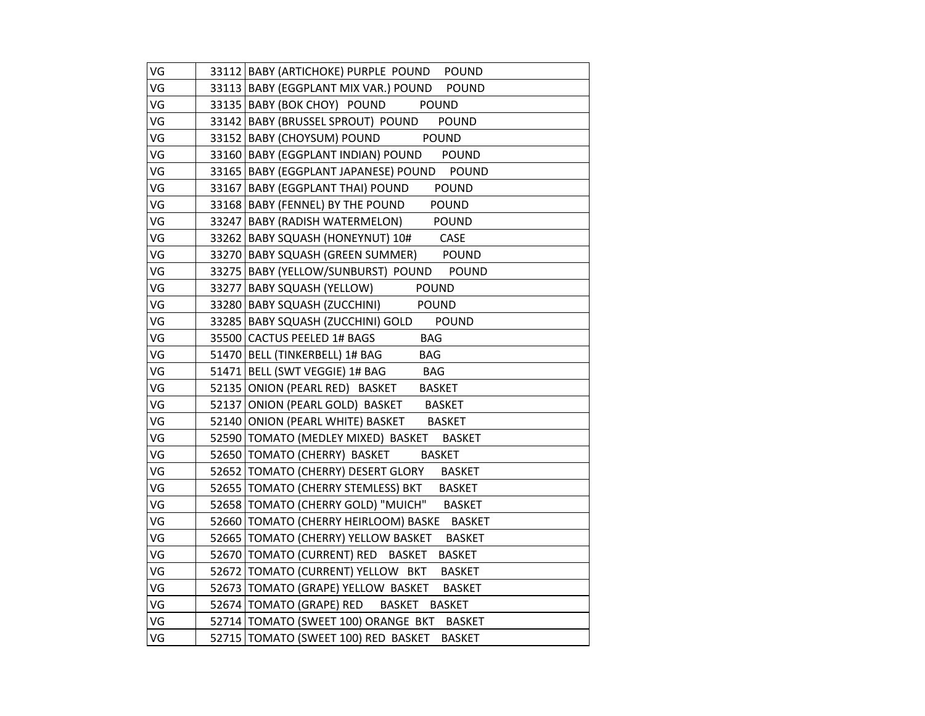| VG | 33112 BABY (ARTICHOKE) PURPLE POUND POUND            |
|----|------------------------------------------------------|
| VG | 33113 BABY (EGGPLANT MIX VAR.) POUND POUND           |
| VG | 33135 BABY (BOK CHOY) POUND POUND                    |
| VG | 33142   BABY (BRUSSEL SPROUT) POUND<br><b>POUND</b>  |
| VG | 33152 BABY (CHOYSUM) POUND POUND                     |
| VG | 33160 BABY (EGGPLANT INDIAN) POUND POUND             |
| VG | 33165   BABY (EGGPLANT JAPANESE) POUND POUND         |
| VG | 33167   BABY (EGGPLANT THAI) POUND POUND             |
| VG | 33168 BABY (FENNEL) BY THE POUND<br><b>POUND</b>     |
| VG | 33247 BABY (RADISH WATERMELON) POUND                 |
| VG | 33262 BABY SQUASH (HONEYNUT) 10# CASE                |
| VG | 33270 BABY SQUASH (GREEN SUMMER) POUND               |
| VG | 33275 BABY (YELLOW/SUNBURST) POUND POUND             |
| VG | 33277 BABY SQUASH (YELLOW) POUND                     |
| VG | 33280 BABY SQUASH (ZUCCHINI) POUND                   |
| VG | 33285 BABY SQUASH (ZUCCHINI) GOLD POUND              |
| VG | 35500 CACTUS PEELED 1# BAGS<br><b>BAG</b>            |
| VG | 51470 BELL (TINKERBELL) 1# BAG<br><b>BAG</b>         |
| VG | 51471 BELL (SWT VEGGIE) 1# BAG BAG                   |
| VG | 52135 ONION (PEARL RED) BASKET BASKET                |
| VG | 52137 ONION (PEARL GOLD) BASKET BASKET               |
| VG | 52140 ONION (PEARL WHITE) BASKET BASKET              |
| VG | 52590 TOMATO (MEDLEY MIXED) BASKET BASKET            |
| VG | 52650   TOMATO (CHERRY) BASKET<br><b>BASKET</b>      |
| VG | 52652 TOMATO (CHERRY) DESERT GLORY<br><b>BASKET</b>  |
| VG | 52655   TOMATO (CHERRY STEMLESS) BKT BASKET          |
| VG | 52658   TOMATO (CHERRY GOLD) "MUICH" BASKET          |
| VG | 52660 TOMATO (CHERRY HEIRLOOM) BASKE BASKET          |
| VG | 52665 TOMATO (CHERRY) YELLOW BASKET BASKET           |
| VG | 52670 TOMATO (CURRENT) RED BASKET<br><b>BASKET</b>   |
| VG | 52672   TOMATO (CURRENT) YELLOW BKT<br><b>BASKET</b> |
| VG | 52673 TOMATO (GRAPE) YELLOW BASKET<br><b>BASKET</b>  |
| VG | 52674 TOMATO (GRAPE) RED BASKET BASKET               |
| VG | 52714 TOMATO (SWEET 100) ORANGE BKT BASKET           |
| VG | 52715 TOMATO (SWEET 100) RED BASKET<br><b>BASKET</b> |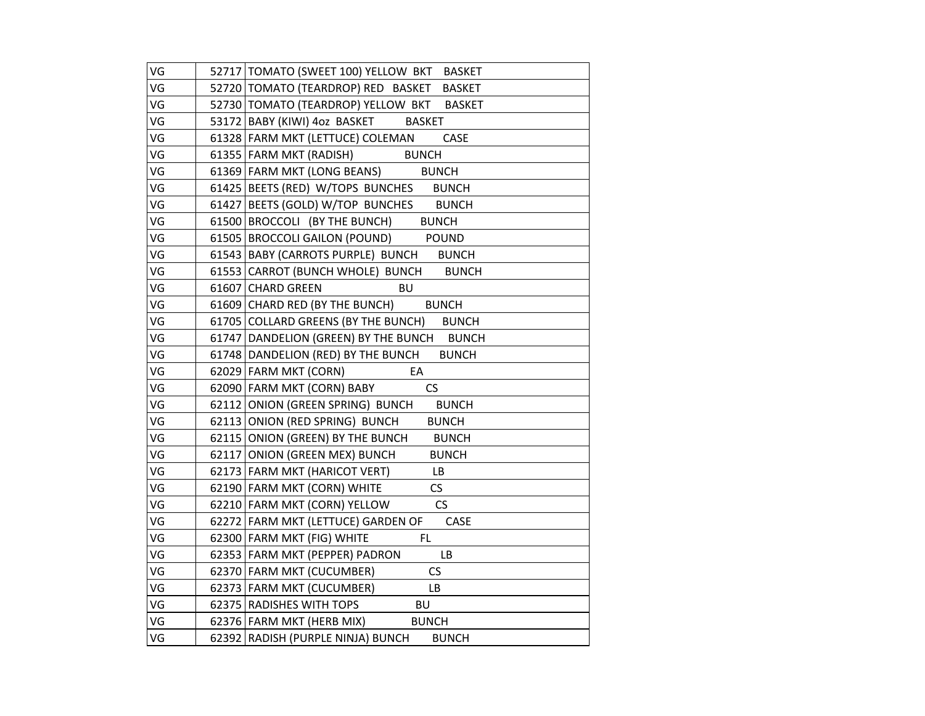| VG | 52717   TOMATO (SWEET 100) YELLOW BKT BASKET        |
|----|-----------------------------------------------------|
| VG | 52720 TOMATO (TEARDROP) RED BASKET<br><b>BASKET</b> |
| VG | 52730 TOMATO (TEARDROP) YELLOW BKT BASKET           |
| VG | 53172 BABY (KIWI) 4oz BASKET BASKET                 |
| VG | 61328 FARM MKT (LETTUCE) COLEMAN CASE               |
| VG | 61355 FARM MKT (RADISH) BUNCH                       |
| VG | 61369 FARM MKT (LONG BEANS) BUNCH                   |
| VG | 61425 BEETS (RED) W/TOPS BUNCHES BUNCH              |
| VG | 61427 BEETS (GOLD) W/TOP BUNCHES BUNCH              |
| VG | 61500 BROCCOLI (BY THE BUNCH)<br><b>BUNCH</b>       |
| VG | 61505 BROCCOLI GAILON (POUND)<br><b>POUND</b>       |
| VG | 61543 BABY (CARROTS PURPLE) BUNCH BUNCH             |
| VG | 61553 CARROT (BUNCH WHOLE) BUNCH BUNCH              |
| VG | <b>BU</b><br>61607 CHARD GREEN                      |
| VG | 61609 CHARD RED (BY THE BUNCH) BUNCH                |
| VG | 61705 COLLARD GREENS (BY THE BUNCH) BUNCH           |
| VG | 61747 DANDELION (GREEN) BY THE BUNCH BUNCH          |
| VG | 61748 DANDELION (RED) BY THE BUNCH BUNCH            |
| VG | 62029 FARM MKT (CORN)<br>EA                         |
| VG | 62090 FARM MKT (CORN) BABY<br><b>CS</b>             |
| VG | 62112 ONION (GREEN SPRING) BUNCH BUNCH              |
| VG | 62113 ONION (RED SPRING) BUNCH<br><b>BUNCH</b>      |
| VG | 62115 ONION (GREEN) BY THE BUNCH<br><b>BUNCH</b>    |
| VG | 62117 ONION (GREEN MEX) BUNCH<br><b>BUNCH</b>       |
| VG | 62173 FARM MKT (HARICOT VERT)<br>LB                 |
| VG | 62190 FARM MKT (CORN) WHITE<br>CS                   |
| VG | CS<br>62210 FARM MKT (CORN) YELLOW                  |
| VG | 62272 FARM MKT (LETTUCE) GARDEN OF<br>CASE          |
| VG | 62300 FARM MKT (FIG) WHITE<br>FL.                   |
| VG | 62353 FARM MKT (PEPPER) PADRON<br>LB                |
| VG | CS<br>62370 FARM MKT (CUCUMBER)                     |
| VG | 62373 FARM MKT (CUCUMBER)<br>LB                     |
| VG | 62375 RADISHES WITH TOPS BU                         |
| VG | 62376 FARM MKT (HERB MIX) BUNCH                     |
| VG | 62392 RADISH (PURPLE NINJA) BUNCH<br><b>BUNCH</b>   |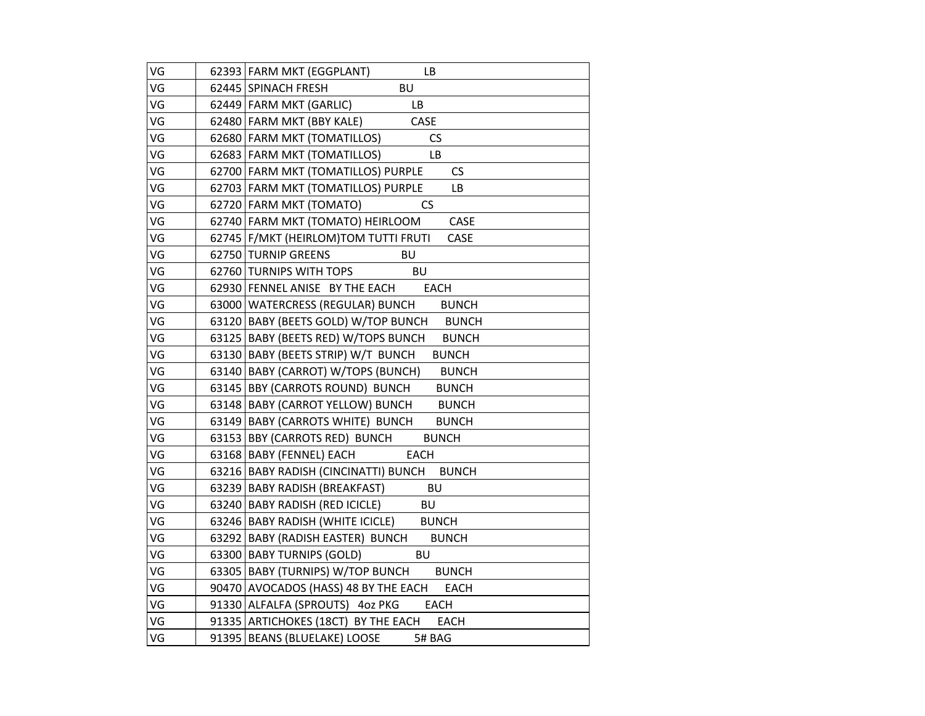| VG | 62393 FARM MKT (EGGPLANT)<br>LB                     |
|----|-----------------------------------------------------|
| VG | <b>BU</b><br>62445 SPINACH FRESH                    |
| VG | 62449 FARM MKT (GARLIC)<br>LB                       |
| VG | 62480 FARM MKT (BBY KALE)<br>CASE                   |
| VG | <b>CS</b><br>62680 FARM MKT (TOMATILLOS)            |
| VG | 62683   FARM MKT (TOMATILLOS)<br>LB                 |
| VG | 62700 FARM MKT (TOMATILLOS) PURPLE<br><b>CS</b>     |
| VG | 62703 FARM MKT (TOMATILLOS) PURPLE<br>LB            |
| VG | 62720 FARM MKT (TOMATO)<br>CS                       |
| VG | 62740 FARM MKT (TOMATO) HEIRLOOM<br>CASE            |
| VG | 62745   F/MKT (HEIRLOM)TOM TUTTI FRUTI<br>CASE      |
| VG | 62750 TURNIP GREENS<br>BU                           |
| VG | <b>BU</b><br>62760 TURNIPS WITH TOPS                |
| VG | 62930 FENNEL ANISE BY THE EACH EACH                 |
| VG | 63000 WATERCRESS (REGULAR) BUNCH<br><b>BUNCH</b>    |
| VG | 63120 BABY (BEETS GOLD) W/TOP BUNCH BUNCH           |
| VG | 63125 BABY (BEETS RED) W/TOPS BUNCH<br><b>BUNCH</b> |
| VG | 63130 BABY (BEETS STRIP) W/T BUNCH BUNCH            |
| VG | 63140 BABY (CARROT) W/TOPS (BUNCH)<br><b>BUNCH</b>  |
| VG | 63145 BBY (CARROTS ROUND) BUNCH<br><b>BUNCH</b>     |
| VG | 63148 BABY (CARROT YELLOW) BUNCH<br><b>BUNCH</b>    |
| VG | 63149 BABY (CARROTS WHITE) BUNCH<br><b>BUNCH</b>    |
| VG | 63153 BBY (CARROTS RED) BUNCH<br><b>BUNCH</b>       |
| VG | 63168 BABY (FENNEL) EACH<br><b>EACH</b>             |
| VG | 63216 BABY RADISH (CINCINATTI) BUNCH BUNCH          |
| VG | <b>BU</b><br>63239 BABY RADISH (BREAKFAST)          |
| VG | 63240 BABY RADISH (RED ICICLE)<br><b>BU</b>         |
| VG | 63246 BABY RADISH (WHITE ICICLE) BUNCH              |
| VG | 63292 BABY (RADISH EASTER) BUNCH<br><b>BUNCH</b>    |
| VG | BU<br>63300 BABY TURNIPS (GOLD)                     |
| VG | 63305 BABY (TURNIPS) W/TOP BUNCH BUNCH              |
| VG | 90470 AVOCADOS (HASS) 48 BY THE EACH EACH           |
| VG | 91330 ALFALFA (SPROUTS) 4oz PKG<br><b>EACH</b>      |
| VG | 91335 ARTICHOKES (18CT) BY THE EACH<br><b>EACH</b>  |
| VG | 91395 BEANS (BLUELAKE) LOOSE<br>5# BAG              |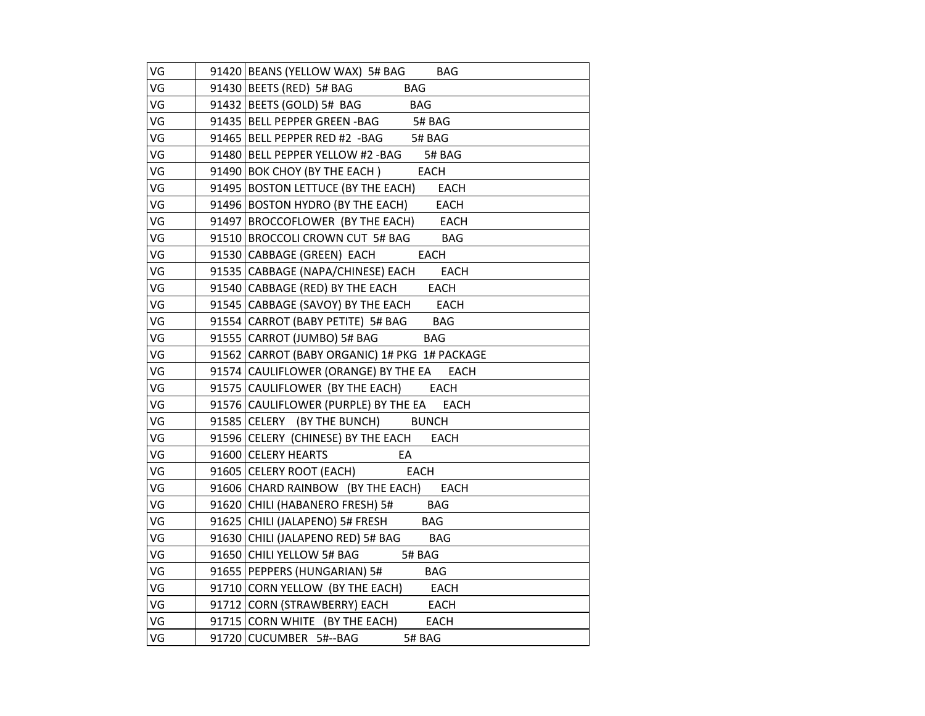| VG | 91420 BEANS (YELLOW WAX) 5# BAG BAG                                             |
|----|---------------------------------------------------------------------------------|
| VG | 91430 BEETS (RED) 5# BAG BAG                                                    |
| VG | $91432$ BEETS (GOLD) 5# BAG BAG                                                 |
| VG | 91435 BELL PEPPER GREEN - BAG 5# BAG                                            |
| VG |                                                                                 |
| VG | 91465 BELL PEPPER RED #2 -BAG 5# BAG<br>91480 BELL PEPPER YELLOW #2 -BAG 5# BAG |
| VG | 91490 BOK CHOY (BY THE EACH) EACH                                               |
| VG | 91495 BOSTON LETTUCE (BY THE EACH) EACH                                         |
| VG | 91496 BOSTON HYDRO (BY THE EACH) EACH                                           |
| VG | 91497 BROCCOFLOWER (BY THE EACH) EACH                                           |
| VG | 91510 BROCCOLI CROWN CUT 5# BAG BAG                                             |
| VG | 91530 CABBAGE (GREEN) EACH EACH                                                 |
| VG | 91535 CABBAGE (NAPA/CHINESE) EACH EACH                                          |
| VG | 91540 CABBAGE (RED) BY THE EACH EACH                                            |
| VG | 91545 CABBAGE (SAVOY) BY THE EACH EACH                                          |
| VG | 91554 CARROT (BABY PETITE) 5# BAG BAG                                           |
| VG | 91555 CARROT (JUMBO) 5# BAG BAG                                                 |
| VG | 91562 CARROT (BABY ORGANIC) 1# PKG 1# PACKAGE                                   |
| VG | 91574 CAULIFLOWER (ORANGE) BY THE EA EACH                                       |
| VG | 91575 CAULIFLOWER (BY THE EACH) EACH                                            |
| VG | 91576 CAULIFLOWER (PURPLE) BY THE EA EACH                                       |
| VG | 91585 CELERY (BY THE BUNCH) BUNCH                                               |
| VG | 91596 CELERY (CHINESE) BY THE EACH EACH                                         |
| VG | 91600 CELERY HEARTS<br>EA                                                       |
| VG | 91605 CELERY ROOT (EACH)<br><b>EACH</b>                                         |
| VG | 91606 CHARD RAINBOW (BY THE EACH) EACH                                          |
| VG | 91620 CHILI (HABANERO FRESH) 5# BAG                                             |
| VG | 91625 CHILI (JALAPENO) 5# FRESH BAG                                             |
| VG | 91630 CHILI (JALAPENO RED) 5# BAG BAG                                           |
| VG | 91650 CHILI YELLOW 5# BAG 5# BAG                                                |
| VG | 91655 PEPPERS (HUNGARIAN) 5# BAG                                                |
| VG | 91710 CORN YELLOW (BY THE EACH) EACH                                            |
| VG | 91712 CORN (STRAWBERRY) EACH EACH                                               |
| VG | 91715 CORN WHITE (BY THE EACH) EACH                                             |
| VG | 91720 CUCUMBER 5#--BAG 5# BAG                                                   |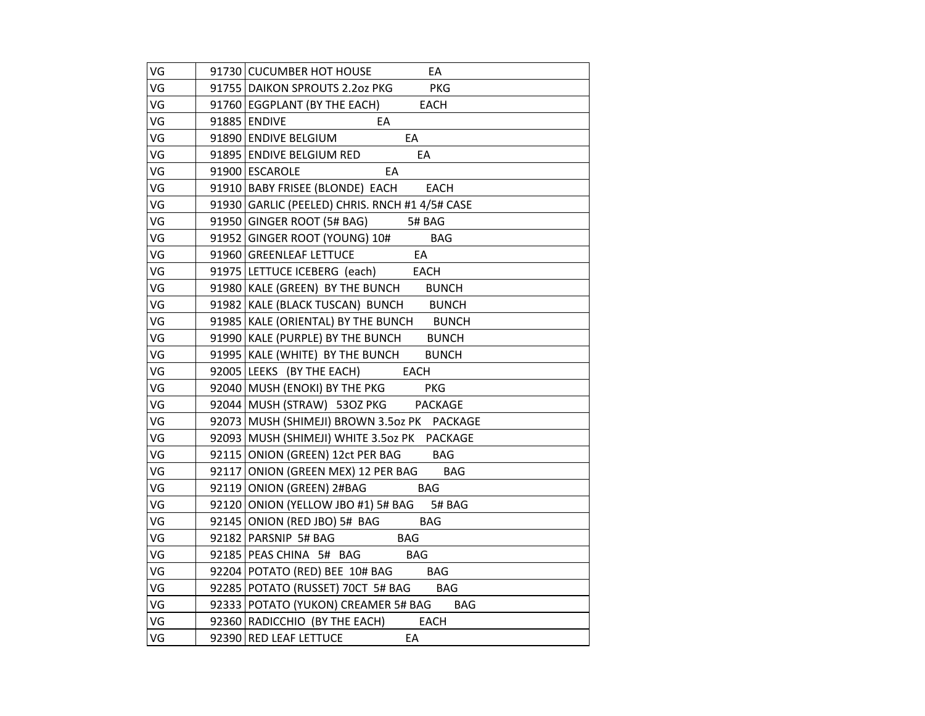| VG | 91730 CUCUMBER HOT HOUSE<br>EA                           |
|----|----------------------------------------------------------|
| VG | 91755 DAIKON SPROUTS 2.2oz PKG PKG                       |
| VG | 91760 EGGPLANT (BY THE EACH) EACH                        |
| VG | 91885 ENDIVE<br>$\overline{\phantom{a}}$ EA              |
| VG | 91890 ENDIVE BELGIUM<br>EA                               |
| VG | 91895   ENDIVE BELGIUM RED<br>EA                         |
| VG | 91900 ESCAROLE<br>EA                                     |
| VG | 91910 BABY FRISEE (BLONDE) EACH EACH                     |
| VG | 91930 GARLIC (PEELED) CHRIS. RNCH #1 4/5# CASE           |
| VG | 91950 GINGER ROOT (5# BAG) 5# BAG                        |
| VG | 91952 GINGER ROOT (YOUNG) 10# BAG                        |
| VG | 91960 GREENLEAF LETTUCE EA                               |
| VG | 91975 LETTUCE ICEBERG (each) EACH                        |
| VG | 91980 KALE (GREEN) BY THE BUNCH BUNCH                    |
| VG | 91982 KALE (BLACK TUSCAN) BUNCH BUNCH                    |
| VG | 91985 KALE (ORIENTAL) BY THE BUNCH BUNCH                 |
| VG | 91990 KALE (PURPLE) BY THE BUNCH BUNCH                   |
| VG | 91995 KALE (WHITE) BY THE BUNCH BUNCH                    |
| VG | 92005 LEEKS (BY THE EACH) EACH                           |
| VG | 92003 LEENS (BITTLE BY THE PKG PKG                       |
| VG | 92044 MUSH (STRAW) 53OZ PKG PACKAGE                      |
| VG | 92073 MUSH (SHIMEJI) BROWN 3.5oz PK PACKAGE              |
| VG | 92093   MUSH (SHIMEJI) WHITE 3.5oz PK PACKAGE            |
| VG | 92115 ONION (GREEN) 12ct PER BAG BAG                     |
| VG | 92117 ONION (GREEN MEX) 12 PER BAG BAG                   |
| VG | 92119 ONION (GREEN) 2#BAG<br><b>BAG</b>                  |
| VG | 92120 ONION (YELLOW JBO #1) 5# BAG 5# BAG                |
| VG | 92145 ONION (RED JBO) 5# BAG BAG                         |
| VG | $\underline{\qquad \qquad }$ BAG<br>92182 PARSNIP 5# BAG |
| VG | 92185 PEAS CHINA 5# BAG BAG                              |
| VG | 92204 POTATO (RED) BEE 10# BAG BAG                       |
| VG | 92285 POTATO (RUSSET) 70CT 5# BAG BAG                    |
| VG | 92333 POTATO (YUKON) CREAMER 5# BAG BAG                  |
| VG |                                                          |
|    | 92360 RADICCHIO (BY THE EACH) EACH                       |